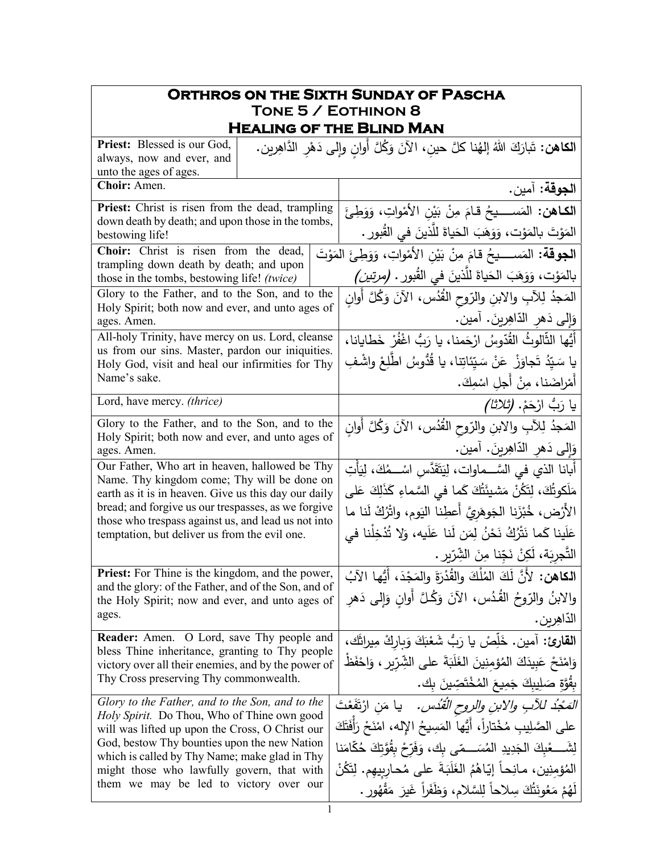| <b>ORTHROS ON THE SIXTH SUNDAY OF PASCHA</b>                                                                                                                                                                                                                                                                         |                                                                                                                                                                                                                                                                                                                                               |  |
|----------------------------------------------------------------------------------------------------------------------------------------------------------------------------------------------------------------------------------------------------------------------------------------------------------------------|-----------------------------------------------------------------------------------------------------------------------------------------------------------------------------------------------------------------------------------------------------------------------------------------------------------------------------------------------|--|
| TONE 5 / EOTHINON 8<br><b>HEALING OF THE BLIND MAN</b>                                                                                                                                                                                                                                                               |                                                                                                                                                                                                                                                                                                                                               |  |
| <b>Priest:</b> Blessed is our God,<br>always, now and ever, and<br>unto the ages of ages.                                                                                                                                                                                                                            | ا <b>لكاهن:</b> تَبارَكَ اللهُ إلهُنا كلَّ حين، الآنَ وَكُلَّ أوان وإلى دَهْرِ الدَّاهِرِين.                                                                                                                                                                                                                                                  |  |
| Choir: Amen.                                                                                                                                                                                                                                                                                                         | ا <b>لجوقة:</b> آمين.                                                                                                                                                                                                                                                                                                                         |  |
| Priest: Christ is risen from the dead, trampling<br>down death by death; and upon those in the tombs,<br>bestowing life!                                                                                                                                                                                             | ا <b>لكــاهن:</b> المَســـــيحُ قـامَ مِنْ بَيْنِ الأَمْواتِ، وَوَطِئَ<br>المَوْتَ بالمَوْت، وَوَهَبَ الحَياةَ للَّذينَ في القُبورِ .                                                                                                                                                                                                         |  |
| Choir: Christ is risen from the dead,<br>trampling down death by death; and upon<br>those in the tombs, bestowing life! (twice)                                                                                                                                                                                      | ا <b>لجوقة:</b> المَســــيحُ قامَ مِنْ بَيْنِ الأَمْواتِ، وَوَطِئَ المَوْتَ<br>بالمَوْت، وَوَهَبَ الْحَياةَ للَّذينَ في القُبور . (مرتي <i>ن)</i>                                                                                                                                                                                             |  |
| Glory to the Father, and to the Son, and to the<br>Holy Spirit; both now and ever, and unto ages of<br>ages. Amen.                                                                                                                                                                                                   | المَجْدُ لِلآبِ والابنِ والرّوحِ الْقُدُسِ، الآنَ وَكُلَّ أُوانِ<br>وَإِلَى دَهرِ الدَّاهِرِينَ. آمين.                                                                                                                                                                                                                                        |  |
| All-holy Trinity, have mercy on us. Lord, cleanse<br>us from our sins. Master, pardon our iniquities.<br>Holy God, visit and heal our infirmities for Thy<br>Name's sake.                                                                                                                                            | أَيُّها الثَّالوثُ القُدّوسُ ارْحَمنا، يا رَبُّ اغْفُرْ خَطايانا،<br>يا سَيّدُ تَجاوَزْ  عَنْ سَيّئاتِنا، يا قُدُّوسُ اطّلِعْ واشْفِ                                                                                                                                                                                                          |  |
| Lord, have mercy. (thrice)                                                                                                                                                                                                                                                                                           | أَمْراضَنا، مِنْ أَجلِ اسْمِكَ.<br>يا رَبُّ ارْحَمْ. <i>(ثلاثا)</i>                                                                                                                                                                                                                                                                           |  |
| Glory to the Father, and to the Son, and to the<br>Holy Spirit; both now and ever, and unto ages of<br>ages. Amen.                                                                                                                                                                                                   | المَجدُ لِلآبِ والابنِ والرّوح القُدُس، الآنَ وَكُلَّ أَوانِ<br>وَإِلَى دَهرِ الدَّاهِرِينَ. آمين.                                                                                                                                                                                                                                            |  |
| Our Father, Who art in heaven, hallowed be Thy<br>Name. Thy kingdom come; Thy will be done on<br>earth as it is in heaven. Give us this day our daily<br>bread; and forgive us our trespasses, as we forgive<br>those who trespass against us, and lead us not into<br>temptation, but deliver us from the evil one. | أبانا الذي في السَّـــماوات، لِيَتَقَدَّس اسْـــمُكَ، لِيَأْتِ<br>مَلَكوتُكَ، لِتَكُنْ مَشيئَتُكَ كَما في السَّماءِ كَذَلِكَ عَلى<br>الأَرْض، خُبْزَنا الجَوهَريَّ أعطِنا اليَوم، واتْرُكْ لَنا ما<br>عَلَينا كَما نَتْرُكُ نَحْنُ لِمَن لَنا عَلَيه، وَلا تُذْخِلْنا في<br>التَّجرِبَة، لَكِنْ نَجّنا مِنَ الشِّرِّبرِ .                     |  |
| <b>Priest:</b> For Thine is the kingdom, and the power,<br>and the glory: of the Father, and of the Son, and of<br>the Holy Spirit; now and ever, and unto ages of<br>ages.                                                                                                                                          | ا <b>لكاهن:</b> لأَنَّ لَكَ المُلْكَ والقُدْرَةَ والمَجْدَ، أَيُّها الآبُ<br>والابنُ والرّوحُ القُدُس، الآنَ وَكُلَّ أوانِ وَإِلى دَهرِ<br>الدّاهِرين .                                                                                                                                                                                       |  |
| <b>Reader:</b> Amen. O Lord, save Thy people and<br>bless Thine inheritance, granting to Thy people<br>victory over all their enemies, and by the power of<br>Thy Cross preserving Thy commonwealth.<br>Glory to the Father, and to the Son, and to the<br>Holy Spirit. Do Thou, Who of Thine own good               | القارئ: آمين. خَلِّصْ يا رَبُّ شَعْبَكَ وَبِارِكْ مِيراثَك،<br>وَامْنَحْ عَبِيدَكَ الْمُؤْمِنِينَ الْغَلَبَةَ على الشِّرِّيرِ ، وَاحْفَظْ<br>بِقُوَّةِ صَلِيبِكَ جَمِيعَ الْمُخْتَصِّينَ بِك.<br><i>المَجْدُ للآبِ والابنِ والروحِ الْقُدُسِ.</i> يا مَنِ ارْتَفَعْتَ<br>على الصَّلِيبِ مُخْتاراً، أَيُّها المَسِيحُ اﻹله، امْنَحْ رَأَفَتَكَ |  |
| will was lifted up upon the Cross, O Christ our<br>God, bestow Thy bounties upon the new Nation<br>which is called by Thy Name; make glad in Thy<br>might those who lawfully govern, that with<br>them we may be led to victory over our<br>1                                                                        | لِشَــــعْبِكَ الْجَدِيدِ الْمُسَـــمّى بِكَ، وَفَرّحْ بِقُوَّتِكَ حُكَّامَنا<br>المُؤمِنِين، مـانِحـاً إيّـاهُمُ الغَلَبَةَ على مُحـارِبيهم. لِتَكُنْ<br>لَهُمْ مَعُونَتُكَ سِلاحاً لِلسَّلامِ، وَظَفَراً غَيرَ مَقْهُورٍ .                                                                                                                  |  |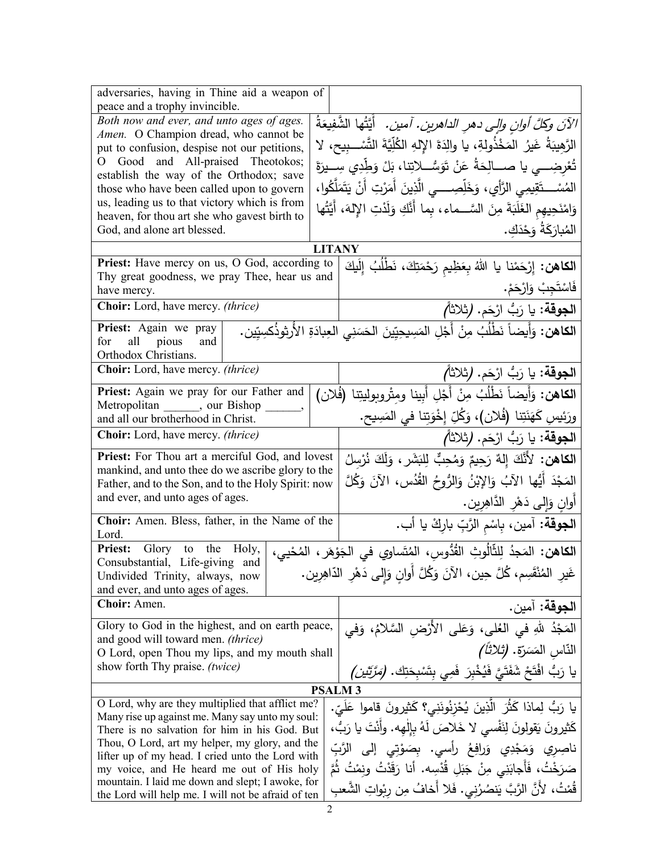| adversaries, having in Thine aid a weapon of<br>peace and a trophy invincible.                           |                                                                             |                                                                                                       |
|----------------------------------------------------------------------------------------------------------|-----------------------------------------------------------------------------|-------------------------------------------------------------------------------------------------------|
| Both now and ever, and unto ages of ages.                                                                |                                                                             |                                                                                                       |
| Amen. O Champion dread, who cannot be                                                                    |                                                                             | الآنَ وكلَّ أوانِ وإلى دهرِ الداهرينِ. آمينِ. ۚ أَيَّتُها الشَّفِيعَةُ                                |
| put to confusion, despise not our petitions,                                                             |                                                                             | الرَّهيبَةُ غَيرُ المَخْذُولةِ، يا والِدَةَ الإِلهِ الكُلِّيَّةَ التَّسْــبيح، لا                     |
| O Good and All-praised Theotokos;                                                                        | تُعْرِضِـــى يا صـــالِحَةُ عَنْ تَوَسُّـــلاتِنا، بَلْ وَطِّدِي سِـــيرَةَ |                                                                                                       |
| establish the way of the Orthodox; save<br>those who have been called upon to govern                     |                                                                             | المُسْــــتَقِيمِي الرَّأْيِ، وَخَلِّصِـــــي الَّذِينَ أَمَرْتِ أَنْ يَتَمَلَّكُوا،                  |
| us, leading us to that victory which is from                                                             |                                                                             |                                                                                                       |
| heaven, for thou art she who gavest birth to                                                             |                                                                             | وَامْنَحِيهِم الغَلَبَةَ مِنَ السَّــماء، بِما أَنَّكِ وَلَدْتِ الإِلهَ، أَيَّتُها                    |
| God, and alone art blessed.                                                                              |                                                                             | المُبارَكَةُ وَحْدَكِ.                                                                                |
|                                                                                                          | <b>LITANY</b>                                                               |                                                                                                       |
| Priest: Have mercy on us, O God, according to                                                            |                                                                             | ا <b>لكاهن:</b> إِرْحَمْنا يا اللهُ بِعَظِيمِ رَحْمَتِكَ، نَطْلُبُ إِلَيكَ                            |
| Thy great goodness, we pray Thee, hear us and                                                            |                                                                             |                                                                                                       |
| have mercy.<br>Choir: Lord, have mercy. (thrice)                                                         |                                                                             | فَاسْتَجِبْ وَارْحَمْ.                                                                                |
|                                                                                                          |                                                                             | ا <b>لجوقة</b> : يا رَبُّ ارْحَم. (ثلاثاً <i>)</i>                                                    |
| Priest: Again we pray<br>all pious<br>for<br>and                                                         |                                                                             | ا <b>لكاهن:</b> وَأَيضاً نَطْلُبُ مِنْ أَجْلِ المَسِيحِيِّينَ الحَسَنِي العِبادَةِ الأُرثوذُكسِيِّين. |
| Orthodox Christians.                                                                                     |                                                                             |                                                                                                       |
| <b>Choir:</b> Lord, have mercy. <i>(thrice)</i>                                                          |                                                                             | ا <b>لجوقة:</b> يا رَبُّ ارْحَم. (ثلاثاً <i>)</i>                                                     |
| Priest: Again we pray for our Father and                                                                 |                                                                             | الكاهن: وَأَيضاً نَطْلُبُ مِنْ أَجْلِ أَبينا ومِتْروبولِيتِنا (فُلان)                                 |
| Metropolitan ______, our Bishop<br>and all our brotherhood in Christ.                                    |                                                                             | ورَئِيسِ كَهَنَتِنا (فُلان)، وَكُلِّ إِخْوَتِنا في المَسِيحِ.                                         |
|                                                                                                          |                                                                             |                                                                                                       |
| <b>Choir:</b> Lord, have mercy. <i>(thrice)</i>                                                          |                                                                             | ا <b>لجوقة</b> : يا رَبُّ ارْحَم. (ثلاثاً <i>)</i>                                                    |
| Priest: For Thou art a merciful God, and lovest                                                          |                                                                             | ا <b>لكاهن:</b> لأَنَّكَ إِلهٌ رَحِيمٌ وَمُحِبٌّ لِلبَشَرِ ، وَلَكَ نُرْسِلُ                          |
| mankind, and unto thee do we ascribe glory to the<br>Father, and to the Son, and to the Holy Spirit: now |                                                                             | المَجْدَ أَيُّها الآبُ وَالإِبْنُ وَالرُّوحُ القُدُسِ، الآنَ وَكُلَّ                                  |
| and ever, and unto ages of ages.                                                                         |                                                                             | أوان وَإِلَى دَهْرِ الدَّاهِرِينِ.                                                                    |
|                                                                                                          |                                                                             |                                                                                                       |
| Choir: Amen. Bless, father, in the Name of the<br>Lord.                                                  |                                                                             | ا <b>لجوقة:</b> آمين، بِاسْم الرَّبِّ بارِكْ يا أب.                                                   |
| Glory to the Holy,<br><b>Priest:</b>                                                                     |                                                                             | ا <b>لكاهن:</b> المَجدُ لِلثَّالُوثِ القُدُّوسِ، المُتَساوي في الجَوْهَرِ ، المُحْيي،                 |
| Consubstantial, Life-giving and                                                                          |                                                                             | غَيرِ المُنْقَسِم، كُلَّ حِين، الأَنَ وَكُلَّ أُوانٍ وَإِلَى دَهْرِ الدَّاهِرِينِ.                    |
| Undivided Trinity, always, now<br>and ever, and unto ages of ages.                                       |                                                                             |                                                                                                       |
| Choir: Amen.                                                                                             |                                                                             | ا <b>لجوقة:</b> آمين.                                                                                 |
| Glory to God in the highest, and on earth peace,                                                         |                                                                             | المَجْدُ للهِ في العُلي، وَعَلى الأَرْضِ السَّلامُ، وَفي                                              |
| and good will toward men. (thrice)<br>O Lord, open Thou my lips, and my mouth shall                      |                                                                             | النّاس المَسَرّة. <i>(ثلاثاً)</i>                                                                     |
| show forth Thy praise. (twice)                                                                           |                                                                             |                                                                                                       |
|                                                                                                          |                                                                             | يا رَبُّ افْتَحْ شَفَتَيَّ فَيُخْبِرَ فَمِي بِتَسْبِحَتِكَ. ( <i>مَرَّتَيْنِ)</i>                     |
| <b>PSALM3</b>                                                                                            |                                                                             |                                                                                                       |
| O Lord, why are they multiplied that afflict me?<br>Many rise up against me. Many say unto my soul:      |                                                                             | يا رَبُّ لِماذا كَثَّرَ الَّذِينَ يُحْزِنُونَنِي؟ كَثيرونَ قاموا عَلَيّ.                              |
| There is no salvation for him in his God. But                                                            |                                                                             | كَثيرونَ يَقولونَ لِنَفْسى لا خَلاصَ لَهُ بِإِلْهه. وأَنْتَ يا رَبُّ،                                 |
| Thou, O Lord, art my helper, my glory, and the                                                           |                                                                             | ناصِرِي وَمَجْدِي وَرافِعُ رأْسي. بِصَوْتِي إِلَى الرَّبِّ                                            |
| lifter up of my head. I cried unto the Lord with                                                         |                                                                             |                                                                                                       |
| my voice, and He heard me out of His holy                                                                |                                                                             | صَرَخْتُ، فَأَجابَنِي مِنْ جَبَلِ قُدْسِه. أَنا رَقَدْتُ ونِمْتُ ثُمَّ                                |
| mountain. I laid me down and slept; I awoke, for<br>the Lord will help me. I will not be afraid of ten   |                                                                             | قُمْتُ، لأَنَّ الرَّبَّ يَنصُرُنِي. فَلا أَخافُ مِن رِبْواتِ الشَّعبِ                                 |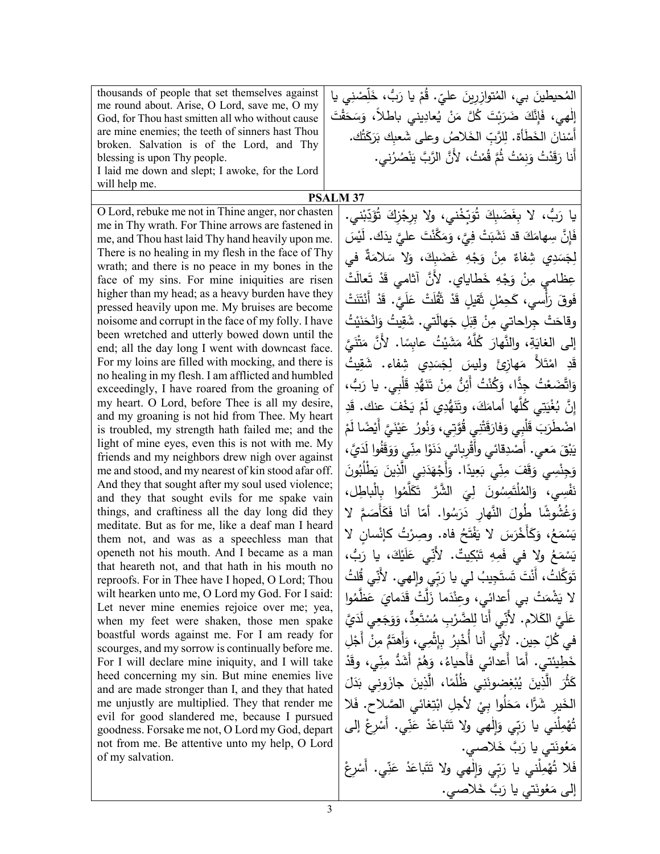| thousands of people that set themselves against                                                    | المُحيطينَ بي، المُتوازِرِينَ عليّ. قُمْ يا رَبُّ، خَلِّصْنِي يا              |
|----------------------------------------------------------------------------------------------------|-------------------------------------------------------------------------------|
| me round about. Arise, O Lord, save me, O my                                                       |                                                                               |
| God, for Thou hast smitten all who without cause                                                   | إلْهي، فَإِنَّكَ ضَرَبْتَ كُلَّ مَنْ يُعادِيني باطْلاً، وَسَحَقْتَ            |
| are mine enemies; the teeth of sinners hast Thou<br>broken. Salvation is of the Lord, and Thy      | أَسْنانَ الخَطَأَة. لِلرَّبِّ الخَلاصُ وعلى شَعبِكَ بَرَكَتُك.                |
| blessing is upon Thy people.                                                                       | أَنا رَقَدْتُ وَنِمْتُ ثُمَّ قُمْتُ، لأَنَّ الرَّبَّ يَنْصُرُني.              |
| I laid me down and slept; I awoke, for the Lord                                                    |                                                                               |
| will help me.                                                                                      |                                                                               |
|                                                                                                    | <b>PSALM 37</b>                                                               |
| O Lord, rebuke me not in Thine anger, nor chasten                                                  | يا رَبُّ، لا بِغَضَبِكَ تُوَبِّخْني، ولا بِرِجْزِكَ تُؤَدِّبْني.              |
| me in Thy wrath. For Thine arrows are fastened in                                                  |                                                                               |
| me, and Thou hast laid Thy hand heavily upon me.                                                   | فَإِنَّ سِهامَكَ قد نَشَبَتْ فِيَّ، وَمَكَّنْتَ عليَّ يذَك. لَيْسَ            |
| There is no healing in my flesh in the face of Thy                                                 | لِجَسَدِي شِفاءٌ مِنْ وَجْهِ غَضَبِكَ، وَلا سَلامَةٌ في                       |
| wrath; and there is no peace in my bones in the<br>face of my sins. For mine iniquities are risen  | عِظامي مِنْ وَجْهِ خَطاياي. لأَنَّ آثامی قَدْ تَعالَتْ                        |
| higher than my head; as a heavy burden have they                                                   |                                                                               |
| pressed heavily upon me. My bruises are become                                                     | فَوقَ رَأْسي، كَحِمْلِ ثَقيلِ قَدْ ثَقُلَتْ عَلَيَّ. قَدْ أَنْتَنَتْ          |
| noisome and corrupt in the face of my folly. I have                                                | وقاحَتْ جِراحاتي مِنْ قِبَلِ جَهالَتي. شَقِيتُ وَانْحَنَيْتُ                  |
| been wretched and utterly bowed down until the                                                     |                                                                               |
| end; all the day long I went with downcast face.                                                   | إلى الغايَةِ، والنَّهارَ كُلَّهُ مَشَيْتُ عابِسًا. لأَنَّ مَتْنَيَّ           |
| For my loins are filled with mocking, and there is                                                 | قَدِ امْتَلاً مَهازِئَ ولِيسَ لِجَسَدِي شِفاء. شَقِيتُ                        |
| no healing in my flesh. I am afflicted and humbled                                                 | وَاتَّضَعْتُ جِدًّا، وَكُنْتُ أَئِنُّ مِنْ تَنَهُّدِ قَلْبِي. يا رَبُّ،       |
| exceedingly, I have roared from the groaning of<br>my heart. O Lord, before Thee is all my desire, |                                                                               |
| and my groaning is not hid from Thee. My heart                                                     | إِنَّ بُغْيَتِي كُلُّها أَمامَكَ، وتَنَهُّدِي لَمْ يَخْفَ عنك. قَدِ           |
| is troubled, my strength hath failed me; and the                                                   | اضْطَرَبَ قَلْبِي وَفارَقَتْنِي قُوَّتِي، وَنُورُ  عَيْنَيَّ أَيْضًا لَمْ     |
| light of mine eyes, even this is not with me. My                                                   | يَبْقَ مَعى. أَصْدِقائي وأَقْرِبائي دَنَوْا مِنِّي وَوَقَفُوا لَدَيَّ،        |
| friends and my neighbors drew nigh over against                                                    |                                                                               |
| me and stood, and my nearest of kin stood afar off.                                                | وَجِنْسِي وَقَفَ مِنِّي بَعِيدًا. وَأَجْهَدَنِي الَّذِينَ يَطْلُبُونَ         |
| And they that sought after my soul used violence;<br>and they that sought evils for me spake vain  | نَفْسِي، وَالمُلْتَمِسُونَ لِيَ الشَّرَّ تَكَلَّمُوا بِالْباطِل،              |
| things, and craftiness all the day long did they                                                   | وَغُشُوشًا طُولَ النَّهارِ دَرَسُوا. أَمّا أَنا فَكَأْصَمَّ لا                |
| meditate. But as for me, like a deaf man I heard                                                   |                                                                               |
| them not, and was as a speechless man that                                                         | يَسْمَعُ، وَكَأَخْرَسَ لا يَفْتَحُ فاه. وصِرْتُ كإنْسانِ لا                   |
| openeth not his mouth. And I became as a man<br>that heareth not, and that hath in his mouth no    | يَسْمَعُ ولا في فَمِهِ تَبْكِيتٌ. لأَنِّي عَلَيْكَ، يا رَبُّ،                 |
| reproofs. For in Thee have I hoped, O Lord; Thou                                                   | تَوَكّلتُ، أَنْتَ تَستَجِيبُ لي يا رَبِّي وإِلهي. لأَنِّي قُلتُ               |
| wilt hearken unto me, O Lord my God. For I said:                                                   | لا يَشْمَتْ بـِي أعدائـِي، وعِنْدَما زَلَتْ قَدَمايَ عَظَمُوا                 |
| Let never mine enemies rejoice over me; yea,<br>when my feet were shaken, those men spake          | عَلَيَّ الكَلامِ. لأَنِّي أنا لِلضَّرْبِ مُسْتَعِدٌّ، وَوَجَعِي لَدَيَّ       |
| boastful words against me. For I am ready for                                                      |                                                                               |
| scourges, and my sorrow is continually before me.                                                  | فى كُلِّ حِين. لأَنِّي أَنا أَخْبِرُ بِإِثْمِي، وَأَهتَمُّ مِنْ أَجْلِ        |
| For I will declare mine iniquity, and I will take                                                  | خَطِيئتي. أَمّا أَعدائي فَأَحياءُ، وَهُمْ أَشَدُّ مِنِّي، وقَدْ               |
| heed concerning my sin. But mine enemies live<br>and are made stronger than I, and they that hated | كَثُّرَ   الَّذِينَ  يُبْغِضونَنِي   ظُلُّمًا،   الَّذِينَ   جازَونِي  بَدَلَ |
| me unjustly are multiplied. They that render me                                                    | الْخَيْرِ شَرًّا، مَحَلُوا بِيْ لأَجْلِ ابْتِغائي الصَّلاحِ. فَلا             |
| evil for good slandered me, because I pursued                                                      |                                                                               |
| goodness. Forsake me not, O Lord my God, depart                                                    | تُهْمِلْني يا رَبِّي وَالْهِي ولا تَتَباعَدْ عَنِّي. أَسْرِعْ إلى             |
| not from me. Be attentive unto my help, O Lord<br>of my salvation.                                 | مَعُونَتي يا رَبَّ خَلاصي.                                                    |
|                                                                                                    | فَلا تُهْمِلْني يا رَبِّي وَالْمِي ولا تَتَباعَدْ عَنِّي. أَسْرِعْ            |
|                                                                                                    | إلى مَعُونَتي يا رَبَّ خَلاصي.                                                |
|                                                                                                    |                                                                               |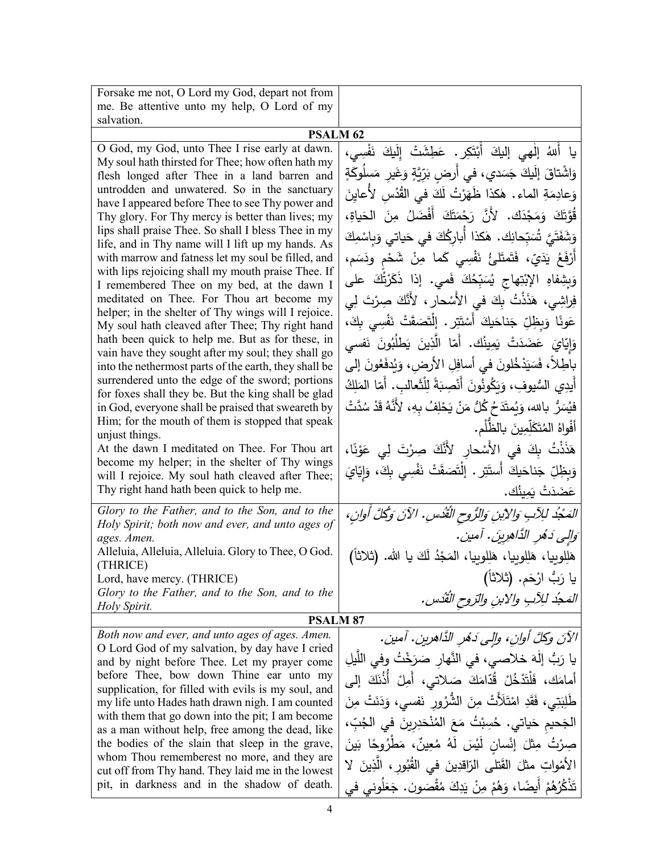| Forsake me not, O Lord my God, depart not from                                                          |                                                                             |  |
|---------------------------------------------------------------------------------------------------------|-----------------------------------------------------------------------------|--|
| me. Be attentive unto my help, O Lord of my                                                             |                                                                             |  |
| salvation.                                                                                              |                                                                             |  |
| <b>PSALM 62</b>                                                                                         |                                                                             |  |
| O God, my God, unto Thee I rise early at dawn.<br>My soul hath thirsted for Thee; how often hath my     | يا أَللهُ إلْهي إليكَ أَبْتَكِرٍ. عَطِشَتْ إِلَيكَ نَفْسِي،                 |  |
| flesh longed after Thee in a land barren and                                                            | وَاشْتاقَ إِلَيكَ جَسَدي، في أَرضِ بَرِّيَّةٍ وَغَيرِ مَسلُوكَةٍ            |  |
| untrodden and unwatered. So in the sanctuary                                                            | وَعادِمَةِ الماء . هٰكذا ظَهَرْتُ لَكَ في القُدْسِ لأَعايِنَ                |  |
| have I appeared before Thee to see Thy power and<br>Thy glory. For Thy mercy is better than lives; my   | قُوَّتَكَ وَمَجْدَكَ. لأَنَّ رَحْمَتَكَ أَفْضَلُ مِنَ الْحَياةِ،            |  |
| lips shall praise Thee. So shall I bless Thee in my                                                     | وَشَفَتَىَّ تُسَبِّحانِك. هٰكذا أَبارِكُكَ في حَياتي وَبِاسْمِكَ            |  |
| life, and in Thy name will I lift up my hands. As<br>with marrow and fatness let my soul be filled, and | أَرْفَعُ يَدَيّ، فَتَمتَلَّئُ نَفْسِي كَما مِنْ شَحْمٍ ودَسَمٍ،             |  |
| with lips rejoicing shall my mouth praise Thee. If                                                      | وَبِشِفاهِ الإِبْتِهاجِ يُسَبِّحُكَ فَمي. إذا ذَكَرْتُكَ على                |  |
| I remembered Thee on my bed, at the dawn I<br>meditated on Thee. For Thou art become my                 |                                                                             |  |
| helper; in the shelter of Thy wings will I rejoice.                                                     | فِراشِي، هَذَنْتُ بِكَ في الأَسْحارِ ، لأَنَّكَ صِرْتَ لِي                  |  |
| My soul hath cleaved after Thee; Thy right hand                                                         | عَونًا وَبِظِلِّ جَناحَيكَ أَسْتَتِرٍ . إِنْتَصَقَتْ نَفْسِى بِكَ،          |  |
| hath been quick to help me. But as for these, in<br>vain have they sought after my soul; they shall go  | وَإِيّايَ عَضَدَتْ يَمِينُك. أَمّا الَّذِينَ يَطْلُبُونَ نَفسى              |  |
| into the nethermost parts of the earth, they shall be                                                   | باطِلاً، فَسَيَدْخُلُونَ في أسافِلِ الأرض، وَيُدفَعُونَ إلى                 |  |
| surrendered unto the edge of the sword; portions<br>for foxes shall they be. But the king shall be glad | أيدِي السُّيوفِ، وَيَكُونُونَ أَنْصِبَةً لِلْثَعالبِ. أَمّا المَلِكُ        |  |
| in God, everyone shall be praised that sweareth by                                                      | فيُسَرُّ بالله، وَيُمتَدَحُ كُلُّ مَنْ يَحْلِفُ بِهِ، لأَنَّهُ قَدْ سُدَّتْ |  |
| Him; for the mouth of them is stopped that speak                                                        | أَفْواهُ المُتَكَلِّمِينَ بِالظُّلْمِ.                                      |  |
| unjust things.<br>At the dawn I meditated on Thee. For Thou art                                         | هَذَنْتُ بِكَ في الأَسْحارِ لأَنَّكَ صِرْتَ لِي عَوْنًا،                    |  |
| become my helper; in the shelter of Thy wings                                                           | وَبِظِلِّ جَناحَيكَ أَستَتِرٍ . إِنْتَصَقَتْ نَفْسِي بِكَ، وَإِيّايَ        |  |
| will I rejoice. My soul hath cleaved after Thee;<br>Thy right hand hath been quick to help me.          | عَضَدَتْ يَمِينُك.                                                          |  |
|                                                                                                         |                                                                             |  |
| Glory to the Father, and to the Son, and to the<br>Holy Spirit; both now and ever, and unto ages of     | المَجْدُ للِآبِ وَالِإِبْنِ وَالرُّوحِ الْقُدْسِ. الآنَ وَكُلَّ أُوانِ،     |  |
| ages. Amen.                                                                                             | وَالِي دَهُرِ الذَّاهِرِينَ. آمين.                                          |  |
| Alleluia, Alleluia, Alleluia. Glory to Thee, O God.<br>(THRICE)                                         | هَلِلوبِيا، هَلِلوبِيا، هَلِلوبِيا، المَجْدُ لَكَ يا الله. (ثلاثاً)         |  |
| Lord, have mercy. (THRICE)                                                                              | يا رَبُّ ارْحَم. (ثلاثا)                                                    |  |
| Glory to the Father, and to the Son, and to the<br>Holy Spirit.                                         | المَجْد للِآبِ والابنِ والتروحِ القُدْسِ.                                   |  |
| <b>PSALM 87</b>                                                                                         |                                                                             |  |
| Both now and ever, and unto ages of ages. Amen.                                                         | الآنَ وكلَّ أوانِ، وإلى دَهْرِ الدَّاهرينِ. آمين.                           |  |
| O Lord God of my salvation, by day have I cried                                                         | يا رَبُّ إِلٰهَ خلاصي، في النَّهارِ صَرَخْتُ وفي اللَّيلِ                   |  |
| and by night before Thee. Let my prayer come<br>before Thee, bow down Thine ear unto my                 | أمامَكَ، فَلْتَدْخُلْ قُدّامَكَ صَلاتي، أَمِلْ أَذُنَكَ إلى                 |  |
| supplication, for filled with evils is my soul, and                                                     |                                                                             |  |
| my life unto Hades hath drawn nigh. I am counted<br>with them that go down into the pit; I am become    | طَٰلِبَتِی، فَقَدِ امْتَلَأَتْ مِنَ الشَّرُورِ نَفسی، وَدَنَتْ مِنَ         |  |
| as a man without help, free among the dead, like                                                        | الجَحيم حَياتي. حُسِبْتُ مَعَ المُنْحَدِرِينَ في الجُبِّ،                   |  |
| the bodies of the slain that sleep in the grave,                                                        | صِرْتُ مِثْلَ إِنْسانٍ لَيْسَ لَهُ مُعِينٌ، مَطْرُوحًا بَينَ                |  |
| whom Thou rememberest no more, and they are<br>cut off from Thy hand. They laid me in the lowest        | الأَمْواتِ مثلَ القَتلى الرّاقدِينَ في القُبُورِ ، الَّذِينَ لا             |  |
| pit, in darkness and in the shadow of death.                                                            | تَذْكُرُهُمْ أَيضًا، وَهُمْ مِنْ يَدِكَ مُقْصَون. جَعَلُوني في              |  |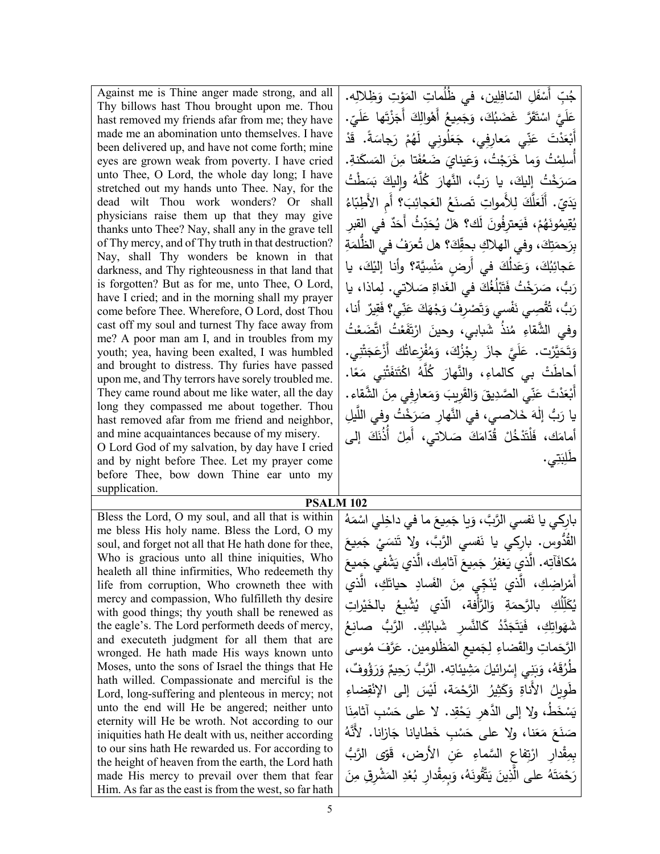Against me is Thine anger made strong, and all Thy billows hast Thou brought upon me. Thou hast removed my friends afar from me; they have made me an abomination unto themselves. I have been delivered up, and have not come forth; mine eyes are grown weak from poverty. I have cried unto Thee, O Lord, the whole day long; I have stretched out my hands unto Thee. Nay, for the dead wilt Thou work wonders? Or shall physicians raise them up that they may give thanks unto Thee? Nay, shall any in the grave tell of Thy mercy, and of Thy truth in that destruction? Nay, shall Thy wonders be known in that darkness, and Thy righteousness in that land that is forgotten? But as for me, unto Thee, O Lord, have I cried; and in the morning shall my prayer come before Thee. Wherefore, O Lord, dost Thou cast off my soul and turnest Thy face away from me? A poor man am I, and in troubles from my youth; yea, having been exalted, I was humbled and brought to distress. Thy furies have passed upon me, and Thy terrors have sorely troubled me. They came round about me like water, all the day long they compassed me about together. Thou hast removed afar from me friend and neighbor, and mine acquaintances because of my misery. O Lord God of my salvation, by day have I cried and by night before Thee. Let my prayer come before Thee, bow down Thine ear unto my supplication. Bless the Lord, O my soul, and all that is within me bless His holy name. Bless the Lord, O my soul, and forget not all that He hath done for thee, Who is gracious unto all thine iniquities, Who

healeth all thine infirmities, Who redeemeth thy life from corruption, Who crowneth thee with mercy and compassion, Who fulfilleth thy desire with good things; thy youth shall be renewed as the eagle's. The Lord performeth deeds of mercy, and executeth judgment for all them that are wronged. He hath made His ways known unto Moses, unto the sons of Israel the things that He hath willed. Compassionate and merciful is the Lord, long-suffering and plenteous in mercy; not unto the end will He be angered; neither unto eternity will He be wroth. Not according to our iniquities hath He dealt with us, neither according to our sins hath He rewarded us. For according to the height of heaven from the earth, the Lord hath made His mercy to prevail over them that fear Him. As far as the east is from the west, so far hath

ِه. ِظلال َ ِت و َو ُ ِ مات الم ِ ُ ین، في ظل ِل ّ اف َ ِل الس ْ ف ِ أَس <u>ُ</u> جُبِّ عَلَيَّ اسْتَقَرَّ غَضَبُكَ، وَجَمِيعُ أَهْوالِكَ أَجَزْتَها عَلَيِّ.<br>أَوْ وَ الْمَسَّنَّةُ الْمَسْئَةُ الْمَوْالِكَ أَجَزْتَها عَلَيِّ. ل .<br>-َّدْتَ عَنِّي مَعارِفِي، جَعَلُونِي لَهُمْ رَجاسَةً. قَدْ فڈ<br>فڈ <u>ِ</u><br>بُعَا أَبْ نْتُ وَما خَرَجْتُ، وَعَينايَ ضَعُفَتا مِنَ المَسكَنةِ.<br>من لِمُا أُسل َخْتُ إِليكَ، يا رَبُّ، النَّهارَ كُلَّهُ وإِليكَ بَسَطْتُ<br>\* <sub>َ</sub><br>سَرَ ص ِلأَ ِ موات َ ل َّك ل ُ <sup>ی</sup> ّاء َ ؟ أَ ِم الأَ ِط� ِب َجائ ُ الع َع َصن ت َ َع .ّ أَل <sub>َ</sub><br>دي د با<br>ا مْ، فَيَعترِفُونَ لَك؟ هَلْ يُحَدِّثُ أَحَدٌ في القِبرِ ؽؙڡؚٓؽ*مؙ*ۅۮؘۿؙٛؗم۠<br>ؙ َه ِ<br>مِّيمُ ق و<br>ما ِ ة َ َ ُف ُّ في الظلم ُعر َ؟ هل ت ِك ّ َ ِ ، وفي الهلاك �حق ِك ت َحم ِبر َ عَجائِبُكَ، وَعَدْلُكَ في أَرضٍ مَنْسِيَّة؟ وأنا إليْكَ، يا<br>مُسَائِبُكَ مَثْمَتُ مَنْ اللَّهِ مِنْ اللَّهِ مَنْ اللَّهِ مِنْ اللَّهِ مِنْ اللَّهِ مِنْ اللَّهِ مِنْ اللَّه ْ ً<br>ً رَبٌ، صَرَخْتُ فَتَبْلُغُكَ في الغَداةِ صَلاتي. لِماذا، يا<br>. **ٔ** ٌ أنا، ِیر َق ِي؟ ف ّ ن َ َ ع َك ْه َج َ ْصِر ُف و ت َ ْسي و ف َ ْ ِصي ن ُق َ ُّب، ت رَد وفي الشَّقاءِ مُنذُ شَبابي، وحينَ ارْتَفَعْتُ اتَّضَعْتُ .<br>ا وَتَحَيَّرْت. عَلَيَّ جازَ رِجْزُكَ، وَمُفْزِعاتُك أَزْعَجَتْنِي.<br>وَيَحَيَّرُت عَلَيَّ جازَ رِجْزُكَ، وَمُفْزِعاتُك أَزْعَجَتْنِي. َ ء<br>، أَحاطَتْ بي كالماءِ، والنَّهارَ كُلَّهُ اكْتَنَفَتْنِي مَعًا.<br>أَ أَبْعَدْتَ عَنِّي الصَّدِيقَ وَالقَرِيبَ وَمَعارِفِي مِنَ الشَّقاءِ.<br>أَبْعَدْتَ عَنِّي يا رَبُّ إِلٰهَ خَلاصي، في النَّهارِ صَرَخْتُ وفي اللَّيلِ<br>مُسْمَدِّ الْمُقَامَّد أمامَك، فَلْتَدْخُلْ قُدّامَكَ صَلاتي، أَمِلْ أُذُنَكَ إلى<br>َ طَلِبَتِي. .

**PSALM 102**

بارِكي يا نَفسي الرَّبَّ، وَيا جَمِيعَ ما في داخِلي اسْمَهُ<br>مُمَّ القُدُّوس. بارِكي يا نَفسي الرَّبَّ، ولا تَنسَيْ جَمِيعَ<br>معنة مُكافَآتِه. الَّذي يَغفِرُ جَمِيعَ آثامِك، الَّذي يَشْفي جَمِيعَ<br>ءَ أَمْرِاضِكِ، الَّذي يُنَجِّي مِنَ الفَسادِ حياتَكِ، الَّذ*ي*<br>م يُكَلِّلُكِ بالرَّحمَةِ وَالرَّأْفة، الَّذي يُشْبِعُ بالخَيْراتِ<br>. لُكِ بالرَّحمَةِ<br>ـ ل ٳٚ ل َّ ٛڲ<br>ؽػ **∶** َوات شَهَواتِكِ، فَيَتَجَدَّدُ كَالنَّسرِ شَبابُكِ. الرَّبُّ صانِعُ ِ<br>پنج <sub>َ</sub> كَالنَّسرِ شَبابُ َّدد ֺ֧<sup>ׅ</sup> ئ<br>نجا ت ١ فَيَ<br>= ِك، ف ُوسى مَماتِ والقَضاءِ لِجَميعِ المَظْلومين. عَرَّفَ مُ<br>ِ الرَّحَ <sub>َن</sub>َجِيمٌ وَرَؤُوفٌ، طُرُقَهُ، وَبَنِي إِسْرائيلَ مَشِيئاتِه. الرَّبُّ رَدِ<br>-ُ.<br>أ ْ طَوِيلُ الأَناةِ وَكَثِيرُ الرَّحْمَة، لَيْسَ إلى الإِنْقِضاءِ يَسْخَطُ، ولا إلى الدَّهرِ يَحْقِد. لا على حَسْبِ آثامِنَا ْ صَنَعَ مَعَنا، ولا على حَسْبِ خَطايانا جَازانا. لأَنَّهُ<br>. بِمِقْدارِ ارْتِفاعِ السَّماءِ عَنِ الأرض، قَوِّى الرَّبُّ<br>-.<br>ا رَحْمَتَهُ على الَّذِينَ يَتَّقُونَهُ، وَبِمِقْدارِ بُعْدِ المَشْرِقِ مِنَ َ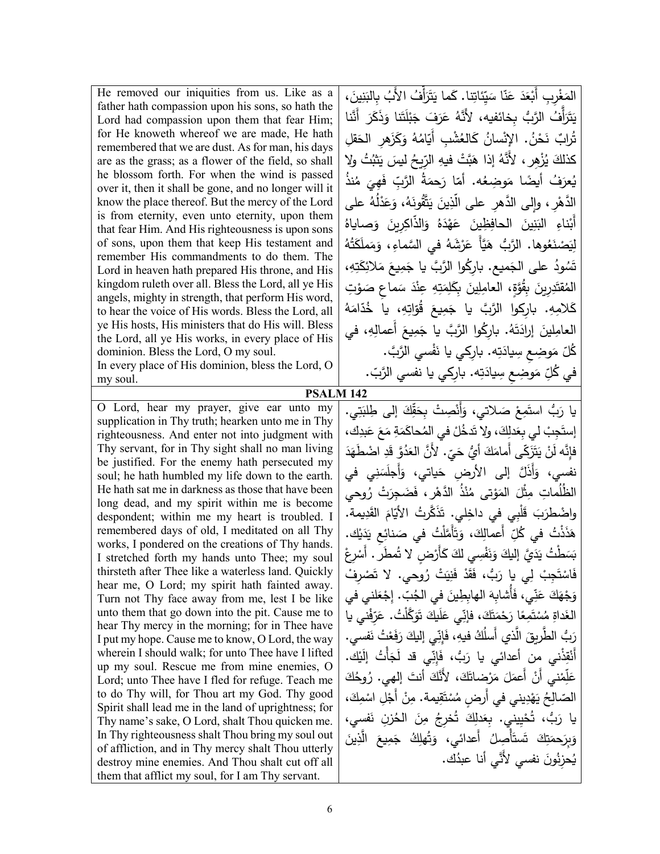| He removed our iniquities from us. Like as a<br>father hath compassion upon his sons, so hath the<br>Lord had compassion upon them that fear Him;<br>for He knoweth whereof we are made, He hath<br>remembered that we are dust. As for man, his days<br>are as the grass; as a flower of the field, so shall<br>he blossom forth. For when the wind is passed                                                                                                                                                                                                                                                                                                                                                                                                                                                                                                                                                                                                                                                                                                                                                                                                                                                  | المَغْربِ أَبْعَدَ عَنّا سَيّئاتِنا. كَما يَتَرَأْفُ الأَبُ بِالْبَنِينَ،<br>يَتَرَأْفُ الرَّبُّ بخائفيه، لأَنَّهُ عَرَفَ جَبْلَتَنا وَذَكَرَ أَنَّنا<br>تُرابٌ نَحْنُ. الإِنْسانُ كَالعُشْبِ أَيّامُهُ وَكَزَهر الحَقلِ<br>كذلكَ يُزْهِرٍ ، لأَنَّهُ إذا هَبَّتْ فيهِ الرِّيحُ ليسَ يَثْبُتُ ولا<br>يُعرَفُ أيضًا مَوضِعُه. أمّا رَحمَةُ الرَّبِّ فَهِيَ مُنذُ                                                                                                                                                                                                                                                                                                                                                                                                                                                                                                                                                                                                                                                                                                                                                    |
|-----------------------------------------------------------------------------------------------------------------------------------------------------------------------------------------------------------------------------------------------------------------------------------------------------------------------------------------------------------------------------------------------------------------------------------------------------------------------------------------------------------------------------------------------------------------------------------------------------------------------------------------------------------------------------------------------------------------------------------------------------------------------------------------------------------------------------------------------------------------------------------------------------------------------------------------------------------------------------------------------------------------------------------------------------------------------------------------------------------------------------------------------------------------------------------------------------------------|--------------------------------------------------------------------------------------------------------------------------------------------------------------------------------------------------------------------------------------------------------------------------------------------------------------------------------------------------------------------------------------------------------------------------------------------------------------------------------------------------------------------------------------------------------------------------------------------------------------------------------------------------------------------------------------------------------------------------------------------------------------------------------------------------------------------------------------------------------------------------------------------------------------------------------------------------------------------------------------------------------------------------------------------------------------------------------------------------------------------|
| over it, then it shall be gone, and no longer will it<br>know the place thereof. But the mercy of the Lord<br>is from eternity, even unto eternity, upon them<br>that fear Him. And His righteousness is upon sons<br>of sons, upon them that keep His testament and<br>remember His commandments to do them. The<br>Lord in heaven hath prepared His throne, and His<br>kingdom ruleth over all. Bless the Lord, all ye His<br>angels, mighty in strength, that perform His word,<br>to hear the voice of His words. Bless the Lord, all<br>ye His hosts, His ministers that do His will. Bless<br>the Lord, all ye His works, in every place of His<br>dominion. Bless the Lord, O my soul.<br>In every place of His dominion, bless the Lord, O                                                                                                                                                                                                                                                                                                                                                                                                                                                              | الدَّهْرِ ، وإلى الدَّهرِ على الَّذِينَ يَتَّقُونَهُ، وَعَدْلُهُ على<br>أَبْناءِ البَنِينَ الحافِظِينَ عَهْدَهُ وَالذّاكِرِينَ وَصاياهُ<br>لِيَصْنَعُوها. الرَّبُّ هَيَّأٌ عَرْشَهُ في السَّماءِ، وَمَملَكَتُهُ<br>تَسُودُ على الجَميع. باركُوا الرَّبَّ يا جَمِيعَ مَلائِكَتِهِ،<br>الْمُقْتَدِرِينَ بِقُوَّةٍ، الْعَامِلِينَ بِكَلِمَتِهِ عِنْدَ سَماعٍ صَوْتِ<br>كَلامِهِ. باركوا الرَّبَّ يا جَمِيعَ قُوّاتِهِ، يا خُدّامَهُ<br>العامِلينَ إرادَتَهُ. باركُوا الرَّبَّ يا جَمِيعَ أعمالِهِ، في<br>كُلّ مَوضِعٍ سِيادَتِه. بارِكي يا نَفْسى الرَّبَّ.<br>في كُلِّ مَوضِعٍ سِيادَتِه. بارِكي يا نفسي الرَّبّ.                                                                                                                                                                                                                                                                                                                                                                                                                                                                                                    |
| my soul.<br><b>PSALM 142</b>                                                                                                                                                                                                                                                                                                                                                                                                                                                                                                                                                                                                                                                                                                                                                                                                                                                                                                                                                                                                                                                                                                                                                                                    |                                                                                                                                                                                                                                                                                                                                                                                                                                                                                                                                                                                                                                                                                                                                                                                                                                                                                                                                                                                                                                                                                                                    |
| O Lord, hear my prayer, give ear unto my<br>supplication in Thy truth; hearken unto me in Thy<br>righteousness. And enter not into judgment with<br>Thy servant, for in Thy sight shall no man living<br>be justified. For the enemy hath persecuted my<br>soul; he hath humbled my life down to the earth.<br>He hath sat me in darkness as those that have been<br>long dead, and my spirit within me is become<br>despondent; within me my heart is troubled. I<br>remembered days of old, I meditated on all Thy<br>works, I pondered on the creations of Thy hands.<br>I stretched forth my hands unto Thee; my soul<br>thirsteth after Thee like a waterless land. Quickly<br>hear me, O Lord; my spirit hath fainted away.<br>Turn not Thy face away from me, lest I be like<br>unto them that go down into the pit. Cause me to<br>hear Thy mercy in the morning; for in Thee have<br>I put my hope. Cause me to know, O Lord, the way<br>wherein I should walk; for unto Thee have I lifted<br>up my soul. Rescue me from mine enemies, O<br>Lord; unto Thee have I fled for refuge. Teach me<br>to do Thy will, for Thou art my God. Thy good<br>Spirit shall lead me in the land of uprightness; for | يا رَبُّ استَمِعْ صَلاتي، وَأَنْصِتْ بِحَقِّكَ إلى طِلبَتِي.<br>إِستَجِبْ لَى بِعَدلِكَ، ولا تَدخُلْ في المُحاكَمَةِ مَعَ عَبدِك،<br>فإِنَّه لَنْ يَتَزَكَّى أَمامَكَ أَيُّ حَيٍّ. لأَنَّ الْعَدُوَّ قَدِ اضْطُهَدَ<br>نفسي، وَأَذَلَّ إلى الأرض حَياتي، وَأَجلَسَنِي في<br>الظُلُماتِ مِثْلَ المَوْتي مُنْذُ الدَّهْرِ ، فَضَجِرَتْ رُوحي<br>واضْطْرَبَ قَلْبِي في داخِلي. تَذَكَّرْتُ الأيَّامَ القَدِيمة.<br>هَذَذْتُ في كُلِّ أعمالِكَ، وَتَأَمَّلْتُ في صَنائِع يَدَيْك.<br>بَسَطْتُ يَدَيَّ إِلَيْكَ وَنَفْسِي لَكَ كَأَرْضٍ لا تُمطَّر . أَسْرِعْ<br>فَاسْتَجِبْ لِي يا رَبُّ، فَقَدْ فَنِيَتْ رُوحي. لا تَصْرفْ<br>وَجْهَكَ عَنِّى، فَأَشابهَ الهابطِينَ في الْجُبّ. إجْعَلني في<br>الغَداةِ مُسْتَمِعًا رَحْمَتَكَ، فإنِّي عَلَيكَ تَوَكَّلْتُ. عَرّفْني يا<br>رَبُّ الطَّرِيقَ الَّذي أَسلُكُ فيهِ، فَإِنِّي إليكَ رَفَعْتُ نَفسي.<br>أَنْقِذْنِي من أعدائي يا رَبٌّ، فَإِنِّي قد لَجَأْتُ إِلَيْك.<br>عَلِّمْنـِي أَنْ أَعمَلَ مَرْضاتَكَ، لأَنَّكَ أنتَ إلهي. رُوحُكَ<br>الصّالِحُ يَهْدِينِي في أرضٍ مُسْتَقِيمةٍ. مِنْ أَجْلِ اسْمِكَ،<br>يا رَبُّ، تُحْيِيني. بِعَدلِكَ تُخرجُ مِنَ الْحُزنِ نَفسي، |
| Thy name's sake, O Lord, shalt Thou quicken me.<br>In Thy righteousness shalt Thou bring my soul out<br>of affliction, and in Thy mercy shalt Thou utterly<br>destroy mine enemies. And Thou shalt cut off all<br>them that afflict my soul, for I am Thy servant.                                                                                                                                                                                                                                                                                                                                                                                                                                                                                                                                                                                                                                                                                                                                                                                                                                                                                                                                              | وَبِرَحمَتِكَ تَستَأْصِلُ أَعدائي، وَتُهلِكُ جَمِيعَ الَّذِينَ<br>يُحزِنُونَ نفسى لأنَّى أنا عبدُك.                                                                                                                                                                                                                                                                                                                                                                                                                                                                                                                                                                                                                                                                                                                                                                                                                                                                                                                                                                                                                |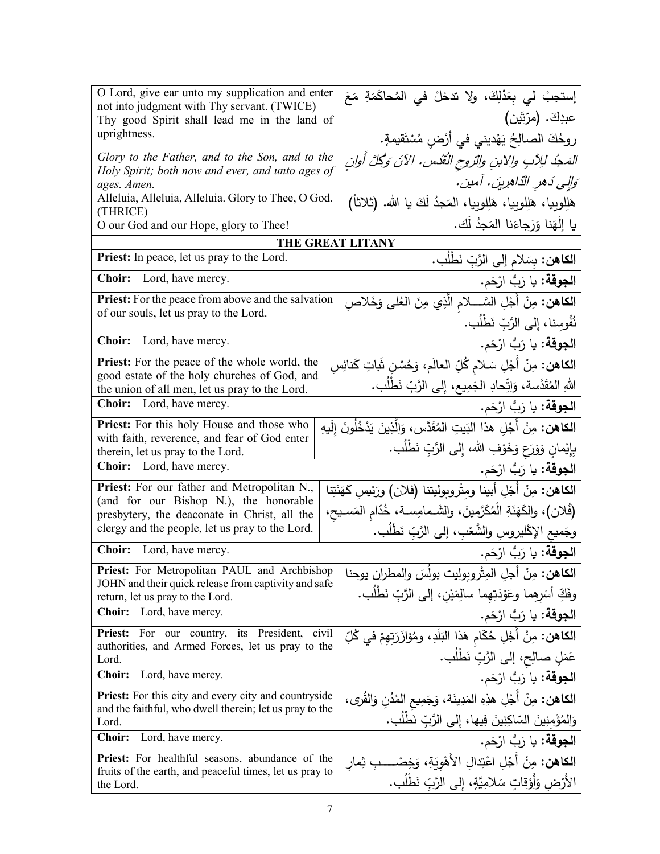| O Lord, give ear unto my supplication and enter<br>not into judgment with Thy servant. (TWICE)      | إستجبْ لي بِعَدْلِكَ، ولا تدخلْ في المُحاكَمَةِ مَعَ                                |
|-----------------------------------------------------------------------------------------------------|-------------------------------------------------------------------------------------|
| Thy good Spirit shall lead me in the land of                                                        | عبدِكَ. (مرّتَين)                                                                   |
| uprightness.                                                                                        | روحُكَ الصالِحُ يَهْديني في أَرْضِ مُسْتَقيمةٍ.                                     |
| Glory to the Father, and to the Son, and to the                                                     | المَدجُد للِأَبِ والابنِ والتروحِ النُّقُدسِ. الآنَ وَكُلَّ أُوانِ                  |
| Holy Spirit; both now and ever, and unto ages of<br>ages. Amen.                                     | وَإِلِي دَهرِ النّاهِرِينَ. آمين.                                                   |
| Alleluia, Alleluia, Alleluia. Glory to Thee, O God.<br>(THRICE)                                     | هَلِلوبِيا، هَلِلوبِيا، هَلِلوبِيا، المَجدُ لَكَ يا الله. (ثلاثاً)                  |
| O our God and our Hope, glory to Thee!                                                              | يا إِلَهَنا وَرَجاءَنا المَجِدُ لَك.                                                |
|                                                                                                     | THE GREAT LITANY                                                                    |
| Priest: In peace, let us pray to the Lord.                                                          | ا <b>لكاهن:</b> بسَلام إلى الرَّبِّ نَطْلُب.                                        |
| Lord, have mercy.<br><b>Choir:</b>                                                                  | ا <b>لجوقة:</b> يا رَبُّ ارْحَم.                                                    |
| <b>Priest:</b> For the peace from above and the salvation<br>of our souls, let us pray to the Lord. | <b>الكاهن:</b> مِنْ أَجْلِ السَّــــلام الَّذِي مِنَ العُلمِي وَخَلاصِ              |
|                                                                                                     | نُفُوسنا، إلى الرَّبِّ نَطْلُب.                                                     |
| <b>Choir:</b><br>Lord, have mercy.                                                                  | ا <b>لجوقة:</b> يا رَبُّ ارْحَم.                                                    |
| <b>Priest:</b> For the peace of the whole world, the                                                | ا <b>لكاهن:</b> مِنْ أَجْلِ سَـلام كُلِّ العالَم، وَحُسْنِ شَاتِ كَنائِسِ           |
| good estate of the holy churches of God, and<br>the union of all men, let us pray to the Lord.      | اللهِ المُقَدَّسة، وَاتِّحادِ الجَمِيعِ، إلى الرَّبِّ نَطِّلُبٍ.                    |
| <b>Choir:</b> Lord, have mercy.                                                                     | ا <b>لجوقة:</b> يا رَبُّ ارْحَم.                                                    |
| <b>Priest:</b> For this holy House and those who                                                    | <b>الكاهن:</b> مِنْ أَجْلِ هذا البَيتِ المُقَدَّسِ، وَالَّذِينَ يَدْخُلُونَ إِلَيهِ |
| with faith, reverence, and fear of God enter<br>therein, let us pray to the Lord.                   | بِإِيْمانٍ وَوَرَعٍ وَخَوْفِ الله، إِلَى الرَّبِّ نَطْلُبٍ.                         |
| <b>Choir:</b> Lord, have mercy.                                                                     | ا <b>لجوقة:</b> يا رَبُّ ارْحَم.                                                    |
| Priest: For our father and Metropolitan N.,                                                         | ا <b>لكاهن:</b> مِنْ أَجْلِ أبينا ومثْروبوليتنا (فلان) ورَئِيس كَهَنَتِنا           |
| (and for our Bishop N.), the honorable<br>presbytery, the deaconate in Christ, all the              | (فُلان)، والكَهَنَةِ الْمُكَرَّمينَ، والشَـمامِسـة، خُدّام المَسـيح،                |
| clergy and the people, let us pray to the Lord.                                                     | وجَميع الإكْليروسِ والشَّعْبِ، إلى الرَّبِّ نَطْلُب.                                |
| <b>Choir:</b> Lord, have mercy.                                                                     | ا <b>لجوقة:</b> يا رَبُّ ارْحَم.                                                    |
| Priest: For Metropolitan PAUL and Archbishop                                                        | ا <b>لكاهن:</b> مِنْ أجل المِتْروبوليت بولَسَ والمطران يوحنا                        |
| JOHN and their quick release from captivity and safe<br>return, let us pray to the Lord.            | وفَكِّ أَسْرِهِما وعَوْدَتِهِما سالِمَيْنِ، إلى الرَّبِّ نَطْلُب.                   |
| <b>Choir:</b><br>Lord, have mercy.                                                                  | ا <b>لجوقة:</b> يا رَبُّ ارْحَم.                                                    |
| For our country, its President, civil<br><b>Priest:</b>                                             | ا <b>لكاهن:</b> مِنْ أَجْلِ حُكّام هَذا النَلَدِ، ومُؤازَرَتِهِمْ في كُلِّ          |
| authorities, and Armed Forces, let us pray to the<br>Lord.                                          | عَمَلٍ صالِحٍ، إلى الرَّبِّ نَطْلُبٍ.                                               |
| <b>Choir:</b><br>Lord, have mercy.                                                                  | ا <b>لجوقة:</b> يا رَبُّ ارْحَم.                                                    |
| <b>Priest:</b> For this city and every city and countryside                                         | الكاهن: مِنْ أَجْلِ هذِهِ المَدِينَة، وَجَمِيعِ المُدُنِ وَالقُرى،                  |
| and the faithful, who dwell therein; let us pray to the<br>Lord.                                    | وَالِمُؤْمِنِينَ السّاكِنِينَ فِيها، إِلى الرَّبِّ نَطْلُب.                         |
| <b>Choir:</b><br>Lord, have mercy.                                                                  | ا <b>لجوقة:</b> يا رَبُّ ارْحَم.                                                    |
| <b>Priest:</b> For healthful seasons, abundance of the                                              | ا <b>لكاهن:</b> مِنْ أَجْل اعْتِدالِ الأَهْوِيَةِ، وَخِصْــــبِ ثِمار               |
| fruits of the earth, and peaceful times, let us pray to<br>the Lord.                                | الأَرْض وَأَوْقاتٍ سَلامِيَّةٍ، إِلَى الرَّبِّ نَطْلُبٍ.                            |
|                                                                                                     |                                                                                     |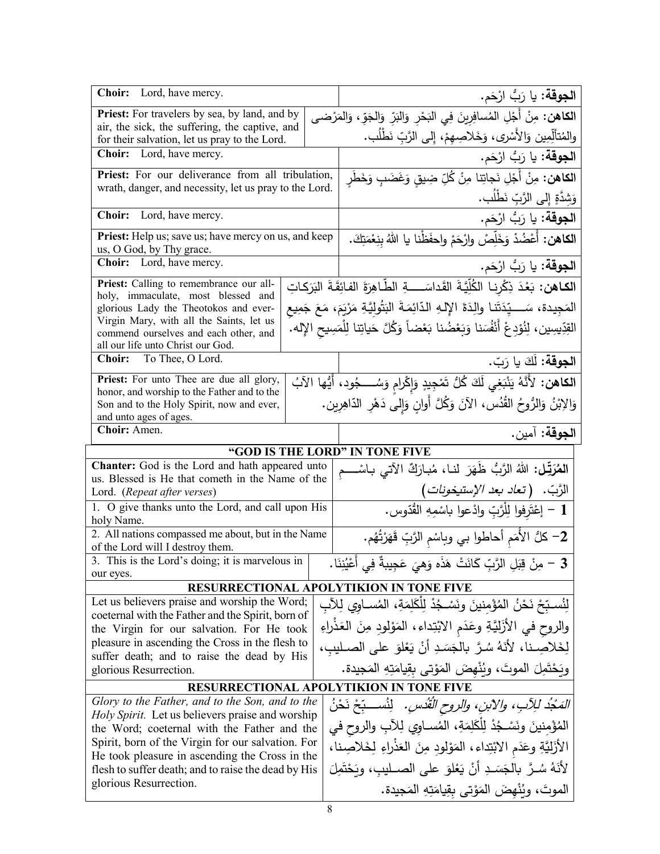| Choir: Lord, have mercy.                                                                                   | ا <b>لجوقة:</b> يا رَبُّ ارْحَم.                                                                   |
|------------------------------------------------------------------------------------------------------------|----------------------------------------------------------------------------------------------------|
| <b>Priest:</b> For travelers by sea, by land, and by                                                       | الكاهن: مِنْ أَجْلِ المُسافِرِينَ فِي البَحْرِ وَالنِّرِّ وَالجَوِّ، وَالمَرْضى                    |
| air, the sick, the suffering, the captive, and<br>for their salvation, let us pray to the Lord.            | والمُتألِّمِين وَالأَسْرِي، وَخَلاصِهِمْ، إِلى الرَّبِّ نَطْلُب.                                   |
| <b>Choir:</b> Lord, have mercy.                                                                            | ا <b>لجوقة:</b> يا رَبُّ ارْحَم.                                                                   |
| Priest: For our deliverance from all tribulation,                                                          | ا <b>لكاهن:</b> مِنْ أَجْلِ نَجاتِنا مِنْ كُلِّ ضِيقٍ وَغَضَبٍ وَخَطَرٍ                            |
| wrath, danger, and necessity, let us pray to the Lord.                                                     | وَشَدَّةٍ إِلَى الرَّبِّ نَطْلُب.                                                                  |
| Choir: Lord, have mercy.                                                                                   | ا <b>لجوقة:</b> يا رَبُّ ارْحَم.                                                                   |
| Priest: Help us; save us; have mercy on us, and keep<br>us, O God, by Thy grace.                           | ا <b>لكاهن:</b> أَعْضُدْ وَخَلِّصْ وارْحَمْ واحفَظْنا يا اللهُ بِنِعْمَتِكَ.                       |
| <b>Choir:</b> Lord, have mercy.                                                                            | ا <b>لجوقة:</b> يا رَبُّ ارْحَم.                                                                   |
| Priest: Calling to remembrance our all-                                                                    |                                                                                                    |
| holy, immaculate, most blessed and                                                                         | ا <b>لكـاهن:</b> بَعْدَ ذِكْرِنـا الكُلِّيَّةَ القَداسَــــةِ الطَّاهِرَةَ الفائِقَةَ البَرَكـاتِ  |
| glorious Lady the Theotokos and ever-                                                                      | المَجِيدة، سَـــــيِّدَتَنـا والِدَةَ الإِلـهِ الدّائِمَـةَ البَتُولِيَّـةِ مَرْيَمَ، مَعَ جَمِيع  |
| Virgin Mary, with all the Saints, let us<br>commend ourselves and each other, and                          | القِدِّيسِين، لِنُوْدِعْ أَنْفُسَنا وَبَعْضُنا بَعْضاً وَكُلَّ حَياتِنا لِلْمَسِيحِ الإِله. ۖ      |
| all our life unto Christ our God.                                                                          |                                                                                                    |
| Choir: To Thee, O Lord.                                                                                    | ا <b>لجوقة:</b> لَكَ يا رَبّ.                                                                      |
| Priest: For unto Thee are due all glory,                                                                   | ا <b>لكاهن:</b> لأَنَّهُ يَنْبَغِي لَكَ كُلُّ تَمْجِيدٍ وَإِكْرامِ وَسُـــجُودِ، أَيُّها الآبُ     |
| honor, and worship to the Father and to the                                                                | وَالِابْنُ وَالرُّوحُ القُدُس، الآنَ وَكُلَّ أُوانٍ وَإِلَى دَهْرِ الدَّاهِرِين.                   |
| Son and to the Holy Spirit, now and ever,<br>and unto ages of ages.                                        |                                                                                                    |
| Choir: Amen.                                                                                               | ا <b>لجوقة:</b> آمين.                                                                              |
|                                                                                                            |                                                                                                    |
|                                                                                                            |                                                                                                    |
|                                                                                                            | "GOD IS THE LORD" IN TONE FIVE                                                                     |
| <b>Chanter:</b> God is the Lord and hath appeared unto<br>us. Blessed is He that cometh in the Name of the | الشَرَتِّل: اللهُ الرَّبُّ ظَهَرَ لنـا، مُبارَكٌ الآتي بـاسْـــم                                   |
| Lord. (Repeat after verses)                                                                                |                                                                                                    |
| 1. O give thanks unto the Lord, and call upon His                                                          | الرَّبّ.   (تع <i>اد بعد الإستيخونات</i> )<br>1 – إغْتَرِفوا لِلْرَّبِّ وادْعوا باسْمِهِ القُدّوس. |
| holy Name.                                                                                                 |                                                                                                    |
| 2. All nations compassed me about, but in the Name<br>of the Lord will I destroy them.                     | ـ 2– كلُّ الأُمَمِ أحاطوا بي وباسْمِ الرَّبِّ قَهَرْتُهُم.                                         |
| 3. This is the Lord's doing; it is marvelous in                                                            |                                                                                                    |
| our eyes.                                                                                                  | 3 – مِنْ قِبَلِ الرَّبِّ كَانَتْ هَذَه وَهِيَ عَجِيبةٌ فِي أَعْيُنِنَا.                            |
|                                                                                                            | <b>RESURRECTIONAL APOLYTIKION IN TONE FIVE</b>                                                     |
| Let us believers praise and worship the Word;                                                              | لِنُسبّحْ نَحْنُ المُؤْمِنينَ ونَسْـجُدْ لِلكَلِمَةِ، المُســاوي لِلآبِ                            |
| coeternal with the Father and the Spirit, born of<br>the Virgin for our salvation. For He took             |                                                                                                    |
| pleasure in ascending the Cross in the flesh to                                                            | والروح في الأزَليَّةِ وعَدَمِ الابْتِداءِ، المَوْلودِ مِنَ العَذْراءِ                              |
| suffer death; and to raise the dead by His                                                                 | لِخَلاصِـنا، لأَنَهُ سُرَّ بِالْجَسَدِ أَنْ يَعْلَوَ على الصـليبِ،                                 |
| glorious Resurrection.                                                                                     | وبَحْتَمِلَ الموتَ، وبُنْهضَ المَوْتي بقِيامَتِهِ المَجيدة.                                        |
|                                                                                                            | <b>RESURRECTIONAL APOLYTIKION IN TONE FIVE</b>                                                     |
| Glory to the Father, and to the Son, and to the                                                            | المَجْدُ لِلِآبِ، والآبنِ، والروحِ الْقُدْسِ. ۖ لِنُســبِّحْ نَحْنُ                                |
| Holy Spirit. Let us believers praise and worship<br>the Word; coeternal with the Father and the            | المُؤْمِنينَ ونَسْجُدْ لِلْكَلِمَةِ، المُسـاوِي لِلآبِ والروحِ في                                  |
| Spirit, born of the Virgin for our salvation. For                                                          |                                                                                                    |
| He took pleasure in ascending the Cross in the                                                             | الأَزَلِيَّةِ وعَدَمِ الابْتِداءِ ، المَوْلُودِ مِنَ الْعَذْرَاءِ لِخَلاصِنا ،                     |
| flesh to suffer death; and to raise the dead by His                                                        | لأَنَهُ سُـرَّ  بالجَسَـدِ  أَنْ يَعْلَوَ  على  الصــليب،  وبَحْتَمِلَ                             |
| glorious Resurrection.                                                                                     | الموتَ، ويُنْهضَ المَوْتي بقِيامَتِهِ المَجيدة.                                                    |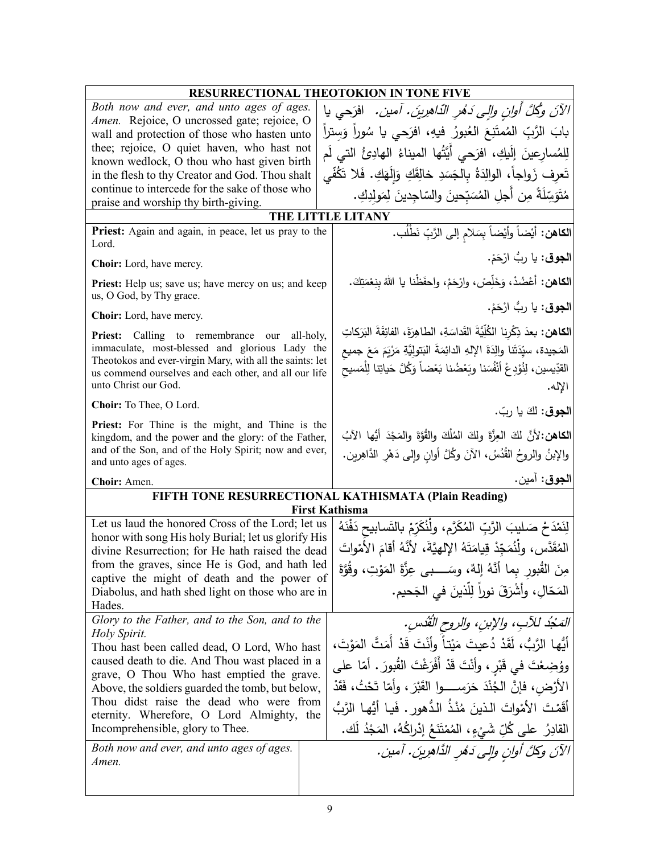| RESURRECTIONAL THEOTOKION IN TONE FIVE                                                                                                                                                                                                                                                                                                                                                                                                               |                                                                                                                                                                                                                                                                                                                                                                                                                                                                              |  |
|------------------------------------------------------------------------------------------------------------------------------------------------------------------------------------------------------------------------------------------------------------------------------------------------------------------------------------------------------------------------------------------------------------------------------------------------------|------------------------------------------------------------------------------------------------------------------------------------------------------------------------------------------------------------------------------------------------------------------------------------------------------------------------------------------------------------------------------------------------------------------------------------------------------------------------------|--|
| Both now and ever, and unto ages of ages.<br>Amen. Rejoice, O uncrossed gate; rejoice, O                                                                                                                                                                                                                                                                                                                                                             | الآنَ وكُلَّ أُولِنِ وَإِلِي دَهُرِ الدَّاهِرِينَ. آمين.   افرَحي يا                                                                                                                                                                                                                                                                                                                                                                                                         |  |
| wall and protection of those who hasten unto<br>thee; rejoice, O quiet haven, who hast not                                                                                                                                                                                                                                                                                                                                                           | بابَ الرَّبِّ الْمُمتَنِعَ الْعُبورُ فيهِ، افرَحى يا سُوراً وَستراً                                                                                                                                                                                                                                                                                                                                                                                                          |  |
| known wedlock, O thou who hast given birth                                                                                                                                                                                                                                                                                                                                                                                                           | لِلمُسارعينَ إِلَيكِ، افرَحى أَيَّتُها الميناءُ الهادِئُ التي لَم                                                                                                                                                                                                                                                                                                                                                                                                            |  |
| in the flesh to thy Creator and God. Thou shalt                                                                                                                                                                                                                                                                                                                                                                                                      | تَعرِف زَواجاً، الوالِدَةُ بِالجَسَدِ خالِقَكِ وَإِلَهَكِ. فَلا تَكُفَّى                                                                                                                                                                                                                                                                                                                                                                                                     |  |
| continue to intercede for the sake of those who<br>praise and worship thy birth-giving.                                                                                                                                                                                                                                                                                                                                                              | مُتَوَسِّلَةً مِن أجلِ المُسَبِّحينَ والسّاجِدينَ لِمَولِدِكِ.                                                                                                                                                                                                                                                                                                                                                                                                               |  |
|                                                                                                                                                                                                                                                                                                                                                                                                                                                      | THE LITTLE LITANY                                                                                                                                                                                                                                                                                                                                                                                                                                                            |  |
| Priest: Again and again, in peace, let us pray to the<br>Lord.                                                                                                                                                                                                                                                                                                                                                                                       | ا <b>لكاهن:</b> أيْضاً وأيْضاً بِسَلام إلى الرَّبِّ نَطْلُب.                                                                                                                                                                                                                                                                                                                                                                                                                 |  |
| Choir: Lord, have mercy.                                                                                                                                                                                                                                                                                                                                                                                                                             | ا <b>لجوق</b> : يا ربُ ارْحَمْ.                                                                                                                                                                                                                                                                                                                                                                                                                                              |  |
| Priest: Help us; save us; have mercy on us; and keep<br>us, O God, by Thy grace.                                                                                                                                                                                                                                                                                                                                                                     | ا <b>لكاهن:</b> أعْضُدْ، وَخَلِّصْ، وارْحَمْ، واحفَظْنا يا اللهُ بِنِعْمَتِكَ.                                                                                                                                                                                                                                                                                                                                                                                               |  |
| Choir: Lord, have mercy.                                                                                                                                                                                                                                                                                                                                                                                                                             | ا <b>لجوق</b> : يا رِبُّ ارْحَمْ.                                                                                                                                                                                                                                                                                                                                                                                                                                            |  |
| <b>Priest:</b> Calling to remembrance our<br>all-holy,<br>immaculate, most-blessed and glorious Lady the<br>Theotokos and ever-virgin Mary, with all the saints: let<br>us commend ourselves and each other, and all our life<br>unto Christ our God.                                                                                                                                                                                                | ا <b>لكاهن:</b> بعدَ ذِكْرِنا الكُلِّيَّةَ القَداسَةِ، الطاهِرَةَ، الفائِقَةَ البَرَكاتِ<br>المَجيدة، سيِّدَتَنا والِدَةَ الإِلهِ الدائِمَةَ البَتولِيَّةِ مَرْيَمَ مَعَ جميع<br>القدِّيسين، لِنُؤدِعْ أَنْفُسَنا وبَعْضُنا بَعْضاً وَكُلَّ حَياتِنا لِلْمَسيح<br>الإله.                                                                                                                                                                                                     |  |
| Choir: To Thee, O Lord.                                                                                                                                                                                                                                                                                                                                                                                                                              | ا <b>لجوق</b> : لكَ يا ربّ.                                                                                                                                                                                                                                                                                                                                                                                                                                                  |  |
| Priest: For Thine is the might, and Thine is the<br>kingdom, and the power and the glory: of the Father,<br>and of the Son, and of the Holy Spirit; now and ever,<br>and unto ages of ages.                                                                                                                                                                                                                                                          | الكاهن:لأنَّ لكَ العِزَّةَ ولكَ المُلْكَ والقُوَّةَ والمَجْدَ أَيُّها الآبُ<br>والإبنُ والروحُ القُدُسُ، الآنَ وكُلَّ أوانِ وإلى دَهْرِ الدَّاهِرين.                                                                                                                                                                                                                                                                                                                         |  |
| Choir: Amen.                                                                                                                                                                                                                                                                                                                                                                                                                                         | ا <b>لجوق</b> : آمين.                                                                                                                                                                                                                                                                                                                                                                                                                                                        |  |
| FIFTH TONE RESURRECTIONAL KATHISMATA (Plain Reading)<br><b>First Kathisma</b>                                                                                                                                                                                                                                                                                                                                                                        |                                                                                                                                                                                                                                                                                                                                                                                                                                                                              |  |
| Let us laud the honored Cross of the Lord; let us<br>honor with song His holy Burial; let us glorify His<br>divine Resurrection; for He hath raised the dead<br>from the graves, since He is God, and hath led<br>captive the might of death and the power of<br>Diabolus, and hath shed light on those who are in<br>Hades.                                                                                                                         | لِنَمْدَحْ صَليبَ الرَّبِّ المُكَرَّمِ، ولْنُكَرِّمْ بِالنَّسابيحِ دَفْنَهُ<br>المُقَدَّس، ولْنُمَجِّدْ قِيامَتَهُ الإلهيَّةَ، لأنَّهُ أقامَ الأمْواتَ<br>مِنَ القُبورِ بِما أنَّهُ إلهٌ، وسَـــبي عِزَّةَ المَوْتِ، وقُوَّةَ<br>المَحّالِ، وأشْرَقَ نوراً لِلَّذينَ في الجَحيم.                                                                                                                                                                                             |  |
| Glory to the Father, and to the Son, and to the<br>Holy Spirit.<br>Thou hast been called dead, O Lord, Who hast<br>caused death to die. And Thou wast placed in a<br>grave, O Thou Who hast emptied the grave.<br>Above, the soldiers guarded the tomb, but below,<br>Thou didst raise the dead who were from<br>eternity. Wherefore, O Lord Almighty, the<br>Incomprehensible, glory to Thee.<br>Both now and ever, and unto ages of ages.<br>Amen. | المَحْدُ للآبِ، والإبنِ، والروحِ القُدُسِ.<br>أَيُّها الرَّبُّ، لَقَدْ دُعيتَ مَيْتاً وأَنْتَ قَدْ أَمَتَّ الْمَوْتَ،<br>ووُضِعْتَ في قَبْرٍ ، وأَنْتَ قَدْ أَفْرَغْتَ القُبورَ . أمّا على<br>الأَرْضِ، فَإِنَّ الْجُنْدَ حَرَسِــــوا القَبْرَ ، وأَمّا تَحْتُ، فَقَدْ<br>أَقَمْتَ الأَمْواتَ الذينَ مُنْذُ الدُّهورِ . فَيا أَيُّها الرَّبُّ<br>القادِرُ على كُلِّ شَيْءٍ، المُمْتَنَعُ إِدْرِاكُهُ، المَجْدُ لَك.<br>الآنَ وكلَّ أُوانِ والِي دَهْرِ الذَّاهِرِينَ. آمين. |  |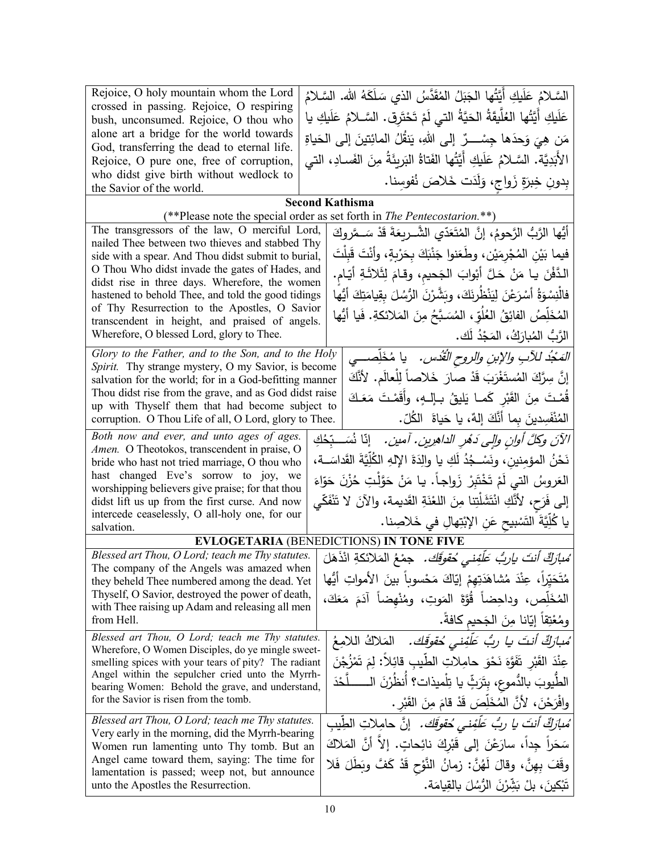| Rejoice, O holy mountain whom the Lord                                                                      | السَّـلامُ عَلَيكِ أَيَّتُها الْجَبَلُ المُقَدَّسُ الذي سَلَكَهُ الله. السَّـلامُ    |
|-------------------------------------------------------------------------------------------------------------|--------------------------------------------------------------------------------------|
| crossed in passing. Rejoice, O respiring<br>bush, unconsumed. Rejoice, O thou who                           | عَلَيكِ أَيَّتُها العُلَّيقَةُ الحَيَّةُ التي لَمْ تَحْتَرِق. السَّـلامُ عَلَيكِ يا  |
| alone art a bridge for the world towards                                                                    | مَن هِيَ وَحدَها جِسْـــرٌ  إلى اللهِ، يَنفُلُ المائِتينَ إلى الحَياةِ               |
| God, transferring the dead to eternal life.                                                                 |                                                                                      |
| Rejoice, O pure one, free of corruption,                                                                    | الأَبَدِيَّة. السَّـلامُ عَلَيكِ أَيَّتُها الفَتاةُ البَرِيئَةُ مِنَ الفَسـادِ، التي |
| who didst give birth without wedlock to<br>the Savior of the world.                                         | بِدونِ خِبزَةٍ زَواجٍ، وَلَدَت خَلاصَ نُفوسِنا.                                      |
|                                                                                                             | <b>Second Kathisma</b>                                                               |
|                                                                                                             | (**Please note the special order as set forth in <i>The Pentecostarion</i> .**)      |
| The transgressors of the law, O merciful Lord,<br>nailed Thee between two thieves and stabbed Thy           | أَيُّها الرَّبُّ الرَّحومُ، إنَّ المُتَعَدّى الشَّــربعَةَ قَدْ سَــمَّروكَ          |
| side with a spear. And Thou didst submit to burial,                                                         | فيما بَيْنِ الْمُجْرِمَيْنِ، وطَعَنوا جَنْبَكَ بِحَرْبِةٍ، وأَنْتَ قَبِلْتَ          |
| O Thou Who didst invade the gates of Hades, and                                                             | الدَّفْنَ يا مَنْ حَلَّ أَبْوابَ الجَحيمِ، وقامَ لِثَلاثَةِ أَيّام.                  |
| didst rise in three days. Wherefore, the women<br>hastened to behold Thee, and told the good tidings        | فالْنِسْوَةُ أَسْرَعْنَ لِيَنْظُرِنَكَ، وبَشَّرْنَ الرُّسُلَ بِقِيامَتِكَ أَيُّها    |
| of Thy Resurrection to the Apostles, O Savior                                                               | المُخَلِّصُ الفائِقُ العُلُوّ ، المُسَبَّحُ مِنَ المَلائكةِ. فَيا أَيُّها            |
| transcendent in height, and praised of angels.                                                              |                                                                                      |
| Wherefore, O blessed Lord, glory to Thee.                                                                   | الرَّبُّ المُبارَكُ، المَجْدُ لَك.                                                   |
| Glory to the Father, and to the Son, and to the Holy<br>Spirit. Thy strange mystery, O my Savior, is become | المَجْدُ للآبِ والإبنِ والروحِ الْقُدْسِ.     يا مُخَلِّصـــي                        |
| salvation for the world; for in a God-befitting manner                                                      | إِنَّ سِرَّكَ الْمُستَغْرَبَ قَدْ صارَ خَلاصاً لِلْعالَمِ. لأَنَّكَ                  |
| Thou didst rise from the grave, and as God didst raise                                                      | قُمْتَ مِنَ القَبْرِ كَمـا يَليقُ بـإلـهٍ، وأَقَمْتَ مَعَكَ                          |
| up with Thyself them that had become subject to<br>corruption. O Thou Life of all, O Lord, glory to Thee.   | المُنْفَسِدينَ بما أنَّكَ إِلهٌ، يا حَياةَ   الكُلِّ.                                |
| Both now and ever, and unto ages of ages.                                                                   | الآنَ وكلَّ أُوانِ وإلى دَهْرِ الداهرِينِ. آمينِ.   إنَّا نُسَــبِّحُكِ              |
| Amen. O Theotokos, transcendent in praise, O                                                                | نَحْنُ المؤمِنين، ونَسْـجُدُ لَكِ يا والِدَةَ الإِلهِ الكُلِّيَّةَ القَداسَــة،      |
| bride who hast not tried marriage, O thou who<br>hast changed Eve's sorrow to joy, we                       |                                                                                      |
| worshipping believers give praise; for that thou                                                            | العَروسُ التي لَمْ تَخْتَبِرْ زَواجاً. يا مَنْ حَوَّلْتِ حُزْنَ حَوّاءَ              |
| didst lift us up from the first curse. And now                                                              | إلى فَرَح، لأَنَّكِ انْتَشَلْتِنا مِنَ اللَّعْنَةِ القَديمة، والآنَ لا تَنْفَكّي     |
| intercede ceaselessly, O all-holy one, for our<br>salvation.                                                | يا كُلِّيَّةَ التَسْبِيحِ عَنِ الإِبْتِهالِ في خَلاصِنا.                             |
|                                                                                                             | <b>EVLOGETARIA (BENEDICTIONS) IN TONE FIVE</b>                                       |
| Blessed art Thou, O Lord; teach me Thy statutes.                                                            | ُ <i>مْبارَكٌ أَنتَ ياربُ عَلَّفِني حُقوقَك.</i> جمْعُ المَلائكةِ انْذَهَلَ          |
| The company of the Angels was amazed when<br>they beheld Thee numbered among the dead. Yet                  | مُتَحَيِّراً، عِنْدَ مُشاهَدَتِهِمْ إِيّاكَ مَحْسوباً بينَ الأمواتِ أَيُّها          |
| Thyself, O Savior, destroyed the power of death,                                                            | الْمُخَلِّص، وداحِضاً قُوَّةَ الْمَوتِ، ومُنْهضاً آدَمَ مَعَكَ،                      |
| with Thee raising up Adam and releasing all men<br>from Hell.                                               | ومُعْتِقاً إِيّانا مِنَ الْجَحيم كافةً.                                              |
| Blessed art Thou, O Lord; teach me Thy statutes.                                                            | مُ <i>بارَكٌ أنتَ يا ربٌ عَلَّفِنى حُقوقَك.</i> المَلاكُ اللامِعُ                    |
| Wherefore, O Women Disciples, do ye mingle sweet-                                                           |                                                                                      |
| smelling spices with your tears of pity? The radiant<br>Angel within the sepulcher cried unto the Myrrh-    | عِنْدَ الْقَبْرِ تَفَوَّهَ نَحْوَ حامِلاتِ الطَّيبِ قائِلاً: لِمَ تَمْزُجْنَ         |
| bearing Women: Behold the grave, and understand,                                                            | الطِّيوبَ بالدُّموعِ، بِتَرَثِّ يا تِلْميذات؟ أَنظُرْنَ الـــــــلَّحْدَ             |
| for the Savior is risen from the tomb.                                                                      | وافْرَحْنَ، لأَنَّ المُخَلِّصَ قَدْ قامَ مِنَ القَبْرِ .                             |
| Blessed art Thou, O Lord; teach me Thy statutes.                                                            | ُ <i>مبارَكٌ أنتَ يا ربُّ عَلَّفِنى مُقوقَك.</i> إنَّ حامِلاتِ الطِّيبِ              |
| Very early in the morning, did the Myrrh-bearing<br>Women run lamenting unto Thy tomb. But an               | سَحَراً جِداً، سارَعْنَ إلى قَبْرِكَ نائِحاتٍ. إلاّ أنَّ المَلاكَ                    |
| Angel came toward them, saying: The time for                                                                | وقَفَ بِهِنَّ، وقالَ لَهُنَّ: زمانُ النَّوْحِ قَدْ كَفَّ وبَطَلَ فَلا                |
| lamentation is passed; weep not, but announce<br>unto the Apostles the Resurrection.                        | تَبْكِينَ، بِلْ بَشِّرْنَ الرُّسُلَ بِالْقِيامَةِ.                                   |
|                                                                                                             |                                                                                      |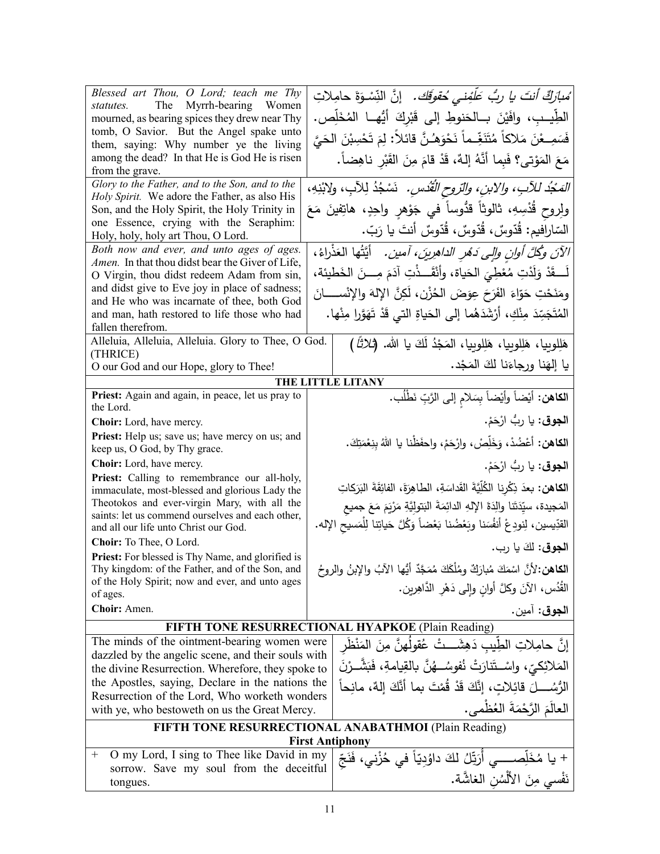| Blessed art Thou, O Lord; teach me Thy<br>statutes. The Myrrh-bearing Women<br>mourned, as bearing spices they drew near Thy<br>tomb, O Savior. But the Angel spake unto<br>them, saying: Why number ye the living<br>among the dead? In that He is God He is risen<br>from the grave.<br>Glory to the Father, and to the Son, and to the<br>Holy Spirit. We adore the Father, as also His |                                                                                                                             | ُ <i>مبارَكٌ أنتَ يا ربُّ عَلَّفِنى مُقوقَك.</i> إنَّ النِّسْوَةَ حامِلاتِ<br>الطِّيبِ، وافَيْنَ بِــالْحَنوطِ إِلَى قَبْرِكَ أَيُّهِــا الْمُخَلِّص.<br>فَسَمِــعْنَ مَلاكاً مُتَنَغِّــماً نَحْوَهُـنَّ قائلاً: لِمَ تَحْسِبْنَ الْحَيَّ<br>مَعَ المَوْتي؟ فَبِما أَنَّهُ إِلهٌ، قَدْ قامَ مِنَ القَبْرِ ناهِضاً.<br>الصَّبُد للآبِ، والابن، والتروح القُدْسِ. ۚ نَسْجُدُ لِلآبِ، ولابْنِهِ، |
|--------------------------------------------------------------------------------------------------------------------------------------------------------------------------------------------------------------------------------------------------------------------------------------------------------------------------------------------------------------------------------------------|-----------------------------------------------------------------------------------------------------------------------------|------------------------------------------------------------------------------------------------------------------------------------------------------------------------------------------------------------------------------------------------------------------------------------------------------------------------------------------------------------------------------------------------|
| Son, and the Holy Spirit, the Holy Trinity in<br>one Essence, crying with the Seraphim:<br>Holy, holy, holy art Thou, O Lord.                                                                                                                                                                                                                                                              | ولِروحٍ قُدْسِهِ، ثالوثاً قدُّوساً في جَوْهِرٍ واحِدٍ، هاتِفينَ مَعَ<br>السّارافيم: قُدّوسٌ، قُدّوسٌ، قُدّوسٌ أنتَ يا رَبّ. |                                                                                                                                                                                                                                                                                                                                                                                                |
| Both now and ever, and unto ages of ages.<br>Amen. In that thou didst bear the Giver of Life,<br>O Virgin, thou didst redeem Adam from sin,<br>and didst give to Eve joy in place of sadness;                                                                                                                                                                                              |                                                                                                                             | الآنَ وكُلَّ أُولنِ وإلى دَمُرِ الداهِرِينَ، آمين.   أيَّتُها العَذْراءُ،<br>لَـــقَدْ وَلَدْتِ مُعْطِيَ الحَياة، وأَنْقَـــذْتِ آدَمَ مِــــنَ الخَطيئة،                                                                                                                                                                                                                                      |
| and He who was incarnate of thee, both God<br>and man, hath restored to life those who had<br>fallen therefrom.                                                                                                                                                                                                                                                                            |                                                                                                                             | ومَنَحْتِ حَوّاءَ الفَرَحَ عِوَضَ الحُزْنِ، لَكِنَّ الإِلهَ والإِنْســـــانَ<br>المُتَجَسِّدَ مِنْكِ، أَرْشَدَهُما إلى الحَياةِ التي قَدْ تَهَوَّرا مِنْها.                                                                                                                                                                                                                                    |
| Alleluia, Alleluia, Alleluia. Glory to Thee, O God.<br>(THRICE)<br>O our God and our Hope, glory to Thee!                                                                                                                                                                                                                                                                                  |                                                                                                                             | هَلِلوبِيا، هَلِلوبِيا، هَلِلوبِيا، المَجْدُ لَكَ يا الله. (ثلاثًا)<br>يا إلهَنا ورجاءَنا لكَ المَجْد.                                                                                                                                                                                                                                                                                         |
|                                                                                                                                                                                                                                                                                                                                                                                            |                                                                                                                             | THE LITTLE LITANY                                                                                                                                                                                                                                                                                                                                                                              |
| Priest: Again and again, in peace, let us pray to<br>the Lord.                                                                                                                                                                                                                                                                                                                             |                                                                                                                             | ا <b>لكاهن:</b> أيْضاً وأيْضاً بِسَلامِ إلى الرَّبِّ نَطْلُب.                                                                                                                                                                                                                                                                                                                                  |
| Choir: Lord, have mercy.                                                                                                                                                                                                                                                                                                                                                                   |                                                                                                                             | ا <b>لجوق</b> : يا ربُّ ارْحَمْ.                                                                                                                                                                                                                                                                                                                                                               |
| Priest: Help us; save us; have mercy on us; and<br>keep us, O God, by Thy grace.                                                                                                                                                                                                                                                                                                           |                                                                                                                             | ا <b>لكاهن:</b> أعْضُدْ، وَخَلِّصْ، وارْحَمْ، واحفَظْنا يا اللهُ بِنِعْمَتِكَ.                                                                                                                                                                                                                                                                                                                 |
| Choir: Lord, have mercy.                                                                                                                                                                                                                                                                                                                                                                   |                                                                                                                             | ا <b>لجوق</b> : يا ربُّ ارْحَمْ.                                                                                                                                                                                                                                                                                                                                                               |
| Priest: Calling to remembrance our all-holy,<br>immaculate, most-blessed and glorious Lady the<br>Theotokos and ever-virgin Mary, with all the<br>saints: let us commend ourselves and each other,<br>and all our life unto Christ our God.<br>Choir: To Thee, O Lord.                                                                                                                     |                                                                                                                             | ا <b>لكاهن:</b> بعدَ ذِكْرِنا الكُلِّيَّةَ القَداسَةِ، الطاهِرَةَ، الفائِقَةَ البَرَكاتِ<br>المَجيدة، سيِّدَتَنا والِدَةَ الإِلهِ الدائِمَةَ البَتولِيَّةِ مَرْيَمَ مَعَ جميع<br>القدِّيسين، لِنودِعْ أنفُسَنا وبَعْضُنا بَعْضاً وَكُلَّ حَياتِنا لِلْمَسيحِ الإله.                                                                                                                            |
| Priest: For blessed is Thy Name, and glorified is                                                                                                                                                                                                                                                                                                                                          |                                                                                                                             | ا <b>لجوق:</b> لكَ يا رب.                                                                                                                                                                                                                                                                                                                                                                      |
| Thy kingdom: of the Father, and of the Son, and<br>of the Holy Spirit; now and ever, and unto ages<br>of ages.                                                                                                                                                                                                                                                                             |                                                                                                                             | ا <b>لكاهن:</b> لأنَّ اسْمَكَ مُبارَكٌ ومُلْكَكَ مُمَجَّدٌ أيُّها الآبُ والإبنُ والروحُ<br>الْقُدُس، الآنَ وكلَّ أُوانِ وإلى دَهْرِ الدَّاهِرِينِ.                                                                                                                                                                                                                                             |
| Choir: Amen.                                                                                                                                                                                                                                                                                                                                                                               |                                                                                                                             | ا <b>لجوق</b> : آمين.                                                                                                                                                                                                                                                                                                                                                                          |
|                                                                                                                                                                                                                                                                                                                                                                                            |                                                                                                                             | FIFTH TONE RESURRECTIONAL HYAPKOE (Plain Reading)                                                                                                                                                                                                                                                                                                                                              |
| The minds of the ointment-bearing women were<br>dazzled by the angelic scene, and their souls with<br>the divine Resurrection. Wherefore, they spoke to<br>the Apostles, saying, Declare in the nations the                                                                                                                                                                                |                                                                                                                             | إِنَّ حامِلاتِ الطِّيبِ دَهِشَـــتْ عُقولَهنَّ مِنَ المَنْظَر<br>المَلائِكيِّ، واسْــتَنارَتْ نُفوسُـــهُنَّ بالقِيامةِ، فَبَشّــرْنَ<br>الرُّسُـــــلَ قائِلاتٍ، إنَّكَ قَدْ قُمْتَ بما أنَّكَ إلهٌ، مانحاً                                                                                                                                                                                   |
| Resurrection of the Lord, Who worketh wonders<br>with ye, who bestoweth on us the Great Mercy.                                                                                                                                                                                                                                                                                             |                                                                                                                             | العالَمَ الرَّحْمَةَ العُظْمي.                                                                                                                                                                                                                                                                                                                                                                 |
|                                                                                                                                                                                                                                                                                                                                                                                            |                                                                                                                             | FIFTH TONE RESURRECTIONAL ANABATHMOI (Plain Reading)                                                                                                                                                                                                                                                                                                                                           |
| <b>First Antiphony</b>                                                                                                                                                                                                                                                                                                                                                                     |                                                                                                                             |                                                                                                                                                                                                                                                                                                                                                                                                |
| O my Lord, I sing to Thee like David in my<br>$^+$<br>sorrow. Save my soul from the deceitful<br>tongues.                                                                                                                                                                                                                                                                                  |                                                                                                                             | + يا مُخَلِّصــــــي أَرَتِّلُ لكَ داوُدِيّاً في خُزْني، فَنَجِّ<br>نَفْسي مِنَ الأَلْسُنِ الغاشَّة.                                                                                                                                                                                                                                                                                           |
|                                                                                                                                                                                                                                                                                                                                                                                            |                                                                                                                             |                                                                                                                                                                                                                                                                                                                                                                                                |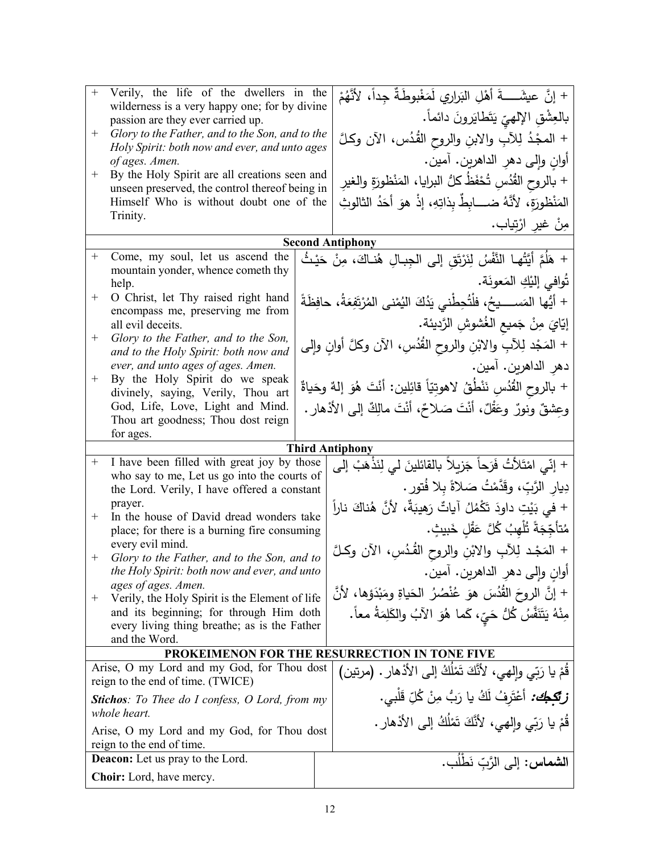| $\boldsymbol{+}$ | Verily, the life of the dwellers in the                                                    |  | + إنَّ عيشَـــــةَ أهْلِ البَراري لَمَغْبوطَةٌ جِداً، لأَنَّهُمْ               |
|------------------|--------------------------------------------------------------------------------------------|--|--------------------------------------------------------------------------------|
|                  | wilderness is a very happy one; for by divine<br>passion are they ever carried up.         |  | بالعِشْقِ الإلهيّ يَتَطْايَرونَ دائماً.                                        |
| $^{+}$           | Glory to the Father, and to the Son, and to the                                            |  | + المجْدُ لِلآبِ والابنِ والروح القُدُس، الآن وكلَّ                            |
|                  | Holy Spirit: both now and ever, and unto ages                                              |  |                                                                                |
| $^+$             | of ages. Amen.<br>By the Holy Spirit are all creations seen and                            |  | أوانِ وإلى دهرِ الداهرين. آمين.                                                |
|                  | unseen preserved, the control thereof being in                                             |  | + بالروح القُدُسِ تُحْفَظُ كلُّ البرايا، المَنْظورَةِ والغير                   |
|                  | Himself Who is without doubt one of the                                                    |  | المَنْظورَةِ، لأنَّهُ ضـــــابِطٌ بِذاتِهِ، إذْ هوَ أَحَدُ الثالوثِ            |
|                  | Trinity.                                                                                   |  | مِنْ غير ارْتِياب.                                                             |
|                  |                                                                                            |  | <b>Second Antiphony</b>                                                        |
| $^{+}$           | Come, my soul, let us ascend the                                                           |  | + هَلُمَّ أَيَّتُها النَّفْسُ لِنَرْتَقِ إلى الجِبالِ هُنـاكَ، مِنْ حَيْثُ     |
|                  | mountain yonder, whence cometh thy<br>help.                                                |  | تُوافى إِلَيْكِ المَعونَة.                                                     |
| $^+$             | O Christ, let Thy raised right hand                                                        |  | + أَيُّها المَســـــيحُ، فلْتُحِطّْني يَدُكَ النُمْني المُرْتَفِعَةُ، حافِظَةً |
|                  | encompass me, preserving me from<br>all evil deceits.                                      |  | إِيّايَ مِنْ جَميعِ الغُشوشِ الرَّديئةِ.                                       |
| $^{+}$           | Glory to the Father, and to the Son,                                                       |  |                                                                                |
|                  | and to the Holy Spirit: both now and                                                       |  | + المَجْد لِلأَبِ والابْنِ والروح الْقُدُسِ، الآن وكلَّ أوانِ وإلى             |
| $^{+}$           | ever, and unto ages of ages. Amen.<br>By the Holy Spirit do we speak                       |  | دهرِ الداهرين. آمين.                                                           |
|                  | divinely, saying, Verily, Thou art                                                         |  | + بالروح القُدُسِ نَنْطُقُ لاهوتِيّاً قائِلين: أنْتَ هُوَ إلهٌ وحَياةٌ         |
|                  | God, Life, Love, Light and Mind.                                                           |  | وعشقٌ ونورٌ وعَقْلٌ، أنْتَ صَلاحٌ، أنْتَ مالِكٌ إلىي الأذهارِ .                |
|                  | Thou art goodness; Thou dost reign<br>for ages.                                            |  |                                                                                |
|                  |                                                                                            |  | <b>Third Antiphony</b>                                                         |
| $^{+}$           | I have been filled with great joy by those                                                 |  | + إنِّي امْتَلأْتُ فَرَحاً جَزِيلاً بالقائلينَ لي لِنَذْهَبْ إلى               |
|                  | who say to me, Let us go into the courts of<br>the Lord. Verily, I have offered a constant |  | دِيارِ الرَّبِّ، وقَدَّمْتُ صَلاةً بِلا فُتورٍ .                               |
|                  | prayer.                                                                                    |  | + في بَيْتِ داوِدَ تَكْمُلُ آياتٌ رَهِيبَةٌ، لأَنَّ هُناكَ ناراً               |
| $^{+}$           | In the house of David dread wonders take                                                   |  | مُتأَجِّجَةً ثُلْهِبُ كُلَّ عَقْلِ خَبيثٍ.                                     |
|                  | place; for there is a burning fire consuming<br>every evil mind.                           |  |                                                                                |
| $^{+}$           | Glory to the Father, and to the Son, and to                                                |  | + المَجْد لِلأَبِ والابْنِ والروح القُـُدسِ، الأن وكملَّ                       |
|                  | the Holy Spirit: both now and ever, and unto<br>ages of ages. Amen.                        |  | أوانِ وإلى دهرِ الداهرين. آمين.                                                |
| $^+$             | Verily, the Holy Spirit is the Element of life                                             |  | + إنَّ الروحَ القُدُسَ هوَ عُنْصُرُ الْحَياةِ ومَبْدَؤِها، لأَنَّ              |
|                  |                                                                                            |  |                                                                                |
|                  | and its beginning; for through Him doth                                                    |  |                                                                                |
|                  | every living thing breathe; as is the Father                                               |  | مِنْهُ يَتَنَفَّسُ كُلُّ حَيٍّ، كَما هُوَ الآبُ والكَلِمَةُ معاً.              |
|                  | and the Word.                                                                              |  | PROKEIMENON FOR THE RESURRECTION IN TONE FIVE                                  |
|                  | Arise, O my Lord and my God, for Thou dost                                                 |  | قُمْ يا رَبِّي والهي، لأَنَّكَ تَمْلَكُ إلى الأَدْهارِ . (مرتين)               |
|                  | reign to the end of time. (TWICE)                                                          |  |                                                                                |
|                  | <b>Stichos:</b> To Thee do I confess, O Lord, from my<br>whole heart.                      |  | <b>زبَّكِكِ،</b> أَعْتَرِفُ لَكُ يا رَبُّ مِنْ كُلِّ قَلْبي.                   |
|                  | Arise, O my Lord and my God, for Thou dost                                                 |  | قُمْ يا رَبِّي وإلهي، لأنَّكَ تَمْلُكُ إلى الأذهار .                           |
|                  | reign to the end of time.                                                                  |  |                                                                                |
|                  | Deacon: Let us pray to the Lord.<br><b>Choir:</b> Lord, have mercy.                        |  | ا <b>لشماس:</b> إلى الرَّبّ نَطْلُب.                                           |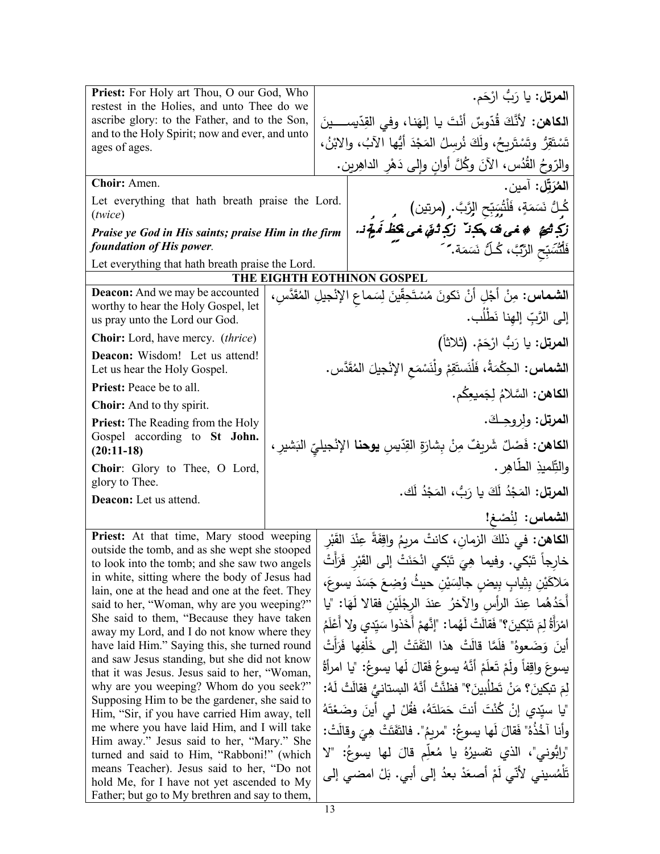| Priest: For Holy art Thou, O our God, Who                                                       | ا <b>لمرتل:</b> يا رَبُّ ارْحَم.                                                                                                 |
|-------------------------------------------------------------------------------------------------|----------------------------------------------------------------------------------------------------------------------------------|
| restest in the Holies, and unto Thee do we                                                      |                                                                                                                                  |
| ascribe glory: to the Father, and to the Son,<br>and to the Holy Spirit; now and ever, and unto | ا <b>لكاهن:</b> لأَنَّكَ قُدّوسٌ أَنْتَ يا إِلهَنا، وفي القِدّيســــينَ                                                          |
| ages of ages.                                                                                   | تَسْتَقِرُ وتَسْتَرِيحُ، ولَكَ نُرسِلُ المَجْدَ أَيُّها الآبُ، والابْنُ،                                                         |
|                                                                                                 | والرّوحُ القُدُس، الآنَ وكُلَّ أوانِ وإلى دَهْرِ الداهِرين.                                                                      |
| Choir: Amen.                                                                                    | المُرَتِّل: آمين.                                                                                                                |
| Let everything that hath breath praise the Lord.<br>(twice)                                     | كُـلٌّ نَسَمَةٍ، فَلْتُسَبِّحِ الرَّبَّ. (مرتين)<br>ز <b>َكِ تُتَحَ ۖ ۞ نحى نَّ يَكَـذُ ۚ زَكِ ثَـقَ نحى يَكَـكُ لَه يَجُون.</b> |
| Praise ye God in His saints; praise Him in the firm                                             |                                                                                                                                  |
| foundation of His power.                                                                        | فَلَّتُسَبِّحِ الرَّبَّ، كُـلُّ نَسَمَة. َ َ                                                                                     |
| Let everything that hath breath praise the Lord.                                                |                                                                                                                                  |
|                                                                                                 | THE EIGHTH EOTHINON GOSPEL                                                                                                       |
| <b>Deacon:</b> And we may be accounted                                                          | ا <b>لشماس:</b> مِنْ أَجْلِ أَنْ نَكونَ مُسْتَحِقِّينَ لِسَماعِ الإِنْجِيلِ المُقَدَّسِ،                                         |
| worthy to hear the Holy Gospel, let<br>us pray unto the Lord our God.                           | إلى الرَّبِّ إلهِنا نَطْلُبٍ.                                                                                                    |
| <b>Choir:</b> Lord, have mercy. <i>(thrice)</i>                                                 | ا <b>لمرتل:</b> يا رَبُّ ارْحَمْ. (ثلاثاً)                                                                                       |
| Deacon: Wisdom! Let us attend!<br>Let us hear the Holy Gospel.                                  | ا <b>لشماس:</b> الحِكْمَةُ، فَلْنَستَقِمْ ولْنَسْمَع الإنْجيلَ المُقَدَّس.                                                       |
| Priest: Peace be to all.                                                                        |                                                                                                                                  |
| Choir: And to thy spirit.                                                                       | ا <b>لكاهن:</b> السَّلامُ لِجَميعِكُم.                                                                                           |
| <b>Priest:</b> The Reading from the Holy                                                        | ا <b>لمرتل:</b> ولروجك.                                                                                                          |
| Gospel according to St John.                                                                    |                                                                                                                                  |
| $(20:11-18)$                                                                                    | ا <b>لكاهن:</b> فَصْلٌ شَريفٌ مِنْ بِشارَةِ القِدّيسِ <b>يوحنا</b> الإنْجيليِّ النَشيرِ ،                                        |
| Choir: Glory to Thee, O Lord,                                                                   | والنِّلميذِ الطَّاهِرِ .                                                                                                         |
| glory to Thee.                                                                                  | ا <b>لمرتل:</b> المَجْدُ لَكَ يا رَبُّ، المَجْدُ لَك.                                                                            |
| Deacon: Let us attend.                                                                          |                                                                                                                                  |
|                                                                                                 | الشماس: لِنُصْغ!                                                                                                                 |
| Priest: At that time, Mary stood weeping                                                        | ا <b>لكاهن:</b> في ذلكَ الزمانِ، كانتْ مريمُ واقِفَةً عِنْدَ القَبْر                                                             |
| outside the tomb, and as she wept she stooped<br>to look into the tomb; and she saw two angels  | خارِجاً تَبْكي. وفيما هِيَ تَبْكي انْحَنَتْ إلى القَبْرِ فَرَأَتْ                                                                |
| in white, sitting where the body of Jesus had                                                   | مَلاكَيْنِ بِثِيابٍ بِيضِ جالِسَيْنِ حيثُ وُضِعَ جَسَدَ يسوعَ،                                                                   |
| lain, one at the head and one at the feet. They                                                 |                                                                                                                                  |
| said to her, "Woman, why are you weeping?"                                                      | أَحَدُهُما عِندَ الرأس والآخرُ عندَ الرجْلَيْنِ فقالا لَهَا: "يا                                                                 |
| She said to them, "Because they have taken<br>away my Lord, and I do not know where they        | امْرَأَةُ لِمَ تَبْكينَ؟" فَقالَتْ لَهُما: "إِنَّهمْ أَخَذُوا سَيّدي ولا أَعْلَمُ                                                |
| have laid Him." Saying this, she turned round                                                   | أينَ وَضَعوهُ" فلَمَّا قالَتْ هذا النَّفَتَتْ إلى خَلْفِها فَرَأتْ                                                               |
| and saw Jesus standing, but she did not know                                                    | يسوعَ واقِفاً ولَمْ تَعلَمْ أَنَّهُ يسوعُ فَقالَ لَها يسوعُ: "يا امرأَةُ                                                         |
| that it was Jesus. Jesus said to her, "Woman,                                                   |                                                                                                                                  |
| why are you weeping? Whom do you seek?"<br>Supposing Him to be the gardener, she said to        | لِمَ تبكينَ؟ مَنْ تَطلُبِينَ؟" فظنَّتْ أنَّهُ السِتانيُّ فقالَتْ لَهُ:                                                           |
| Him, "Sir, if you have carried Him away, tell                                                   | "يا سيّدي إنْ كُنْتَ أنتَ حَمَلتَهُ، فقُلْ لـى أينَ وضَعْتَهُ                                                                    |
| me where you have laid Him, and I will take                                                     | وأنا آخُذُهُ" فَقالَ لَها يسوعُ: "مريمُ". فالتَّفَتَتْ هِيَ وقالَتْ:                                                             |
| Him away." Jesus said to her, "Mary." She<br>turned and said to Him, "Rabboni!" (which          | "رابُّوني"، الذي تفسيرُهُ يا مُعلِّم قالَ لها يسوعُ: "لا                                                                         |
| means Teacher). Jesus said to her, "Do not                                                      | تَلْمُسيني لأنّي لَمْ أَصعَدْ بعدُ إلىي أَبي. بَلْ امضىي إلى                                                                     |
| hold Me, for I have not yet ascended to My                                                      |                                                                                                                                  |

Father; but go to My brethren and say to them,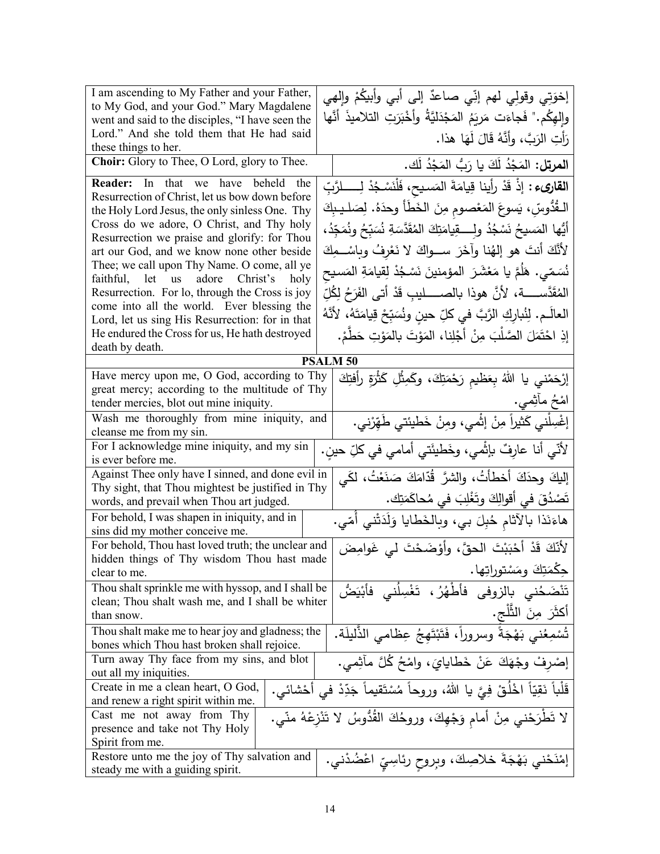| I am ascending to My Father and your Father,                                                                                     | إخوَتِي وقولِي لهم إنِّي صاعدٌ إلى أبي وأبيكُمْ وإلهي                            |  |  |
|----------------------------------------------------------------------------------------------------------------------------------|----------------------------------------------------------------------------------|--|--|
| to My God, and your God." Mary Magdalene                                                                                         | وإِلهِكُم." فَجاءَت مَريَمُ المَجْدَليَّةُ وأَخْبَرَتِ التلاميذَ أنَّها          |  |  |
| went and said to the disciples, "I have seen the<br>Lord." And she told them that He had said                                    |                                                                                  |  |  |
| these things to her.                                                                                                             | رَأْتِ الرَبَّ، وأَنَّهُ قَالَ لَهَا هذا.                                        |  |  |
| Choir: Glory to Thee, O Lord, glory to Thee.                                                                                     | ا <b>لمرتل:</b> المَجْدُ لَكَ يا رَبُّ المَجْدُ لَك.                             |  |  |
| Reader: In that we have beheld<br>the                                                                                            | ا <b>لقارىء :</b> إذْ قَدْ رأينا قِيامَةَ المَسيح، فَلْنَسْجُدْ لِــــــلرَّبِّ  |  |  |
| Resurrection of Christ, let us bow down before                                                                                   |                                                                                  |  |  |
| the Holy Lord Jesus, the only sinless One. Thy                                                                                   | الـقُدُّوسِّ، يَسوعَ المَعْصومِ مِنَ الخَطَأَ وحدَهُ. لِصَليبِكَ                 |  |  |
| Cross do we adore, O Christ, and Thy holy                                                                                        | أَيُّها المَسيحُ نَسْجُدُ ولِــــقِيامَتِكَ المُقَدَّسَةِ نُسَبِّحُ ونُمَجِّدُ،  |  |  |
| Resurrection we praise and glorify: for Thou                                                                                     |                                                                                  |  |  |
| art our God, and we know none other beside                                                                                       | لأَنَّكَ أَنتَ هو إلهُنا وآخَرَ ســواكَ لا نَعْرِفُ وبِاسْــمِكَ                 |  |  |
| Thee; we call upon Thy Name. O come, all ye<br>faithful, let us adore Christ's<br>holy                                           | نُسَمّي. هَلَمَّ يا مَعْشَرَ  المؤمنينَ نَسْجُدْ لِقِيامَةِ المَسيح              |  |  |
| Resurrection. For lo, through the Cross is joy                                                                                   | المُقَدَّســــــة، لأنَّ هوذا بالصـــــــليبِ قَدْ أتـى الفَرَحُ لِكُلِّ         |  |  |
| come into all the world. Ever blessing the                                                                                       | العالَـم. لِنُبارِكِ الرَّبَّ في كلِّ حينِ ونُسَبِّحْ قِيامَتَهُ، لأَنَّهُ       |  |  |
| Lord, let us sing His Resurrection: for in that                                                                                  |                                                                                  |  |  |
| He endured the Cross for us, He hath destroyed<br>death by death.                                                                | إِذِ احْتَمَلَ الصَّلْبَ مِنْ أَجْلِنا، المَوْتَ بالمَوْتِ حَطَّمْ.              |  |  |
|                                                                                                                                  | <b>PSALM 50</b>                                                                  |  |  |
| Have mercy upon me, O God, according to Thy                                                                                      | إرْحَمْني يا اللهُ بِعَظيمِ رَحْمَتِكَ، وكَمِثْلِ كَثْرَةٍ رأفتِكَ               |  |  |
| great mercy; according to the multitude of Thy                                                                                   |                                                                                  |  |  |
| tender mercies, blot out mine iniquity.                                                                                          | امْحُ مَأْثِمي.                                                                  |  |  |
| إغْسِلْني كَثيراً مِنْ إثْمي، ومِنْ خَطْيئتي طَهِّرْني.<br>Wash me thoroughly from mine iniquity, and<br>cleanse me from my sin. |                                                                                  |  |  |
| For I acknowledge mine iniquity, and my sin                                                                                      | لأنّي أنا عارِفٌ بإثْمي، وخَطيئَتي أمامي في كلِّ حينِ.                           |  |  |
| is ever before me.                                                                                                               |                                                                                  |  |  |
| Against Thee only have I sinned, and done evil in                                                                                | إليكَ وحدَكَ أخطأتُ، والشرَّ قُدَّامَكَ صَنَعْتُ، لكَي                           |  |  |
| Thy sight, that Thou mightest be justified in Thy                                                                                | تَصْدُقَ في أقوالِكَ وتَغْلِبَ في مُحاكَمَتِك.                                   |  |  |
| words, and prevail when Thou art judged.                                                                                         |                                                                                  |  |  |
| For behold, I was shapen in iniquity, and in<br>sins did my mother conceive me.                                                  | هاءَنَذا بالآثام حُبِلَ بي، وبالخَطايا وَلَدَتْني أُمّي.                         |  |  |
| For behold, Thou hast loved truth; the unclear and                                                                               | لأَنَّكَ قَدْ أَحْبَبْتَ الْحقَّ، وأَوْضَحْتَ لَي غَوامِضَ                       |  |  |
| hidden things of Thy wisdom Thou hast made                                                                                       |                                                                                  |  |  |
| clear to me.                                                                                                                     | جڭمَتِكَ ومَسْتوراتِها.                                                          |  |  |
| Thou shalt sprinkle me with hyssop, and I shall be                                                                               | تَنْضَحُني بالزوفى فأطْهُرُ ، تَغْسِلُنى فأَبْيَض <i>ُ</i> ّ                     |  |  |
| clean; Thou shalt wash me, and I shall be whiter                                                                                 |                                                                                  |  |  |
| than snow.                                                                                                                       | أكثَرَ مِنَ الثَّلْجِ.                                                           |  |  |
| Thou shalt make me to hear joy and gladness; the                                                                                 | تُسْمِعُنِي بَهْجَةً وسروراً، فَتَبْتَهِجُ عِظامي الذَّليلَة.                    |  |  |
| bones which Thou hast broken shall rejoice.                                                                                      |                                                                                  |  |  |
| Turn away Thy face from my sins, and blot                                                                                        | إِصْرِفْ وِجْهَكَ عَنْ خَطَايَايَ، وَلِمْحُ كُلَّ مآثِمي.                        |  |  |
| out all my iniquities.<br>Create in me a clean heart, O God,                                                                     |                                                                                  |  |  |
| and renew a right spirit within me.                                                                                              | قَلْباً نَقِيّاً اخْلُقْ فِيَّ يا اللهُ، وروحاً مُسْتَقيماً جَدِّدْ في أَحْشائي. |  |  |
| Cast me not away from Thy                                                                                                        | لا تَطْرَحْني مِنْ أمام وَجْهِكَ، وروحُكَ القُدُّوسُ لا تَنْزِعْهُ منّى.         |  |  |
| presence and take not Thy Holy                                                                                                   |                                                                                  |  |  |
| Spirit from me.                                                                                                                  |                                                                                  |  |  |
| Restore unto me the joy of Thy salvation and                                                                                     | إمْنَحْني بَهْجَةَ خلاصِكَ، وبِروحِ رِئاسِيِّ اعْضُدْني.                         |  |  |
| steady me with a guiding spirit.                                                                                                 |                                                                                  |  |  |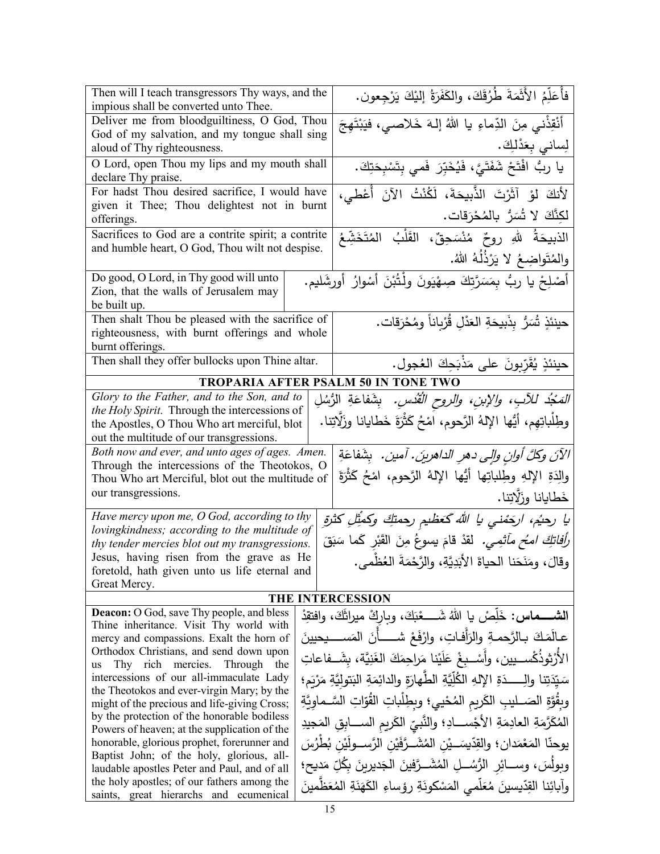| Then will I teach transgressors Thy ways, and the<br>impious shall be converted unto Thee. |  | فأُعَلِّمُ الأَثَمَةَ طُرُقَكَ، والكَفَرَةُ إليْكَ يَرْجِعون.                              |
|--------------------------------------------------------------------------------------------|--|--------------------------------------------------------------------------------------------|
|                                                                                            |  |                                                                                            |
| Deliver me from bloodguiltiness, O God, Thou                                               |  | أَنْقِذْني مِنَ الدِّماءِ يا اللهُ إلهَ خَلاصي، فَيَبْتَهِجَ                               |
| God of my salvation, and my tongue shall sing                                              |  |                                                                                            |
| aloud of Thy righteousness.                                                                |  | لِساني بِعَدْلِكَ.                                                                         |
| O Lord, open Thou my lips and my mouth shall<br>declare Thy praise.                        |  | يا ربُّ افْتَحْ شَفَتَيَّ، فَيُخَبِّرَ فَمي بِتَسْبِحَتِكَ.                                |
| For hadst Thou desired sacrifice, I would have                                             |  | لأَنكَ لَوْ آثَرْتَ الذَّبِيحَةَ، لَكُنْتُ الآنَ أَعْطى،                                   |
| given it Thee; Thou delightest not in burnt                                                |  |                                                                                            |
| offerings.                                                                                 |  | لْكِنَّكَ لَا تُسَرُّ بِالْمُحْرَقاتِ.                                                     |
|                                                                                            |  |                                                                                            |
| Sacrifices to God are a contrite spirit; a contrite                                        |  | الذبيحَةُ للهِ روحٌ مُنْسَحِقٌ، القَلْبُ المُتَخَشِّعُ                                     |
| and humble heart, O God, Thou wilt not despise.                                            |  | والمُتَواضِعُ لا يَرْذُلُهُ اللهُ.                                                         |
| Do good, O Lord, in Thy good will unto                                                     |  | أَصْلِحْ يا ربُّ بِمَسَرَّتِكَ صِهْيَونَ ولْتُبْنَ أَسْوارُ أُورِشَليم.                    |
| Zion, that the walls of Jerusalem may                                                      |  |                                                                                            |
| be built up.                                                                               |  |                                                                                            |
| Then shalt Thou be pleased with the sacrifice of                                           |  |                                                                                            |
| righteousness, with burnt offerings and whole                                              |  | حينئذٍ شُرُّر بِذَبيحَةِ العَدْلِ قُرْبِاناً ومُحْرَقات.                                   |
| burnt offerings.                                                                           |  |                                                                                            |
|                                                                                            |  |                                                                                            |
| Then shall they offer bullocks upon Thine altar.                                           |  | حينئذٍ يُقَرِّبونَ على مَذْبَحِكَ العُجول.                                                 |
|                                                                                            |  | TROPARIA AFTER PSALM 50 IN TONE TWO                                                        |
| Glory to the Father, and to the Son, and to                                                |  | <i>المَجْدُ للأبِ، والإبنِ، والروحِ الْقُدْسِ.</i> بِشَفاعَةِ الرُسُلِ                     |
| the Holy Spirit. Through the intercessions of                                              |  |                                                                                            |
| the Apostles, O Thou Who art merciful, blot                                                |  | وطِلْباتِهِم، أيُها الإِلهُ الرَّحوم، اَمْحُ كَثْرَةَ خَطايانا وزَلَّاتِنا.                |
| out the multitude of our transgressions.                                                   |  |                                                                                            |
| Both now and ever, and unto ages of ages. Amen.                                            |  | الآنَ وكلَّ أوانٍ وإلى دهرِ الداهرينَ. آمين.   بِشَفاعَةِ                                  |
| Through the intercessions of the Theotokos, O                                              |  |                                                                                            |
| Thou Who art Merciful, blot out the multitude of                                           |  | والِدَةِ الإِلهِ وطِلباتِها أَيُّها الإِلهُ الرَّحوم، امْحُ كَثْرَةَ                       |
| our transgressions.                                                                        |  | خَطايانا وزَلَّاتِنا.                                                                      |
|                                                                                            |  |                                                                                            |
| Have mercy upon me, O God, according to thy                                                |  | يا رحيُم، اركِمُني يا الله كَعَظيم رحمتكِ وكمثِّلِ كثرةِ                                   |
| lovingkindness; according to the multitude of                                              |  |                                                                                            |
| thy tender mercies blot out my transgressions.                                             |  | <i>رأفاتكِ امـُح مآثمِي.</i> لقدْ قامَ يسوعُ مِنَ القَبْرِ كَما سَبَقَ                     |
| Jesus, having risen from the grave as He                                                   |  | وقالَ، ومَنَحَنا الحياةَ الأَبَدِيَّةِ، والرَّحْمَةَ العُظْمي.                             |
| foretold, hath given unto us life eternal and                                              |  |                                                                                            |
| Great Mercy.                                                                               |  |                                                                                            |
|                                                                                            |  | THE INTERCESSION                                                                           |
| <b>Deacon:</b> O God, save Thy people, and bless                                           |  | الشـــــماس: خَلَّصْ يا اللهُ شَــــــعْبَكَ، وباركْ ميراثَكَ، وافتقِدْ                    |
| Thine inheritance. Visit Thy world with                                                    |  |                                                                                            |
| mercy and compassions. Exalt the horn of                                                   |  | عـالَمَكَ بـالرَّحمـةِ والزَلْفـاتِ، وارْفَعْ شــــــأنَ المَســــيحيينَ                   |
| Orthodox Christians, and send down upon                                                    |  | الأرْثوذُكْســـيين، وأَسْــبـغْ عَلَيْنا مَراجِمَكَ الغَنِيَّة، بِشَـــفاعاتِ              |
| Thy rich mercies. Through the<br>us                                                        |  |                                                                                            |
| intercessions of our all-immaculate Lady                                                   |  | سَيّدَتِنا والِـــــدَةِ الإِلهِ الكُلِّيّةِ الطّهارَةِ والدائِمَةِ البَتوليَّةِ مَرْبَمِ؛ |
| the Theotokos and ever-virgin Mary; by the<br>might of the precious and life-giving Cross; |  | وبِقَوَّةِ الصَــليبِ الكَريمِ المُحْييِ؛ وبطِلْباتِ القُوّاتِ السَّــماوِيَّةِ            |
| by the protection of the honorable bodiless                                                |  |                                                                                            |
| Powers of heaven; at the supplication of the                                               |  | المُكَرَّمَةِ العادِمَةِ الأَجْســـادِ؛ والنَّبيِّ الكَريمِ الســـابِقِ المَجيدِ           |
| honorable, glorious prophet, forerunner and                                                |  | يوحنّا المَعْمَدان؛ والقِدّيسَـــيْن المُشَـــرَّفَيْن الرَّســـولَيْن بُطْرُسَ            |
| Baptist John; of the holy, glorious, all-                                                  |  |                                                                                            |
| laudable apostles Peter and Paul, and of all                                               |  | وبولُسَ، وســـائِر الرُّسُـــلِ المُشَـــرَّفينَ الْجَديرينَ بِكُلِّ مَديحِ؛               |
| the holy apostles; of our fathers among the                                                |  | وآبائِنا القِدّيسينَ مُعَلَّمى المَسْكونَةِ رؤساءِ الكَهَنَةِ المُعَظِّمينَ                |
| saints, great hierarchs and ecumenical                                                     |  |                                                                                            |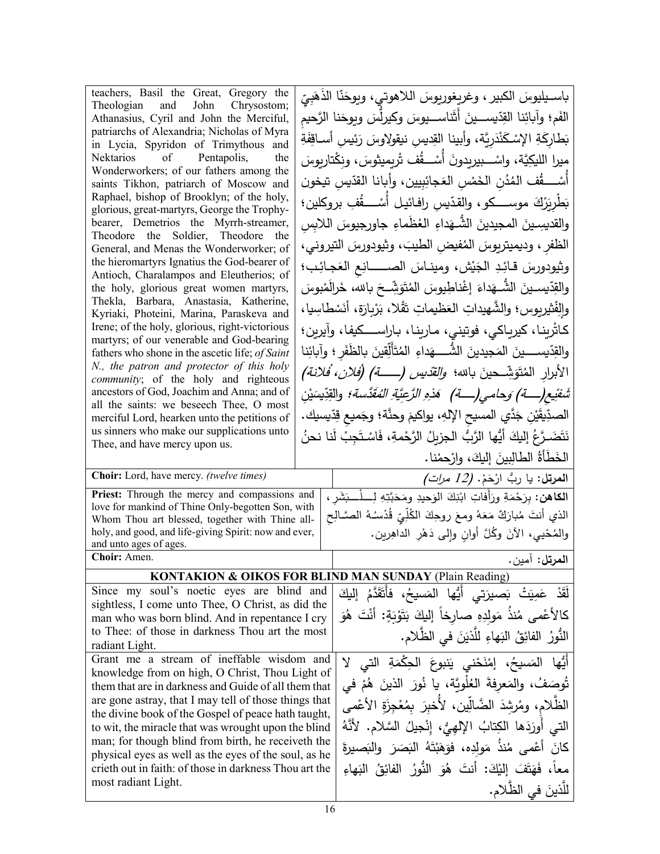| teachers, Basil the Great, Gregory the                                                                     | باسـيليوسَ الكبير ، وغريغوريوسَ اللاهوتي، ويوحَنّا الذَّهَبِيّ                                |
|------------------------------------------------------------------------------------------------------------|-----------------------------------------------------------------------------------------------|
| Theologian and John Chrysostom;<br>Athanasius, Cyril and John the Merciful,                                | الفَم؛ وآبائِنا القِدّيســـينَ أَثَناســـيوسَ وكيرلِّسَ ويوحَنا الرَّحيم                      |
| patriarchs of Alexandria; Nicholas of Myra                                                                 | بَطارِكَةِ الإِسْكَنْدَرِيَّة، وأبينا القِديسِ نيقولِاوسَ رَئِيسِ أَساقِفَةِ                  |
| in Lycia, Spyridon of Trimythous and<br>Nektarios of Pentapolis,<br>the                                    | ميرا الليكِيَّة، واسْـــبيريدونَ أسْــــقُف تْريميثوسَ، ونِكْتاريوسَ                          |
| Wonderworkers; of our fathers among the                                                                    | أَسْـــــقُف المُدُن الْخَمْسِ الْعَجائِبِيين، وأبانا الفَّدّيسِ تيخون                        |
| saints Tikhon, patriarch of Moscow and<br>Raphael, bishop of Brooklyn; of the holy,                        |                                                                                               |
| glorious, great-martyrs, George the Trophy-                                                                | بَطْرِيَرْكَ موســــكو ، والقدّيسِ رافـائيـل أَسْـــــقُفِ بروكلين؛                           |
| bearer, Demetrios the Myrrh-streamer,<br>Theodore the Soldier, Theodore the                                | والقديسِينَ المجيدينَ الشَّـهَداءِ العُظَماءِ جاورجيوسَ اللابِسِ                              |
| General, and Menas the Wonderworker; of                                                                    | الظفرِ ، وديميتريوسَ المُفيضِ الطيبَ، وثيودورسَ التيروني،                                     |
| the hieromartyrs Ignatius the God-bearer of                                                                | وثيودورسَ قائِدِ الْجَيْش، ومينـاسَ الصــــــانِعِ الْعَجـائِب؛                               |
| Antioch, Charalampos and Eleutherios; of<br>the holy, glorious great women martyrs,                        | والقِدّيسـينَ الشَّــهَداءَ إغْناطِيوسَ المُتَوَشِّــحَ بـالله، خَرالَمْبوسَ                  |
| Thekla, Barbara, Anastasia, Katherine,                                                                     | والِفْثيريوس؛ والشَّهيداتِ العَظيماتِ تَقْلا، بَرْيارَة، أَنَسْطَاسِيا،                       |
| Kyriaki, Photeini, Marina, Paraskeva and<br>Irene; of the holy, glorious, right-victorious                 |                                                                                               |
| martyrs; of our venerable and God-bearing                                                                  | كاثرينـا، كيريـاكي، فوتيني، مـارينـا، بـاراســــكيفـا، وآيرين؛                                |
| fathers who shone in the ascetic life; of Saint<br>N., the patron and protector of this holy               | والقِدّيســـــينَ المَجيدينَ الشَّـــــهَداءِ المُتَأَلِّقينَ بالظَفَرِ ؛ وآبائِنا            |
| community; of the holy and righteous                                                                       | الأبرار المُتَوَشِّــحينَ بـالله؛ <i>والقّديس (ـــــــة) (فلان، فلانة)</i>                    |
| ancestors of God, Joachim and Anna; and of                                                                 | <i>شَفْيع(ــــة) وَحامـى(ـــــة) هَذِهِ الرَّعِيَّةِ المُقَدَّسة؛</i> والقِدِّيسَيْن          |
| all the saints: we beseech Thee, O most<br>merciful Lord, hearken unto the petitions of                    | الصدِّيقَيْنِ جَدَّي المسيح الإِلهِ، يواكيمَ وحنَّة؛ وجَميع قِدِّيسيك.                        |
| us sinners who make our supplications unto                                                                 | نَتَضَـرَّعُ إليكَ أَيُّها الرَّبُّ الجزيلُ الرَّحْمةِ، فَاسْتَجِبْ لَنا نحنُ                 |
| Thee, and have mercy upon us.                                                                              | الخَطَأَةُ الطالِبِينَ إِليكَ، وارْحِمْنا.                                                    |
| Choir: Lord, have mercy. (twelve times)                                                                    | ا <b>لمرتل:</b> يا ربُّ ارْحَمْ. <i>(12 مرات)</i>                                             |
| Priest: Through the mercy and compassions and                                                              | ا <b>لكاهن:</b> بِرَحْمَةِ ورَأفاتِ ابْنِكَ الوَحيدِ ومَحَبَّتِهِ لِــــلْـــبَشَرِ ،         |
| love for mankind of Thine Only-begotten Son, with<br>Whom Thou art blessed, together with Thine all-       | الذي أنتَ مُبارَكٌ مَعَهُ ومعَ روحِكَ الكُلِّيّ قُدْسُـهُ الصَّـالِحِ                         |
| holy, and good, and life-giving Spirit: now and ever,                                                      | والمُحْيي، الآنَ وكُلَّ أوانِ وإلى دَهْرِ الداهِرين.                                          |
| and unto ages of ages.                                                                                     |                                                                                               |
| Choir: Amen.                                                                                               | ا <b>لمرتل:</b> آمين.                                                                         |
|                                                                                                            | <b>KONTAKION &amp; OIKOS FOR BLIND MAN SUNDAY (Plain Reading)</b>                             |
| Since my soul's noetic eyes are blind and<br>sightless, I come unto Thee, O Christ, as did the             | لَقَدْ عَمِيَتْ بَصبيرَت <i>ي</i> أَيُّها المَسي <i>حُ</i> ، فأَتَقَدَّمُ إل <del>َي</del> كَ |
| man who was born blind. And in repentance I cry                                                            | كَالأَعْمَى مُنذُ مَولِدِهِ صارِخاً إِلَيكَ بَتَوْبَةٍ: أَنْتَ هُوَ                           |
| to Thee: of those in darkness Thou art the most                                                            | النُّورُ الفائِقُ البَهاءِ للَّذيَنَ في الظَّلامِ.                                            |
| radiant Light.<br>Grant me a stream of ineffable wisdom and                                                |                                                                                               |
| knowledge from on high, O Christ, Thou Light of                                                            | أَيُّها المَسيحُ، إِمْنَحْني يَنبوعَ الْحِكْمَةِ الَّتِي لَا                                  |
| them that are in darkness and Guide of all them that                                                       |                                                                                               |
|                                                                                                            | تُوصَفُ، والمَعرفةَ العُلُويَّة، يا نُورَ الذينَ هُمْ في                                      |
| are gone astray, that I may tell of those things that                                                      | الظَّلام، ومُرشَّدَ الضَّالِّين، لأخبرَ بمُعْجِزَةِ الأعْمى                                   |
| the divine book of the Gospel of peace hath taught,<br>to wit, the miracle that was wrought upon the blind | التي أُورَدَها الكِتابُ الإلهِيُّ، إِنْجِيلُ السَّلامِ. لأَنَّهُ                              |
| man; for though blind from birth, he receiveth the                                                         |                                                                                               |
| physical eyes as well as the eyes of the soul, as he                                                       | كَانَ أَعْمَى مُنذَ مَولَدِه، فوَهَبْتَهُ الْبَصَرَ والْبَصيرةَ                               |
| crieth out in faith: of those in darkness Thou art the<br>most radiant Light.                              | معاً، فَهَتَفَ إِلَيْكَ: أَنتَ هُوَ النُّورُ الفائِقُ الْبَهاءِ<br>للذينَ في الظّلام.         |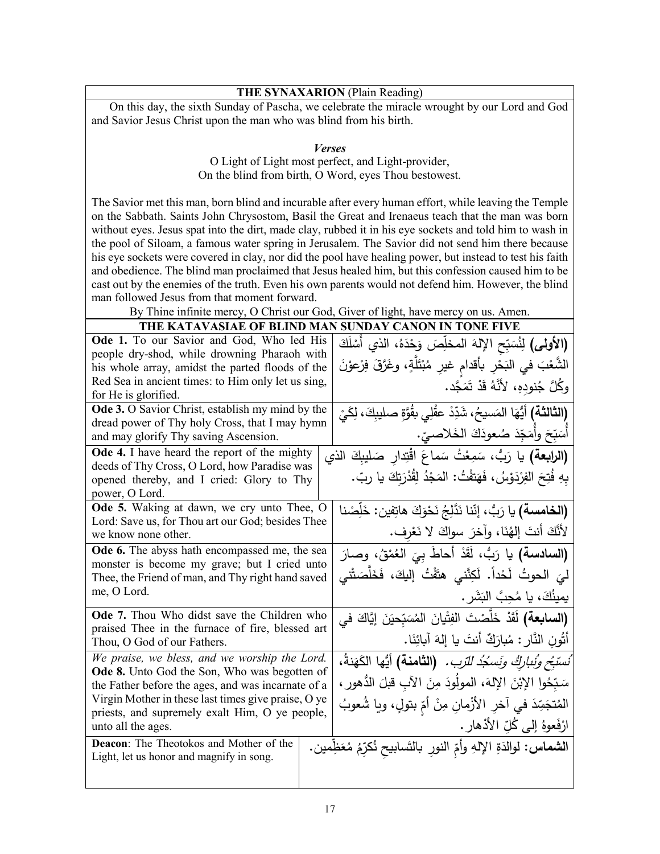## **THE SYNAXARION** (Plain Reading)

 On this day, the sixth Sunday of Pascha, we celebrate the miracle wrought by our Lord and God and Savior Jesus Christ upon the man who was blind from his birth.

*Verses*

O Light of Light most perfect, and Light-provider, On the blind from birth, O Word, eyes Thou bestowest.

The Savior met this man, born blind and incurable after every human effort, while leaving the Temple on the Sabbath. Saints John Chrysostom, Basil the Great and Irenaeus teach that the man was born without eyes. Jesus spat into the dirt, made clay, rubbed it in his eye sockets and told him to wash in the pool of Siloam, a famous water spring in Jerusalem. The Savior did not send him there because his eye sockets were covered in clay, nor did the pool have healing power, but instead to test his faith and obedience. The blind man proclaimed that Jesus healed him, but this confession caused him to be cast out by the enemies of the truth. Even his own parents would not defend him. However, the blind man followed Jesus from that moment forward.

By Thine infinite mercy, O Christ our God, Giver of light, have mercy on us. Amen.

| THE NATAVASIAE OF BEHYD MAI                                                                     | SUNDAT CAROR IN TONE FIVE                                                      |
|-------------------------------------------------------------------------------------------------|--------------------------------------------------------------------------------|
| <b>Ode 1.</b> To our Savior and God, Who led His                                                | (الأولى) لِنُسَبِّحِ الإِلهَ المخلِّصَ وَحْدَهُ، الذي أَسْلَكَ                 |
| people dry-shod, while drowning Pharaoh with                                                    |                                                                                |
| his whole array, amidst the parted floods of the                                                | الشَّعْبَ في النِّحْرِ بأقدام غيرِ مُبْتَلَّةٍ، وغَرَّقَ فِرْعوْنَ             |
| Red Sea in ancient times: to Him only let us sing,                                              | وكُلَّ جُنودِهِ، لأَنَّهُ قَدْ تَمَجَّد.                                       |
| for He is glorified.                                                                            |                                                                                |
| Ode 3. O Savior Christ, establish my mind by the                                                | <b>(الثالثة)</b> أيُّهَا المَسيحُ، شَدِّدْ عقْلِي بقُوَّةِ صليبِكَ، لِكَيْ     |
| dread power of Thy holy Cross, that I may hymn                                                  | أَسَبِّحَ وأَمَجِّدَ صُعودَكَ الْخَلاصيِّ.                                     |
| and may glorify Thy saving Ascension.                                                           |                                                                                |
| Ode 4. I have heard the report of the mighty<br>deeds of Thy Cross, O Lord, how Paradise was    | (الرابعة) يا رَبُّ، سَمِعْتُ سَماعَ اقْتِدار صَليبكَ الذي                      |
| opened thereby, and I cried: Glory to Thy                                                       | بِهِ فُتِحَ الفِرْدَوْسُ، فَهَتفْتُ: المَجْدُ لِقُدْرَتِكَ يا ربّ.             |
| power, O Lord.                                                                                  |                                                                                |
| Ode 5. Waking at dawn, we cry unto Thee, O                                                      |                                                                                |
| Lord: Save us, for Thou art our God; besides Thee                                               | (ا <b>لخامسة)</b> يا رَبُّ، إِنَّنا نَدَّلِجُ نَحْوَكَ هاتِفين: خَلِّصْنا      |
| we know none other.                                                                             | لأَنَّكَ أنتَ إلهُنَا، وآخرَ سواكَ لا نَعْرِف.                                 |
| Ode 6. The abyss hath encompassed me, the sea                                                   |                                                                                |
| monster is become my grave; but I cried unto                                                    | (السادسة) يا رَبٌّ، أقَدْ أحاطَ بِيَ العُمْقُ، وصارَ                           |
| Thee, the Friend of man, and Thy right hand saved                                               | لىَ الحوتُ لَحْداً. لَكِنَّنى هتَفْتُ إِليكَ، فَخَلَّصَتْنى                    |
| me, O Lord.                                                                                     | يمينُكَ، يا مُحِبَّ البَشَرِ .                                                 |
|                                                                                                 |                                                                                |
| Ode 7. Thou Who didst save the Children who<br>praised Thee in the furnace of fire, blessed art | (ا <b>لسابعة)</b> لَقَدْ خَلَّصْتَ الفِتْيانَ المُسَبّحيَنَ إِيَّاكَ في        |
| Thou, O God of our Fathers.                                                                     | أَتُونِ النَّارِ : مُبارَكٌ أَنتَ يا إِلهَ آبائِنَا.                           |
| We praise, we bless, and we worship the Lord.                                                   | ُنستبَ <i>ّح ونُنباركُ ونَسكِذُ للّزب.</i> (ا <b>لثامنة)</b> أيُّها الكَهَنةُ، |
| Ode 8. Unto God the Son, Who was begotten of                                                    |                                                                                |
| the Father before the ages, and was incarnate of a                                              | سَبّحُوا الإِبْنَ الإِلهَ، المولَودَ مِنَ الآبِ قبلَ الدُّهورِ ،               |
| Virgin Mother in these last times give praise, O ye                                             | المُتجَسِّدَ في آخرِ الأَزْمانِ مِنْ أُمِّ بِتولٍ، ويا شُعوبُ                  |
| priests, and supremely exalt Him, O ye people,                                                  |                                                                                |
| unto all the ages.                                                                              | ارْفَعوهُ إِلَى كُلِّ الأَدْهارِ .                                             |
| Deacon: The Theotokos and Mother of the                                                         | ا <b>لشماس:</b> لوالدَةِ الإلهِ وأمِّ النورِ بالتَسابيح نُكرِّمُ مُعَظِّمين.   |
| Light, let us honor and magnify in song.                                                        |                                                                                |
|                                                                                                 |                                                                                |
|                                                                                                 |                                                                                |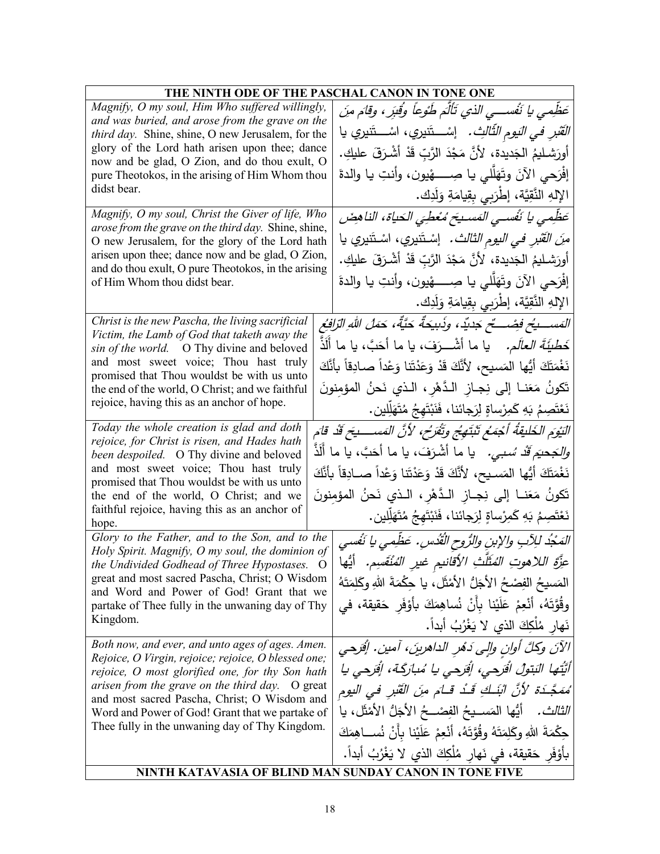| THE NINTH ODE OF THE PASCHAL CANON IN TONE ONE                                                          |                                                 |                                                                                       |  |
|---------------------------------------------------------------------------------------------------------|-------------------------------------------------|---------------------------------------------------------------------------------------|--|
| Magnify, O my soul, Him Who suffered willingly,                                                         |                                                 | عَظِمى يا نَفْســى الذي تَأْلَمَ طَوْعاً وُقِبَرٍ، وقامَ منَ                          |  |
|                                                                                                         | and was buried, and arose from the grave on the |                                                                                       |  |
| third day. Shine, shine, O new Jerusalem, for the<br>glory of the Lord hath arisen upon thee; dance     |                                                 | <i>القَبْرِ في اليَوم الثّالثِ</i> .   إسْـــتَنيري، اسْـــتَنيري يا                  |  |
| now and be glad, O Zion, and do thou exult, O                                                           |                                                 | أُورَشليمُ الْجَديدة، لأَنَّ مَجْدَ الرَّبِّ قَدْ أَشْرَقَ عليكِ.                     |  |
| pure Theotokos, in the arising of Him Whom thou                                                         |                                                 | إفْرَحي الآنَ وتَهَلَّلي يا صِــــــهْيون، وأنتِ يا والدةَ                            |  |
| didst bear.                                                                                             |                                                 | الإلهِ النَّقِيَّة، إطْرَبِي بِقِيامَةِ وَلَدِك.                                      |  |
| Magnify, O my soul, Christ the Giver of life, Who                                                       |                                                 | عَظِمى يا نَفْسـى المَسـيحَ مُعْطِيَ الْحَياةِ، الناهِضَ                              |  |
| arose from the grave on the third day. Shine, shine,<br>O new Jerusalem, for the glory of the Lord hath |                                                 | م <i>ِنَ القَبْرِ في اليوم الثالث.</i> إسْتَنيري، اسْتَنيري يا                        |  |
| arisen upon thee; dance now and be glad, O Zion,                                                        |                                                 | أُورَشليمُ الْجَديدة، لأَنَّ مَجْدَ الرَّبِّ قَدْ أَشْرَقَ عليكِ.                     |  |
| and do thou exult, O pure Theotokos, in the arising                                                     |                                                 |                                                                                       |  |
| of Him Whom thou didst bear.                                                                            |                                                 | إفْرَحي الآنَ وتَهَلَّلي يا صِــــــهْيون، وأنتِ يا والدةَ                            |  |
|                                                                                                         |                                                 | الإِلهِ النَّقِيَّةِ، إطْرَبِي بِقِيامَةِ وَلَدِك.                                    |  |
| Christ is the new Pascha, the living sacrificial<br>Victim, the Lamb of God that taketh away the        |                                                 | المَســـــــــــخ فِصْــــــــّح جَديّد، وذَبيحَةٌ حَيَّةٌ، حَمَلُ اللهِ الرّافِعُ    |  |
| sin of the world. O Thy divine and beloved                                                              |                                                 | خَطْ <i>يَةَ العالَم.</i> يا ما أشْـــرَفَ، يا ما أَحَبَّ، يا ما أَلَذَّ              |  |
| and most sweet voice; Thou hast truly                                                                   |                                                 | نَغْمَتَكَ أَيُّها المَسيح، لأَنَّكَ قَدْ وَعَدْتَنا وَعْداً صـادِقاً بأَنَّكَ        |  |
| promised that Thou wouldst be with us unto<br>the end of the world, O Christ; and we faithful           |                                                 | تَكونُ مَعَنــا إلى نِجــاز الـدَّهْرِ ، الـذي نَحنُ المؤمنونَ                        |  |
| rejoice, having this as an anchor of hope.                                                              |                                                 | نَعْتَصِمُ بَهِ كَمِرْساةٍ لِرَجائنا، فَنَبْتَهِجُ مُتَهَلِّلِين.                     |  |
| Today the whole creation is glad and doth                                                               |                                                 |                                                                                       |  |
| rejoice, for Christ is risen, and Hades hath                                                            |                                                 | النَيْوَمِ الخَليقَةُ أَجْمَعُ تَبْتَهِجُ وتَقْرَحُ، لأَنَّ المَســـــيَحَ قَدْ قَامَ |  |
| been despoiled. O Thy divine and beloved                                                                |                                                 | <i>وللجحيَم قَدْ سُبي.</i> يا ما أشْرَفَ، يا ما أَحَبَّ، يا ما أَلَذَّ                |  |
| and most sweet voice; Thou hast truly<br>promised that Thou wouldst be with us unto                     |                                                 | نَغْمَتَكَ أَيُّها المَسـيح، لأَنَّكَ قَدْ وَعَدْتَنا وَعْداً صــادِقاً بأنَّكَ       |  |
| the end of the world, O Christ; and we                                                                  |                                                 | تَكونُ مَعَنــا إلى نِجــازِ الـدَّهْرِ ، الــذي نَحنُ المؤمِنونَ                     |  |
| faithful rejoice, having this as an anchor of                                                           |                                                 | نَعْتَصِمُ بَهِ كَمِرْساةٍ لِرَجائنا، فَنَبْتَهِجُ مُتَهَلِّلِين.                     |  |
| hope.<br>Glory to the Father, and to the Son, and to the                                                |                                                 |                                                                                       |  |
| Holy Spirit. Magnify, O my soul, the dominion of                                                        |                                                 | المَدْدُ للِآبِ والإبنِ والرُّوحِ القُدْسِ. عَظِمي يا نَفْسي                          |  |
| the Undivided Godhead of Three Hypostases.<br>great and most sacred Pascha, Christ; O Wisdom            | $\circ$                                         | عزَّةِ اللاهوتِ المُتَلَّتِ الأقانيمِ غيرِ المُنْقَسِمِ. ۖ أَيُّها                    |  |
| and Word and Power of God! Grant that we                                                                |                                                 | المَسيحُ الفِصْحُ الأجَلُّ الأَمْثَلِ، يا حِكْمَةَ اللهِ وكَلِمَتَهُ                  |  |
| partake of Thee fully in the unwaning day of Thy                                                        |                                                 | وقُوَّتَهُ، أَنْعِمْ عَلَيْنا بِأَنْ نُساهِمَكَ بِأَوْفَرِ حَقيقة، في                 |  |
| Kingdom.                                                                                                |                                                 | نَهارٍ مُلْكِكَ الذي لا يَغْرُبُ أَبِداً.                                             |  |
| Both now, and ever, and unto ages of ages. Amen.                                                        |                                                 | الآنَ وكلَّ أوان والِي دَهْرِ الداهرينَ، آمين. إفْرَجي                                |  |
| Rejoice, O Virgin, rejoice; rejoice, O blessed one;<br>rejoice, O most glorified one, for thy Son hath  |                                                 | أَيَّتُها الْبَتولُ افْرَحى، إفْرَحى يا مُبارَكَة، إفْرَحى يا                         |  |
| arisen from the grave on the third day. O great                                                         |                                                 | مُمَجَّـدَة لأنَّ ابْنَـكَ قَـدُ قَـامَ مِنَ الْقَبْرِ في اليومِ                      |  |
| and most sacred Pascha, Christ; O Wisdom and                                                            |                                                 | الثَّالتْ .     أَيُّها المَســيحُ الفِصْـــحُ الأَجَلُّ الأَمْثَلِ ، يا              |  |
| Word and Power of God! Grant that we partake of<br>Thee fully in the unwaning day of Thy Kingdom.       |                                                 |                                                                                       |  |
|                                                                                                         |                                                 | حِكْمَةَ اللهِ وكَلِمَتَهُ وقُوَّتَهُ، أَنْعِمْ عَلَيْنا بِأَنْ نُســاهِمَكَ          |  |
|                                                                                                         |                                                 | بأَوْفَرِ حَقيقة، في نَهارِ مُلْكِكَ الذي لا يَغْرُبُ أَبِداً.                        |  |
|                                                                                                         |                                                 | NINTH KATAVASIA OF BLIND MAN SUNDAY CANON IN TONE FIVE                                |  |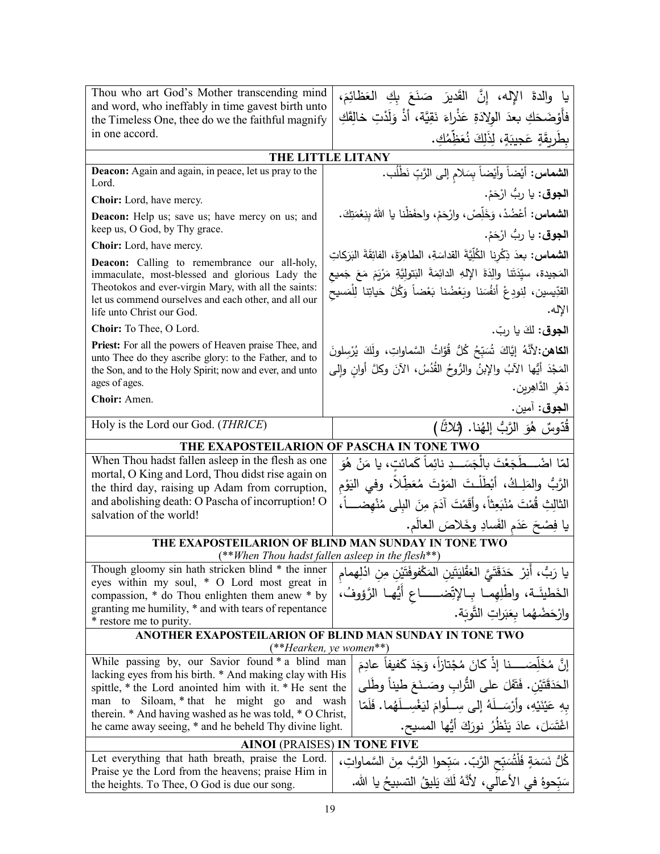| فأَوْضَحَكِ بعدَ الولادَةِ عَذْراءَ نَقِيَّة، أَذْ وَلَدْتِ خالِقَكِ<br>the Timeless One, thee do we the faithful magnify<br>in one accord.<br>بطَرِيقَةٍ عَجِيبَةٍ، لِذَلِكَ نُعَظِّمُكِ.<br>THE LITTLE LITANY<br>Deacon: Again and again, in peace, let us pray to the<br>ا <b>لشماس:</b> أيْضاً وأَيْضاً بِسَلامِ إلى الرَّبِّ نَطْلُب.<br>Lord.<br>ا <b>لجوق</b> : يا ربُ ارْحَمْ.<br>Choir: Lord, have mercy.<br>ا <b>لشماس</b> : أعْضُدْ، وَخَلِّصْ، وارْحَمْ، واحفَظْنا يا اللهُ بنِعْمَتِكَ.<br>Deacon: Help us; save us; have mercy on us; and<br>keep us, O God, by Thy grace.<br>ا <b>لجوق</b> : يا ربُّ ارْحَمْ.<br>Choir: Lord, have mercy.<br>ا <b>لشماس:</b> بعدَ ذِكْرِنا الكُلِّيَّةَ القداسَةِ، الطاهِرَةَ، الفائِقَةَ البَرَكاتِ<br><b>Deacon:</b> Calling to remembrance our all-holy,<br>المَجيدة، سيِّدَتَنا والِدَةَ الإِلهِ الدائِمَةَ البَتولِيَّةِ مَرْيَمَ مَعَ جَميع<br>immaculate, most-blessed and glorious Lady the<br>Theotokos and ever-virgin Mary, with all the saints:<br>القدِّيسين، لِنودِعْ أَنفُسَنا وبَعْضُنا بَعْضاً وَكُلَّ حَياتِنا لِلْمَسيح<br>let us commend ourselves and each other, and all our<br>الإله.<br>life unto Christ our God.<br>Choir: To Thee, O Lord.<br>الجوق: لَكَ يا ربّ.<br>Priest: For all the powers of Heaven praise Thee, and<br>الكاهن: لأنَّهُ إِيَّاكَ شُبَبِّحُ كُلُّ قُوَّاتُ السَّماواتِ، ولَكَ يُرْسِلونَ<br>unto Thee do they ascribe glory: to the Father, and to<br>المَجْدَ أَيُّها الآبُ والإبنُ والرُّوحُ القُدُسُ، الآنَ وكلَّ أوانِ وإلى<br>the Son, and to the Holy Spirit; now and ever, and unto<br>ages of ages.<br>دَهْرِ الدَّاهِرِينِ.<br>Choir: Amen.<br>ا <b>لجوق</b> : آمين.<br>Holy is the Lord our God. (THRICE)<br>قُدّوسٌ هُوَ الرَّبُّ إِلهُنا. ( <i>ثلاثاً</i> )<br>THE EXAPOSTEILARION OF PASCHA IN TONE TWO<br>When Thou hadst fallen asleep in the flesh as one<br>لمّا اضْــــطَجَعْتَ بِالْجَسَـــدِ نائِماً كَمائتِ، يا مَنْ هُوَ<br>mortal, O King and Lord, Thou didst rise again on<br>الرَّبُّ والمَلِـكُ، أَبْطَلْـتَ المَوْتَ مُعَطِّلاً، وفي اليَوْم<br>the third day, raising up Adam from corruption,<br>and abolishing death: O Pascha of incorruption! O<br>الثالِثِ قُمْتَ مُنْبَعِثاً، وأقَمْتَ آدَمَ مِنَ البلي مُنْهضــــاً،<br>salvation of the world!<br>يا فِصْحَ عَدَمِ الفَسادِ وخَلاصَ العالَمِ.<br>THE EXAPOSTEILARION OF BLIND MAN SUNDAY IN TONE TWO<br>(**When Thou hadst fallen asleep in the flesh**)<br>Though gloomy sin hath stricken blind * the inner<br>يا رَبُّ، أَنِرْ  حَدَقَتَيَّ الْعَقْليَتَينِ المَكْفوفَتَيْنِ مِنِ ادْلِهِمام<br>eyes within my soul, * O Lord most great in<br>الْخَطِيئَة، واطْلِهِمـا بِـالإتِّضـــــاع أَيُّهـا الرَّؤوفُ،<br>compassion, * do Thou enlighten them anew * by<br>granting me humility, * and with tears of repentance<br>وارْحَضْهُما بِعَبَراتِ التَّوبَة.<br>* restore me to purity.<br>ANOTHER EXAPOSTEILARION OF BLIND MAN SUNDAY IN TONE TWO<br>(**Hearken, ye women**)<br>While passing by, our Savior found * a blind man<br>إنَّ مُخَلِّصَـــــنا إذْ كانَ مُجْتازاً، وَجَدَ كَفيفاً عادِمَ<br>lacking eyes from his birth. * And making clay with His<br>الْحَدَقَتَيْنِ. فَتَفَلَ على الثَّرابِ وصَــنَعَ طيناً وطَلَى<br>spittle, * the Lord anointed him with it. * He sent the<br>Siloam, * that he might go and wash<br>man to<br>بِهِ عَيْنَيْهِ، وأَرْسَـلَهُ إِلَى سِـلْوامَ لَيَغْسِـلَهُما. فَلَمّا<br>therein. * And having washed as he was told, * O Christ,<br>اغْتَسَلَ، عادَ يَنْظُنُ نورَكَ أَيُّها المسيح.<br>he came away seeing, * and he beheld Thy divine light.<br><b>AINOI (PRAISES) IN TONE FIVE</b><br>Let everything that hath breath, praise the Lord.<br>كُلُّ نَسَمَةٍ فَلْتُسَبِّحِ الرَّبِّ. سَبِّحوا الرَّبَّ مِنَ السَّماواتِ،<br>Praise ye the Lord from the heavens; praise Him in<br>سَبِّحوهُ في الأعالى، لأنَّهُ لَكَ يَليقُ النِّسبيحُ يا الله.<br>the heights. To Thee, O God is due our song. | Thou who art God's Mother transcending mind       | يا والدةَ الإله، إِنَّ القَديرَ صَنَعَ بِكِ العَظَائِمَ، |  |  |
|------------------------------------------------------------------------------------------------------------------------------------------------------------------------------------------------------------------------------------------------------------------------------------------------------------------------------------------------------------------------------------------------------------------------------------------------------------------------------------------------------------------------------------------------------------------------------------------------------------------------------------------------------------------------------------------------------------------------------------------------------------------------------------------------------------------------------------------------------------------------------------------------------------------------------------------------------------------------------------------------------------------------------------------------------------------------------------------------------------------------------------------------------------------------------------------------------------------------------------------------------------------------------------------------------------------------------------------------------------------------------------------------------------------------------------------------------------------------------------------------------------------------------------------------------------------------------------------------------------------------------------------------------------------------------------------------------------------------------------------------------------------------------------------------------------------------------------------------------------------------------------------------------------------------------------------------------------------------------------------------------------------------------------------------------------------------------------------------------------------------------------------------------------------------------------------------------------------------------------------------------------------------------------------------------------------------------------------------------------------------------------------------------------------------------------------------------------------------------------------------------------------------------------------------------------------------------------------------------------------------------------------------------------------------------------------------------------------------------------------------------------------------------------------------------------------------------------------------------------------------------------------------------------------------------------------------------------------------------------------------------------------------------------------------------------------------------------------------------------------------------------------------------------------------------------------------------------------------------------------------------------------------------------------------------------------------------------------------------------------------------------------------------------------------------------------------------------------------------------------------------------------------------------------------------------------------------------------------------------------------------------------------------------------------------------------------------------------------------------------------------------------------------------------------------------------------------------------------------------------------------------------------------------------------------------------|---------------------------------------------------|----------------------------------------------------------|--|--|
|                                                                                                                                                                                                                                                                                                                                                                                                                                                                                                                                                                                                                                                                                                                                                                                                                                                                                                                                                                                                                                                                                                                                                                                                                                                                                                                                                                                                                                                                                                                                                                                                                                                                                                                                                                                                                                                                                                                                                                                                                                                                                                                                                                                                                                                                                                                                                                                                                                                                                                                                                                                                                                                                                                                                                                                                                                                                                                                                                                                                                                                                                                                                                                                                                                                                                                                                                                                                                                                                                                                                                                                                                                                                                                                                                                                                                                                                                                                                          | and word, who ineffably in time gavest birth unto |                                                          |  |  |
|                                                                                                                                                                                                                                                                                                                                                                                                                                                                                                                                                                                                                                                                                                                                                                                                                                                                                                                                                                                                                                                                                                                                                                                                                                                                                                                                                                                                                                                                                                                                                                                                                                                                                                                                                                                                                                                                                                                                                                                                                                                                                                                                                                                                                                                                                                                                                                                                                                                                                                                                                                                                                                                                                                                                                                                                                                                                                                                                                                                                                                                                                                                                                                                                                                                                                                                                                                                                                                                                                                                                                                                                                                                                                                                                                                                                                                                                                                                                          |                                                   |                                                          |  |  |
|                                                                                                                                                                                                                                                                                                                                                                                                                                                                                                                                                                                                                                                                                                                                                                                                                                                                                                                                                                                                                                                                                                                                                                                                                                                                                                                                                                                                                                                                                                                                                                                                                                                                                                                                                                                                                                                                                                                                                                                                                                                                                                                                                                                                                                                                                                                                                                                                                                                                                                                                                                                                                                                                                                                                                                                                                                                                                                                                                                                                                                                                                                                                                                                                                                                                                                                                                                                                                                                                                                                                                                                                                                                                                                                                                                                                                                                                                                                                          |                                                   |                                                          |  |  |
|                                                                                                                                                                                                                                                                                                                                                                                                                                                                                                                                                                                                                                                                                                                                                                                                                                                                                                                                                                                                                                                                                                                                                                                                                                                                                                                                                                                                                                                                                                                                                                                                                                                                                                                                                                                                                                                                                                                                                                                                                                                                                                                                                                                                                                                                                                                                                                                                                                                                                                                                                                                                                                                                                                                                                                                                                                                                                                                                                                                                                                                                                                                                                                                                                                                                                                                                                                                                                                                                                                                                                                                                                                                                                                                                                                                                                                                                                                                                          |                                                   |                                                          |  |  |
|                                                                                                                                                                                                                                                                                                                                                                                                                                                                                                                                                                                                                                                                                                                                                                                                                                                                                                                                                                                                                                                                                                                                                                                                                                                                                                                                                                                                                                                                                                                                                                                                                                                                                                                                                                                                                                                                                                                                                                                                                                                                                                                                                                                                                                                                                                                                                                                                                                                                                                                                                                                                                                                                                                                                                                                                                                                                                                                                                                                                                                                                                                                                                                                                                                                                                                                                                                                                                                                                                                                                                                                                                                                                                                                                                                                                                                                                                                                                          |                                                   |                                                          |  |  |
|                                                                                                                                                                                                                                                                                                                                                                                                                                                                                                                                                                                                                                                                                                                                                                                                                                                                                                                                                                                                                                                                                                                                                                                                                                                                                                                                                                                                                                                                                                                                                                                                                                                                                                                                                                                                                                                                                                                                                                                                                                                                                                                                                                                                                                                                                                                                                                                                                                                                                                                                                                                                                                                                                                                                                                                                                                                                                                                                                                                                                                                                                                                                                                                                                                                                                                                                                                                                                                                                                                                                                                                                                                                                                                                                                                                                                                                                                                                                          |                                                   |                                                          |  |  |
|                                                                                                                                                                                                                                                                                                                                                                                                                                                                                                                                                                                                                                                                                                                                                                                                                                                                                                                                                                                                                                                                                                                                                                                                                                                                                                                                                                                                                                                                                                                                                                                                                                                                                                                                                                                                                                                                                                                                                                                                                                                                                                                                                                                                                                                                                                                                                                                                                                                                                                                                                                                                                                                                                                                                                                                                                                                                                                                                                                                                                                                                                                                                                                                                                                                                                                                                                                                                                                                                                                                                                                                                                                                                                                                                                                                                                                                                                                                                          |                                                   |                                                          |  |  |
|                                                                                                                                                                                                                                                                                                                                                                                                                                                                                                                                                                                                                                                                                                                                                                                                                                                                                                                                                                                                                                                                                                                                                                                                                                                                                                                                                                                                                                                                                                                                                                                                                                                                                                                                                                                                                                                                                                                                                                                                                                                                                                                                                                                                                                                                                                                                                                                                                                                                                                                                                                                                                                                                                                                                                                                                                                                                                                                                                                                                                                                                                                                                                                                                                                                                                                                                                                                                                                                                                                                                                                                                                                                                                                                                                                                                                                                                                                                                          |                                                   |                                                          |  |  |
|                                                                                                                                                                                                                                                                                                                                                                                                                                                                                                                                                                                                                                                                                                                                                                                                                                                                                                                                                                                                                                                                                                                                                                                                                                                                                                                                                                                                                                                                                                                                                                                                                                                                                                                                                                                                                                                                                                                                                                                                                                                                                                                                                                                                                                                                                                                                                                                                                                                                                                                                                                                                                                                                                                                                                                                                                                                                                                                                                                                                                                                                                                                                                                                                                                                                                                                                                                                                                                                                                                                                                                                                                                                                                                                                                                                                                                                                                                                                          |                                                   |                                                          |  |  |
|                                                                                                                                                                                                                                                                                                                                                                                                                                                                                                                                                                                                                                                                                                                                                                                                                                                                                                                                                                                                                                                                                                                                                                                                                                                                                                                                                                                                                                                                                                                                                                                                                                                                                                                                                                                                                                                                                                                                                                                                                                                                                                                                                                                                                                                                                                                                                                                                                                                                                                                                                                                                                                                                                                                                                                                                                                                                                                                                                                                                                                                                                                                                                                                                                                                                                                                                                                                                                                                                                                                                                                                                                                                                                                                                                                                                                                                                                                                                          |                                                   |                                                          |  |  |
|                                                                                                                                                                                                                                                                                                                                                                                                                                                                                                                                                                                                                                                                                                                                                                                                                                                                                                                                                                                                                                                                                                                                                                                                                                                                                                                                                                                                                                                                                                                                                                                                                                                                                                                                                                                                                                                                                                                                                                                                                                                                                                                                                                                                                                                                                                                                                                                                                                                                                                                                                                                                                                                                                                                                                                                                                                                                                                                                                                                                                                                                                                                                                                                                                                                                                                                                                                                                                                                                                                                                                                                                                                                                                                                                                                                                                                                                                                                                          |                                                   |                                                          |  |  |
|                                                                                                                                                                                                                                                                                                                                                                                                                                                                                                                                                                                                                                                                                                                                                                                                                                                                                                                                                                                                                                                                                                                                                                                                                                                                                                                                                                                                                                                                                                                                                                                                                                                                                                                                                                                                                                                                                                                                                                                                                                                                                                                                                                                                                                                                                                                                                                                                                                                                                                                                                                                                                                                                                                                                                                                                                                                                                                                                                                                                                                                                                                                                                                                                                                                                                                                                                                                                                                                                                                                                                                                                                                                                                                                                                                                                                                                                                                                                          |                                                   |                                                          |  |  |
|                                                                                                                                                                                                                                                                                                                                                                                                                                                                                                                                                                                                                                                                                                                                                                                                                                                                                                                                                                                                                                                                                                                                                                                                                                                                                                                                                                                                                                                                                                                                                                                                                                                                                                                                                                                                                                                                                                                                                                                                                                                                                                                                                                                                                                                                                                                                                                                                                                                                                                                                                                                                                                                                                                                                                                                                                                                                                                                                                                                                                                                                                                                                                                                                                                                                                                                                                                                                                                                                                                                                                                                                                                                                                                                                                                                                                                                                                                                                          |                                                   |                                                          |  |  |
|                                                                                                                                                                                                                                                                                                                                                                                                                                                                                                                                                                                                                                                                                                                                                                                                                                                                                                                                                                                                                                                                                                                                                                                                                                                                                                                                                                                                                                                                                                                                                                                                                                                                                                                                                                                                                                                                                                                                                                                                                                                                                                                                                                                                                                                                                                                                                                                                                                                                                                                                                                                                                                                                                                                                                                                                                                                                                                                                                                                                                                                                                                                                                                                                                                                                                                                                                                                                                                                                                                                                                                                                                                                                                                                                                                                                                                                                                                                                          |                                                   |                                                          |  |  |
|                                                                                                                                                                                                                                                                                                                                                                                                                                                                                                                                                                                                                                                                                                                                                                                                                                                                                                                                                                                                                                                                                                                                                                                                                                                                                                                                                                                                                                                                                                                                                                                                                                                                                                                                                                                                                                                                                                                                                                                                                                                                                                                                                                                                                                                                                                                                                                                                                                                                                                                                                                                                                                                                                                                                                                                                                                                                                                                                                                                                                                                                                                                                                                                                                                                                                                                                                                                                                                                                                                                                                                                                                                                                                                                                                                                                                                                                                                                                          |                                                   |                                                          |  |  |
|                                                                                                                                                                                                                                                                                                                                                                                                                                                                                                                                                                                                                                                                                                                                                                                                                                                                                                                                                                                                                                                                                                                                                                                                                                                                                                                                                                                                                                                                                                                                                                                                                                                                                                                                                                                                                                                                                                                                                                                                                                                                                                                                                                                                                                                                                                                                                                                                                                                                                                                                                                                                                                                                                                                                                                                                                                                                                                                                                                                                                                                                                                                                                                                                                                                                                                                                                                                                                                                                                                                                                                                                                                                                                                                                                                                                                                                                                                                                          |                                                   |                                                          |  |  |
|                                                                                                                                                                                                                                                                                                                                                                                                                                                                                                                                                                                                                                                                                                                                                                                                                                                                                                                                                                                                                                                                                                                                                                                                                                                                                                                                                                                                                                                                                                                                                                                                                                                                                                                                                                                                                                                                                                                                                                                                                                                                                                                                                                                                                                                                                                                                                                                                                                                                                                                                                                                                                                                                                                                                                                                                                                                                                                                                                                                                                                                                                                                                                                                                                                                                                                                                                                                                                                                                                                                                                                                                                                                                                                                                                                                                                                                                                                                                          |                                                   |                                                          |  |  |
|                                                                                                                                                                                                                                                                                                                                                                                                                                                                                                                                                                                                                                                                                                                                                                                                                                                                                                                                                                                                                                                                                                                                                                                                                                                                                                                                                                                                                                                                                                                                                                                                                                                                                                                                                                                                                                                                                                                                                                                                                                                                                                                                                                                                                                                                                                                                                                                                                                                                                                                                                                                                                                                                                                                                                                                                                                                                                                                                                                                                                                                                                                                                                                                                                                                                                                                                                                                                                                                                                                                                                                                                                                                                                                                                                                                                                                                                                                                                          |                                                   |                                                          |  |  |
|                                                                                                                                                                                                                                                                                                                                                                                                                                                                                                                                                                                                                                                                                                                                                                                                                                                                                                                                                                                                                                                                                                                                                                                                                                                                                                                                                                                                                                                                                                                                                                                                                                                                                                                                                                                                                                                                                                                                                                                                                                                                                                                                                                                                                                                                                                                                                                                                                                                                                                                                                                                                                                                                                                                                                                                                                                                                                                                                                                                                                                                                                                                                                                                                                                                                                                                                                                                                                                                                                                                                                                                                                                                                                                                                                                                                                                                                                                                                          |                                                   |                                                          |  |  |
|                                                                                                                                                                                                                                                                                                                                                                                                                                                                                                                                                                                                                                                                                                                                                                                                                                                                                                                                                                                                                                                                                                                                                                                                                                                                                                                                                                                                                                                                                                                                                                                                                                                                                                                                                                                                                                                                                                                                                                                                                                                                                                                                                                                                                                                                                                                                                                                                                                                                                                                                                                                                                                                                                                                                                                                                                                                                                                                                                                                                                                                                                                                                                                                                                                                                                                                                                                                                                                                                                                                                                                                                                                                                                                                                                                                                                                                                                                                                          |                                                   |                                                          |  |  |
|                                                                                                                                                                                                                                                                                                                                                                                                                                                                                                                                                                                                                                                                                                                                                                                                                                                                                                                                                                                                                                                                                                                                                                                                                                                                                                                                                                                                                                                                                                                                                                                                                                                                                                                                                                                                                                                                                                                                                                                                                                                                                                                                                                                                                                                                                                                                                                                                                                                                                                                                                                                                                                                                                                                                                                                                                                                                                                                                                                                                                                                                                                                                                                                                                                                                                                                                                                                                                                                                                                                                                                                                                                                                                                                                                                                                                                                                                                                                          |                                                   |                                                          |  |  |
|                                                                                                                                                                                                                                                                                                                                                                                                                                                                                                                                                                                                                                                                                                                                                                                                                                                                                                                                                                                                                                                                                                                                                                                                                                                                                                                                                                                                                                                                                                                                                                                                                                                                                                                                                                                                                                                                                                                                                                                                                                                                                                                                                                                                                                                                                                                                                                                                                                                                                                                                                                                                                                                                                                                                                                                                                                                                                                                                                                                                                                                                                                                                                                                                                                                                                                                                                                                                                                                                                                                                                                                                                                                                                                                                                                                                                                                                                                                                          |                                                   |                                                          |  |  |
|                                                                                                                                                                                                                                                                                                                                                                                                                                                                                                                                                                                                                                                                                                                                                                                                                                                                                                                                                                                                                                                                                                                                                                                                                                                                                                                                                                                                                                                                                                                                                                                                                                                                                                                                                                                                                                                                                                                                                                                                                                                                                                                                                                                                                                                                                                                                                                                                                                                                                                                                                                                                                                                                                                                                                                                                                                                                                                                                                                                                                                                                                                                                                                                                                                                                                                                                                                                                                                                                                                                                                                                                                                                                                                                                                                                                                                                                                                                                          |                                                   |                                                          |  |  |
|                                                                                                                                                                                                                                                                                                                                                                                                                                                                                                                                                                                                                                                                                                                                                                                                                                                                                                                                                                                                                                                                                                                                                                                                                                                                                                                                                                                                                                                                                                                                                                                                                                                                                                                                                                                                                                                                                                                                                                                                                                                                                                                                                                                                                                                                                                                                                                                                                                                                                                                                                                                                                                                                                                                                                                                                                                                                                                                                                                                                                                                                                                                                                                                                                                                                                                                                                                                                                                                                                                                                                                                                                                                                                                                                                                                                                                                                                                                                          |                                                   |                                                          |  |  |
|                                                                                                                                                                                                                                                                                                                                                                                                                                                                                                                                                                                                                                                                                                                                                                                                                                                                                                                                                                                                                                                                                                                                                                                                                                                                                                                                                                                                                                                                                                                                                                                                                                                                                                                                                                                                                                                                                                                                                                                                                                                                                                                                                                                                                                                                                                                                                                                                                                                                                                                                                                                                                                                                                                                                                                                                                                                                                                                                                                                                                                                                                                                                                                                                                                                                                                                                                                                                                                                                                                                                                                                                                                                                                                                                                                                                                                                                                                                                          |                                                   |                                                          |  |  |
|                                                                                                                                                                                                                                                                                                                                                                                                                                                                                                                                                                                                                                                                                                                                                                                                                                                                                                                                                                                                                                                                                                                                                                                                                                                                                                                                                                                                                                                                                                                                                                                                                                                                                                                                                                                                                                                                                                                                                                                                                                                                                                                                                                                                                                                                                                                                                                                                                                                                                                                                                                                                                                                                                                                                                                                                                                                                                                                                                                                                                                                                                                                                                                                                                                                                                                                                                                                                                                                                                                                                                                                                                                                                                                                                                                                                                                                                                                                                          |                                                   |                                                          |  |  |
|                                                                                                                                                                                                                                                                                                                                                                                                                                                                                                                                                                                                                                                                                                                                                                                                                                                                                                                                                                                                                                                                                                                                                                                                                                                                                                                                                                                                                                                                                                                                                                                                                                                                                                                                                                                                                                                                                                                                                                                                                                                                                                                                                                                                                                                                                                                                                                                                                                                                                                                                                                                                                                                                                                                                                                                                                                                                                                                                                                                                                                                                                                                                                                                                                                                                                                                                                                                                                                                                                                                                                                                                                                                                                                                                                                                                                                                                                                                                          |                                                   |                                                          |  |  |
|                                                                                                                                                                                                                                                                                                                                                                                                                                                                                                                                                                                                                                                                                                                                                                                                                                                                                                                                                                                                                                                                                                                                                                                                                                                                                                                                                                                                                                                                                                                                                                                                                                                                                                                                                                                                                                                                                                                                                                                                                                                                                                                                                                                                                                                                                                                                                                                                                                                                                                                                                                                                                                                                                                                                                                                                                                                                                                                                                                                                                                                                                                                                                                                                                                                                                                                                                                                                                                                                                                                                                                                                                                                                                                                                                                                                                                                                                                                                          |                                                   |                                                          |  |  |
|                                                                                                                                                                                                                                                                                                                                                                                                                                                                                                                                                                                                                                                                                                                                                                                                                                                                                                                                                                                                                                                                                                                                                                                                                                                                                                                                                                                                                                                                                                                                                                                                                                                                                                                                                                                                                                                                                                                                                                                                                                                                                                                                                                                                                                                                                                                                                                                                                                                                                                                                                                                                                                                                                                                                                                                                                                                                                                                                                                                                                                                                                                                                                                                                                                                                                                                                                                                                                                                                                                                                                                                                                                                                                                                                                                                                                                                                                                                                          |                                                   |                                                          |  |  |
|                                                                                                                                                                                                                                                                                                                                                                                                                                                                                                                                                                                                                                                                                                                                                                                                                                                                                                                                                                                                                                                                                                                                                                                                                                                                                                                                                                                                                                                                                                                                                                                                                                                                                                                                                                                                                                                                                                                                                                                                                                                                                                                                                                                                                                                                                                                                                                                                                                                                                                                                                                                                                                                                                                                                                                                                                                                                                                                                                                                                                                                                                                                                                                                                                                                                                                                                                                                                                                                                                                                                                                                                                                                                                                                                                                                                                                                                                                                                          |                                                   |                                                          |  |  |
|                                                                                                                                                                                                                                                                                                                                                                                                                                                                                                                                                                                                                                                                                                                                                                                                                                                                                                                                                                                                                                                                                                                                                                                                                                                                                                                                                                                                                                                                                                                                                                                                                                                                                                                                                                                                                                                                                                                                                                                                                                                                                                                                                                                                                                                                                                                                                                                                                                                                                                                                                                                                                                                                                                                                                                                                                                                                                                                                                                                                                                                                                                                                                                                                                                                                                                                                                                                                                                                                                                                                                                                                                                                                                                                                                                                                                                                                                                                                          |                                                   |                                                          |  |  |
|                                                                                                                                                                                                                                                                                                                                                                                                                                                                                                                                                                                                                                                                                                                                                                                                                                                                                                                                                                                                                                                                                                                                                                                                                                                                                                                                                                                                                                                                                                                                                                                                                                                                                                                                                                                                                                                                                                                                                                                                                                                                                                                                                                                                                                                                                                                                                                                                                                                                                                                                                                                                                                                                                                                                                                                                                                                                                                                                                                                                                                                                                                                                                                                                                                                                                                                                                                                                                                                                                                                                                                                                                                                                                                                                                                                                                                                                                                                                          |                                                   |                                                          |  |  |
|                                                                                                                                                                                                                                                                                                                                                                                                                                                                                                                                                                                                                                                                                                                                                                                                                                                                                                                                                                                                                                                                                                                                                                                                                                                                                                                                                                                                                                                                                                                                                                                                                                                                                                                                                                                                                                                                                                                                                                                                                                                                                                                                                                                                                                                                                                                                                                                                                                                                                                                                                                                                                                                                                                                                                                                                                                                                                                                                                                                                                                                                                                                                                                                                                                                                                                                                                                                                                                                                                                                                                                                                                                                                                                                                                                                                                                                                                                                                          |                                                   |                                                          |  |  |
|                                                                                                                                                                                                                                                                                                                                                                                                                                                                                                                                                                                                                                                                                                                                                                                                                                                                                                                                                                                                                                                                                                                                                                                                                                                                                                                                                                                                                                                                                                                                                                                                                                                                                                                                                                                                                                                                                                                                                                                                                                                                                                                                                                                                                                                                                                                                                                                                                                                                                                                                                                                                                                                                                                                                                                                                                                                                                                                                                                                                                                                                                                                                                                                                                                                                                                                                                                                                                                                                                                                                                                                                                                                                                                                                                                                                                                                                                                                                          |                                                   |                                                          |  |  |
|                                                                                                                                                                                                                                                                                                                                                                                                                                                                                                                                                                                                                                                                                                                                                                                                                                                                                                                                                                                                                                                                                                                                                                                                                                                                                                                                                                                                                                                                                                                                                                                                                                                                                                                                                                                                                                                                                                                                                                                                                                                                                                                                                                                                                                                                                                                                                                                                                                                                                                                                                                                                                                                                                                                                                                                                                                                                                                                                                                                                                                                                                                                                                                                                                                                                                                                                                                                                                                                                                                                                                                                                                                                                                                                                                                                                                                                                                                                                          |                                                   |                                                          |  |  |
|                                                                                                                                                                                                                                                                                                                                                                                                                                                                                                                                                                                                                                                                                                                                                                                                                                                                                                                                                                                                                                                                                                                                                                                                                                                                                                                                                                                                                                                                                                                                                                                                                                                                                                                                                                                                                                                                                                                                                                                                                                                                                                                                                                                                                                                                                                                                                                                                                                                                                                                                                                                                                                                                                                                                                                                                                                                                                                                                                                                                                                                                                                                                                                                                                                                                                                                                                                                                                                                                                                                                                                                                                                                                                                                                                                                                                                                                                                                                          |                                                   |                                                          |  |  |
|                                                                                                                                                                                                                                                                                                                                                                                                                                                                                                                                                                                                                                                                                                                                                                                                                                                                                                                                                                                                                                                                                                                                                                                                                                                                                                                                                                                                                                                                                                                                                                                                                                                                                                                                                                                                                                                                                                                                                                                                                                                                                                                                                                                                                                                                                                                                                                                                                                                                                                                                                                                                                                                                                                                                                                                                                                                                                                                                                                                                                                                                                                                                                                                                                                                                                                                                                                                                                                                                                                                                                                                                                                                                                                                                                                                                                                                                                                                                          |                                                   |                                                          |  |  |
|                                                                                                                                                                                                                                                                                                                                                                                                                                                                                                                                                                                                                                                                                                                                                                                                                                                                                                                                                                                                                                                                                                                                                                                                                                                                                                                                                                                                                                                                                                                                                                                                                                                                                                                                                                                                                                                                                                                                                                                                                                                                                                                                                                                                                                                                                                                                                                                                                                                                                                                                                                                                                                                                                                                                                                                                                                                                                                                                                                                                                                                                                                                                                                                                                                                                                                                                                                                                                                                                                                                                                                                                                                                                                                                                                                                                                                                                                                                                          |                                                   |                                                          |  |  |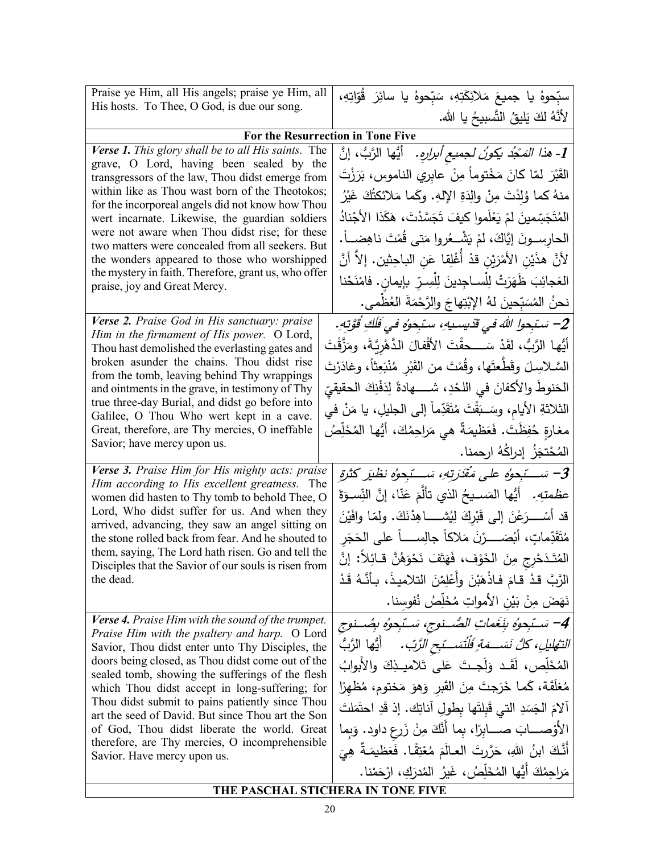| Praise ye Him, all His angels; praise ye Him, all                                                          | سبِّحوهُ يا جميعَ مَلائِكَتِهِ، سَبِّحوهُ يا سائِرَ قُوّاتِهِ،                                   |  |  |
|------------------------------------------------------------------------------------------------------------|--------------------------------------------------------------------------------------------------|--|--|
| His hosts. To Thee, O God, is due our song.                                                                | لأَنَّهُ لَكَ يَليقُ النَّسبيحُ يا الله.                                                         |  |  |
|                                                                                                            | For the Resurrection in Tone Five                                                                |  |  |
| Verse 1. This glory shall be to all His saints. The<br>grave, O Lord, having been sealed by the            | 1- <i>هذا المَجْد يكونُ لجميع أبرارِهِ .</i> أَيُّها الرَّبُّ ، إنَّ                             |  |  |
| transgressors of the law, Thou didst emerge from                                                           | القَبْرَ لمّا كانَ مَخْتوماً مِنْ عابري الناموس، بَرَزْتَ                                        |  |  |
| within like as Thou wast born of the Theotokos;<br>for the incorporeal angels did not know how Thou        | منهُ كما وُلِدْتَ مِنْ والِدَةِ الإِلهِ. وكَما مَلائكتُكَ غَيْرُ                                 |  |  |
| wert incarnate. Likewise, the guardian soldiers                                                            | المُتَجَسِّمينَ لمْ يَعْلَموا كيفَ تَجَسَّدْتَ، هَكَذا الأَجْنادُ                                |  |  |
| were not aware when Thou didst rise; for these<br>two matters were concealed from all seekers. But         | الحارســـونَ إيَّاكَ، لمْ يَشْـــعُروا مَتـى قُمْتَ ناهِضــــاً.                                 |  |  |
| the wonders appeared to those who worshipped                                                               | لأنَّ هذَيْنِ الأَمْرَيْنِ قدْ أَغْلِقا عَنِ الباحِثينِ. إلاَّ أنَّ                              |  |  |
| the mystery in faith. Therefore, grant us, who offer<br>praise, joy and Great Mercy.                       | العَجائِبَ ظَهَرَتْ لِلْســاجِدينَ لِلْسِـرِّ بإيمان. فامْنَحْنا                                 |  |  |
|                                                                                                            | نحنُ المُسَبِّحينَ لهُ الإبْتِهاجَ والرَّحْمَةَ العُظْمى.                                        |  |  |
| Verse 2. Praise God in His sanctuary: praise<br>Him in the firmament of His power. O Lord,                 | 2– سَبْحوا اللهَ في قَديسيهِ، سبّحوُه في فَلَكِ قُوَّتِهِ.                                       |  |  |
| Thou hast demolished the everlasting gates and                                                             | أَيُّها الرَّبُّ، لقَدْ سَــــحقْتَ الأَقْفالَ الدَّهْرِيَّةَ، ومَزَّقْتَ                        |  |  |
| broken asunder the chains. Thou didst rise<br>from the tomb, leaving behind Thy wrappings                  | السَّـلاسِـلَ وقَطَّعتَها، وقُمْتَ من القَبْرِ مُنْبَعِثاً، وغادَرْتَ                            |  |  |
| and ointments in the grave, in testimony of Thy                                                            | الحَنوطَ والأكفانَ في اللحْدِ، شــــــهادةً لِدَفْنِكَ الحقيقيّ                                  |  |  |
| true three-day Burial, and didst go before into<br>Galilee, O Thou Who wert kept in a cave.                | الثلاثةِ الأيام، وسَــبَقْتَ مُتَقَدِّماً إلى الجليلِ، يا مَنْ في                                |  |  |
| Great, therefore, are Thy mercies, O ineffable<br>Savior; have mercy upon us.                              | مغارةٍ حُفِظَتَ. فَعَظيمَةٌ هي مَراحِمُكَ، أَيُّها المُخَلِّصُ                                   |  |  |
|                                                                                                            | المُحْتجَزُ ۖ إِدراكُهُ ارحِمنا .                                                                |  |  |
| Verse 3. Praise Him for His mighty acts: praise<br>Him according to His excellent greatness. The           | سَـــَـبْحوُهِ علـى مَقْدَرتهِ، سَـــبّجوُهِ نظيَر كثرةِ $\mathcal{C}$                           |  |  |
| women did hasten to Thy tomb to behold Thee, O                                                             | ع <i>ظمتهِ.</i> أيُها المَسـيحُ الذي تألَّمَ عَذّا، إنَّ النِّسـوَةَ                             |  |  |
| Lord, Who didst suffer for us. And when they<br>arrived, advancing, they saw an angel sitting on           | قد أَسْــــرَعْنَ إِلـى قَبْرِكَ لِيُشــــــا هِدْنَكَ. ولِمّا وافَيْنَ                          |  |  |
| the stone rolled back from fear. And he shouted to<br>them, saying, The Lord hath risen. Go and tell the   | مُتَقَدِّماتٍ، أَبْصَــــرْنَ مَلاكاً جالِســـــاً على الحَجَرِ                                  |  |  |
| Disciples that the Savior of our souls is risen from                                                       | المُتَدَحْرج مِنَ الْخَوْفِ، فَهَتَفَ نَحْوَهُنَّ قَـائِلاً: إِنَّ                               |  |  |
| the dead.                                                                                                  | الرَّبَّ قدْ قـامَ فـاذْهَبْنَ وأعْلِمْنَ التلاميذَ، بـأنَّـهُ قَدْ                              |  |  |
|                                                                                                            | نَهَضَ مِنْ بَيْنِ الأَمواتِ مُخَلِّصُ نُفوسنا.                                                  |  |  |
| <b>Verse 4.</b> Praise Him with the sound of the trumpet.<br>Praise Him with the psaltery and harp. O Lord | 4– سَـنّجِوهُ بِنَعَماتِ الصُّــنوجِ، سَـنّجِوهُ بِصُــنوجِ                                      |  |  |
| Savior, Thou didst enter unto Thy Disciples, the                                                           | <i>التهليلِ، كلُّ نَسَــمَةٍ فَلْتَسَــتَبِحِ الرَّبِّ.</i> أَيُّها الزَّبُّ                     |  |  |
| doors being closed, as Thou didst come out of the<br>sealed tomb, showing the sufferings of the flesh      | المُخَلِّص، لَقَـد وَلَجـتَ عَلى تَلاميــذِكَ والأَبوابُ                                         |  |  |
| which Thou didst accept in long-suffering; for<br>Thou didst submit to pains patiently since Thou          | مُغلَّقَة، كَما خَرَجتَ مِنَ القَبرِ وَهوَ مَختوم، مُظهِرًا                                      |  |  |
| art the seed of David. But since Thou art the Son                                                          | آلامَ الْجَسَدِ الَّتِي قَبِلتَها بِطُولِ آناتِكَ. إذ قَدِ احتَمَلتَ                             |  |  |
| of God, Thou didst liberate the world. Great<br>therefore, are Thy mercies, O incomprehensible             | الأوْصـــــابَ صـــــابِرًا، بِما أَنَّكَ مِنْ زَرعِ داود. وَبِما                                |  |  |
| Savior. Have mercy upon us.                                                                                | أَنَّكَ ابنُ اللهِ، حَرَّرتَ العالَمَ مُعْتِقًا. فَعَظيمَةٌ هِيَ                                 |  |  |
|                                                                                                            | مَراحِمُكَ أَيُّها المُخَلِّصُ، غَيرُ المُدرَكِ، ارْحَمْنا.<br>THE BACCHAI CELCUEDA IN TONE EIVE |  |  |

**THE PASCHAL STICHERA IN TONE FIVE**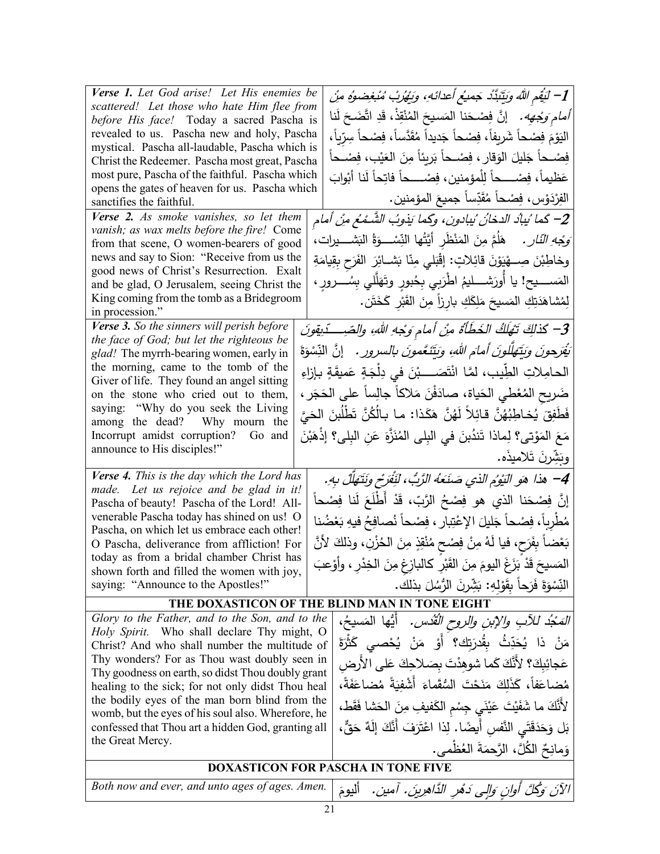| Verse 1. Let God arise! Let His enemies be<br>scattered! Let those who hate Him flee from<br>before His face! Today a sacred Pascha is<br>revealed to us. Pascha new and holy, Pascha<br>mystical. Pascha all-laudable, Pascha which is<br>Christ the Redeemer. Pascha most great, Pascha<br>most pure, Pascha of the faithful. Pascha which | 1– لَيَقِم اللَّهُ وَيَتَبَدَّدْ جَمِيعُ أَعدائَهِ، وَيَهْرُبْ مُبْغِضوهُ مِنْ<br><i>أمام وَجْهِه.</i> إنَّ فِصْحَنا المَسيحَ المُنْقِذْ، قَدِ اتَّضَحَ لَنا<br>اليَوْمَ فِصْحاً شَرِيفاً، فِصْحاً جَديداً مُقَدَّساً، فِصْحاً سِرّياً،<br>فِصْــحاً جَليلَ الوَقارِ ، فِصْــحاً بَرِيئاً مِنَ العَيْبِ، فِصْــحاً<br>عَظيماً، فِصْــــحاً لِلْمؤمنين، فِصْــــحاً فاتِحاً لَنا أَبْوابَ |
|----------------------------------------------------------------------------------------------------------------------------------------------------------------------------------------------------------------------------------------------------------------------------------------------------------------------------------------------|------------------------------------------------------------------------------------------------------------------------------------------------------------------------------------------------------------------------------------------------------------------------------------------------------------------------------------------------------------------------------------------|
| opens the gates of heaven for us. Pascha which<br>sanctifies the faithful.                                                                                                                                                                                                                                                                   | الفِرْدَوْسِ، فِصْحاً مُقَدِّساً جميعَ المؤمنين.                                                                                                                                                                                                                                                                                                                                         |
| Verse 2. As smoke vanishes, so let them                                                                                                                                                                                                                                                                                                      | 2– كَما يُبادُ الدخانُ يُبادون، وكَما يَذْوِبُ الشَّـمْعُ مِنْ أمام                                                                                                                                                                                                                                                                                                                      |
| vanish; as wax melts before the fire! Come<br>from that scene, O women-bearers of good                                                                                                                                                                                                                                                       | َ <i>وَجْهِ النّارِ .</i> ۖ هَلَمَّ مِنَ المَنْظُرِ أَيَّتُها النِّسْـــوَةُ النَشــــيرات،                                                                                                                                                                                                                                                                                              |
| news and say to Sion: "Receive from us the                                                                                                                                                                                                                                                                                                   | وخاطِبْنَ صِـــهْيَوْنَ قائِلاتٍ: إقْبَلي مِنّا بَشــائِرَ الفَرَحِ بِقِيامَةِ                                                                                                                                                                                                                                                                                                           |
| good news of Christ's Resurrection. Exalt                                                                                                                                                                                                                                                                                                    |                                                                                                                                                                                                                                                                                                                                                                                          |
| and be glad, O Jerusalem, seeing Christ the<br>King coming from the tomb as a Bridegroom                                                                                                                                                                                                                                                     | المَســـــيح! يا أُورَشــــــليمُ اطرَبـي بِـِحُبورٍ وتَهَلَّلـي بِسُـــــــرورٍ ،                                                                                                                                                                                                                                                                                                       |
| in procession."                                                                                                                                                                                                                                                                                                                              | لِمُشَاهَدَتِكِ الْمَسيحَ مَلِكَكِ بارِزاً مِنَ القَبْرِ كَخَتَن.                                                                                                                                                                                                                                                                                                                        |
| Verse 3. So the sinners will perish before                                                                                                                                                                                                                                                                                                   | 3– كَذلِكَ تَهْلَكُ الخَطَأَةُ مِنْ أمام وَجْهِ اللهِ، والصّبِ دِّيقونَ                                                                                                                                                                                                                                                                                                                  |
| the face of God; but let the righteous be<br>glad! The myrrh-bearing women, early in                                                                                                                                                                                                                                                         | تِّقِرَحونَ وَيَتَهَلَّلُونَ أَمَامَ اللهِ، وَيَتَنَعَّمُونَ بِالسَرُورِ . [نَّ النِّسْوَةَ                                                                                                                                                                                                                                                                                              |
| the morning, came to the tomb of the                                                                                                                                                                                                                                                                                                         | الحامِلاتِ الطِّيبِ، لمَّا انْتَصَــــبْنَ في دِلْجَةٍ عَميقَةٍ بـإزاءِ                                                                                                                                                                                                                                                                                                                  |
| Giver of life. They found an angel sitting<br>on the stone who cried out to them,                                                                                                                                                                                                                                                            | ضَريح المُعْطي الحَياة، صادَفْنَ مَلاكاً جالِساً على الحَجَر ،                                                                                                                                                                                                                                                                                                                           |
| saying: "Why do you seek the Living                                                                                                                                                                                                                                                                                                          | فَطَفِقَ يُخاطِبُهُنَّ قائِلاً لَهُنَّ هَكَذا: ما بِالْكُنَّ تَطْلُبنَ الْحَيَّ                                                                                                                                                                                                                                                                                                          |
| among the dead? Why mourn the<br>Incorrupt amidst corruption? Go and                                                                                                                                                                                                                                                                         |                                                                                                                                                                                                                                                                                                                                                                                          |
| announce to His disciples!"                                                                                                                                                                                                                                                                                                                  | مَعَ المَوْتي؟ لِماذا تَندُبنَ في البِلِّي الْمُنَزَّةِ عَنِ الْبِلِّي؟ إذْهَبْنَ                                                                                                                                                                                                                                                                                                        |
|                                                                                                                                                                                                                                                                                                                                              | وَبَشِّرنَ تَلاميذُه.                                                                                                                                                                                                                                                                                                                                                                    |
| Verse 4. This is the day which the Lord has<br>made. Let us rejoice and be glad in it!                                                                                                                                                                                                                                                       | 4– هذا هو النِّوْمِ الذي صَنَعَهُ الرَّبِّ، لنِّفَرَح ونَتَهَلَّلْ بِهِ.                                                                                                                                                                                                                                                                                                                 |
| Pascha of beauty! Pascha of the Lord! All-                                                                                                                                                                                                                                                                                                   | إِنَّ فِصْحَنا الذي هو فِصْحُ الرَّبِّ، قَدْ أَطْلَعَ لَنا فِصْحاً                                                                                                                                                                                                                                                                                                                       |
| venerable Pascha today has shined on us! O<br>Pascha, on which let us embrace each other!                                                                                                                                                                                                                                                    | مُطْرِباً، فِصْحاً جَليلَ الإعْتِبارِ ، فِصْحاً نُصافِحُ فيهِ بَعْضُنا                                                                                                                                                                                                                                                                                                                   |
| O Pascha, deliverance from affliction! For                                                                                                                                                                                                                                                                                                   | بَعْضاً بِفَرَحٍ، فيا لَهُ مِنْ فِصْحِ مُنْقِذٍ مِنَ الحُزْنِ، وذلكَ لأنَّ                                                                                                                                                                                                                                                                                                               |
| today as from a bridal chamber Christ has<br>shown forth and filled the women with joy,                                                                                                                                                                                                                                                      | المَسيحَ قَدْ بَزَغَ اليومَ مِنَ القَبْرِ كالبازِغِ مِنَ الْخِدْرِ ، وأَوْعِبَ                                                                                                                                                                                                                                                                                                           |
| saying: "Announce to the Apostles!"                                                                                                                                                                                                                                                                                                          | النِّسْوَةَ فَرَحاً بِقَوْلِهِ: بَشِّرنَ الرُّسُلَ بِذَلِك.                                                                                                                                                                                                                                                                                                                              |
|                                                                                                                                                                                                                                                                                                                                              | THE DOXASTICON OF THE BLIND MAN IN TONE EIGHT                                                                                                                                                                                                                                                                                                                                            |
| Glory to the Father, and to the Son, and to the                                                                                                                                                                                                                                                                                              | <i>المَجْدُ للآبِ والإبنِ والروحِ القُدُسِ.</i> أيُّها  المَسيحُ،                                                                                                                                                                                                                                                                                                                        |
| Holy Spirit. Who shall declare Thy might, O<br>Christ? And who shall number the multitude of                                                                                                                                                                                                                                                 | مَنْ ذا يُحَدِّثُ بِقُدرَتِك <b>؟</b> أَوْ مَنْ يُحْصـي كَثْرَةَ                                                                                                                                                                                                                                                                                                                         |
| Thy wonders? For as Thou wast doubly seen in                                                                                                                                                                                                                                                                                                 | عَجائِبِكَ؟ لأَنَّكَ كَما شوهِدْتَ بِصَلاحِكَ عَلَى الأرض                                                                                                                                                                                                                                                                                                                                |
| Thy goodness on earth, so didst Thou doubly grant<br>healing to the sick; for not only didst Thou heal                                                                                                                                                                                                                                       | مُضاعَفاً، كَذَلِكَ مَنَحْتَ السُّقَماءَ أَشْفِيَةً مُضاعَفَةً،                                                                                                                                                                                                                                                                                                                          |
| the bodily eyes of the man born blind from the                                                                                                                                                                                                                                                                                               | لأَنَّكَ ما شَفَيْتَ عَيْنَى جِسْمِ الْكَفِيفِ مِنَ الْحَشَا فَقَطْ،                                                                                                                                                                                                                                                                                                                     |
| womb, but the eyes of his soul also. Wherefore, he                                                                                                                                                                                                                                                                                           |                                                                                                                                                                                                                                                                                                                                                                                          |
| confessed that Thou art a hidden God, granting all<br>the Great Mercy.                                                                                                                                                                                                                                                                       | بَل وَحَدَقَتَى النَّفسِ أَيضًا. لِذا اعْتَرَفَ أَنَّكَ إِلَهٌ حَقٌّ،                                                                                                                                                                                                                                                                                                                    |
|                                                                                                                                                                                                                                                                                                                                              | وَمانِحٌ الكُلَّ ، الرَّحمَةَ العُظْمي.                                                                                                                                                                                                                                                                                                                                                  |
|                                                                                                                                                                                                                                                                                                                                              | <b>DOXASTICON FOR PASCHA IN TONE FIVE</b>                                                                                                                                                                                                                                                                                                                                                |
| Both now and ever, and unto ages of ages. Amen.                                                                                                                                                                                                                                                                                              | الآنَ وَكُلَّ أُولِن وَالِّي دَهْرِ الدَّاهِرِينَ. آمين.<br>أليومَ                                                                                                                                                                                                                                                                                                                       |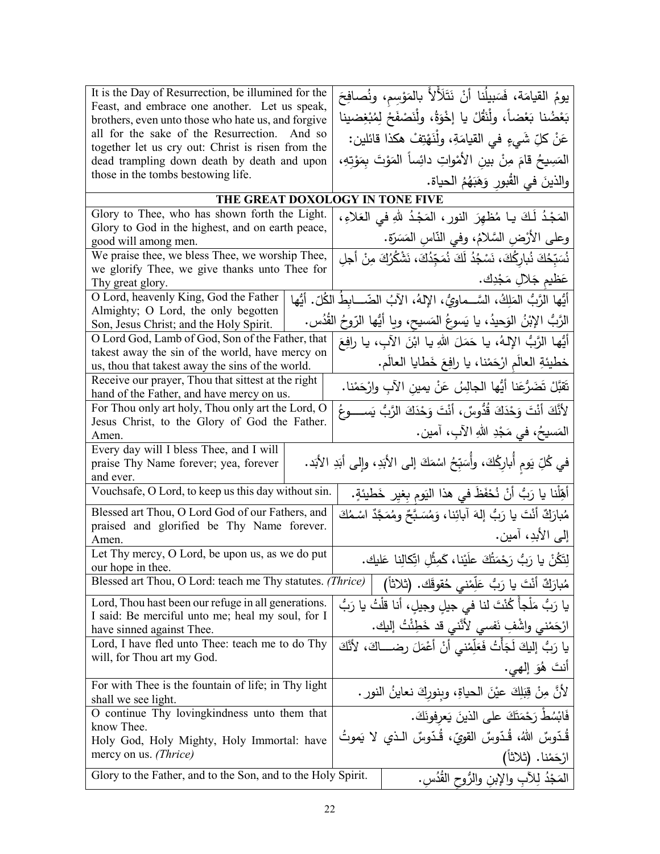| It is the Day of Resurrection, be illumined for the                                                 |                                                                      | يومُ القيامَة، فَسَبِيلُنا أَنْ نَتَلَأْلاً بالمَوْسِم، ونُصافِحَ                  |  |
|-----------------------------------------------------------------------------------------------------|----------------------------------------------------------------------|------------------------------------------------------------------------------------|--|
| Feast, and embrace one another. Let us speak,<br>brothers, even unto those who hate us, and forgive | بَعْضُنا بَعْضاً، ولْنَقُلْ يا إخْوَةُ، ولْنَصْفَحْ لِمُبْغِضينا     |                                                                                    |  |
| all for the sake of the Resurrection. And so                                                        |                                                                      | عَنْ كلِّ شَيءٍ في القيامَةِ، ولْنَهْتِفْ هكذا قائلين:                             |  |
| together let us cry out: Christ is risen from the                                                   |                                                                      |                                                                                    |  |
| dead trampling down death by death and upon                                                         |                                                                      | المَسِيحُ قامَ مِنْ بينِ الأَمْواتِ دائِساً المَوْتَ بِمَوْتِهِ،                   |  |
| those in the tombs bestowing life.                                                                  |                                                                      | والذينَ في القُبورِ وَهَبَهُمُ الحياة.                                             |  |
| THE GREAT DOXOLOGY IN TONE FIVE                                                                     |                                                                      |                                                                                    |  |
| Glory to Thee, who has shown forth the Light.                                                       |                                                                      | المَجْدُ لَكَ يا مُظهِرَ النورِ ، المَجْدُ للهِ في العَلاءِ ،                      |  |
| Glory to God in the highest, and on earth peace,<br>good will among men.                            |                                                                      | وعلى الأرْضِ السَّلامُ، وفي النَّاسِ المَسَرَّة.                                   |  |
| We praise thee, we bless Thee, we worship Thee,                                                     |                                                                      | نُسَبِّحُكَ نُبارِكُكَ، نَسْجُدُ لَكَ نُمَجِّدُكَ، نَشْكُرُكَ مِنْ أَجلِ           |  |
| we glorify Thee, we give thanks unto Thee for                                                       |                                                                      |                                                                                    |  |
| Thy great glory.                                                                                    |                                                                      | عَظيم جَلالٍ مَجْدِك.                                                              |  |
| O Lord, heavenly King, God the Father                                                               |                                                                      | أَيُّها الرَّبُّ المَلِكُ، السَّــماويُّ، الإلهُ، الآبُ الضّـــابطُ الكُلّ. أيُّها |  |
| Almighty; O Lord, the only begotten<br>Son, Jesus Christ; and the Holy Spirit.                      |                                                                      | الرَّبُّ الإبْنُ الوَحيدُ، يا يَسوعُ المَسيح، ويا أَيُّها الرّوحُ القُدُس.         |  |
| O Lord God, Lamb of God, Son of the Father, that                                                    |                                                                      | أَيُّها الرَّبُّ الإلهُ، يا حَمَلَ اللهِ يا ابْنَ الآبِ، يا رافِعَ                 |  |
| takest away the sin of the world, have mercy on                                                     |                                                                      |                                                                                    |  |
| us, thou that takest away the sins of the world.                                                    |                                                                      | خطيئةِ العالَمِ ارْحَمْنا، يا رافِعَ خَطايا العالَمِ.                              |  |
| Receive our prayer, Thou that sittest at the right<br>hand of the Father, and have mercy on us.     |                                                                      | تَقبَّلْ تَضَرُّعَنا أَيُّها الجالِسُ عَنْ يمين الآبِ وارْحَمْنا.                  |  |
| For Thou only art holy, Thou only art the Lord, O                                                   |                                                                      | لأَنَّكَ أَنْتَ وَحْذَكَ قُدُّوسٌ، أَنْتَ وَحْذَكَ الرَّبُّ يَســـــوعُ            |  |
| Jesus Christ, to the Glory of God the Father.                                                       |                                                                      |                                                                                    |  |
| Amen.                                                                                               |                                                                      | المَسيحُ، في مَجْدِ اللهِ الآبِ، آمين.                                             |  |
| Every day will I bless Thee, and I will                                                             |                                                                      |                                                                                    |  |
| praise Thy Name forever; yea, forever<br>and ever.                                                  |                                                                      | في كُلِّ يَومٍ أُبارِكُكَ، وأُسَبِّحُ اسْمَكَ إلى الأَبَدِ، وإلى أَبَدِ الأَبَد.   |  |
| Vouchsafe, O Lord, to keep us this day without sin.                                                 |                                                                      | أَهِّلْنا يا رَبُّ أَنْ نُحْفَظَ في هذا النَومِ بِغيرِ خَطْيئةٍ.                   |  |
| Blessed art Thou, O Lord God of our Fathers, and                                                    |                                                                      | مُبارَكٌ أَنْتَ يا رَبُّ إِلهَ آبائِنا، وَمُسَـبَّحٌ ومُمَجَّدٌ اسْـمُكَ           |  |
| praised and glorified be Thy Name forever.                                                          | إلى الأبدِ، آمين.                                                    |                                                                                    |  |
| Amen.                                                                                               |                                                                      |                                                                                    |  |
| Let Thy mercy, O Lord, be upon us, as we do put<br>our hope in thee.                                |                                                                      | لِتَكُنْ يا رَبُّ رَحْمَتُكَ علَيْنا، كَمِثْلِ اتِّكالِنا عَليك.                   |  |
| Blessed art Thou, O Lord: teach me Thy statutes. (Thrice)                                           |                                                                      | مُبارَكٌ أَنْتَ يا رَبُّ عَلِّمْني حُقوقَك. (ثلاثاً)                               |  |
| Lord, Thou hast been our refuge in all generations.                                                 |                                                                      | يا رَبُّ مَلْجاً كُنْتَ لنا في جيلِ وجيلِ، أنا قلْتُ يا رَبُّ                      |  |
| I said: Be merciful unto me; heal my soul, for I                                                    |                                                                      | ارْحَمْني واشْفِ نَفسي لأَنَّني قد خَطِئْتُ إليك.                                  |  |
| have sinned against Thee.<br>Lord, I have fled unto Thee: teach me to do Thy                        |                                                                      |                                                                                    |  |
| will, for Thou art my God.                                                                          | يا رَبُّ إليكَ لَجَأْتُ فَعَلِّمْني أَنْ أَعْمَلَ رضـــاكَ، لأَنَّكَ |                                                                                    |  |
|                                                                                                     |                                                                      | أنتَ هُوَ إِلَهِي.                                                                 |  |
| For with Thee is the fountain of life; in Thy light<br>shall we see light.                          |                                                                      | لأنَّ مِنْ قِبَلِكَ عيْنَ الحياةِ، وبِنورِكَ نعاينُ النورِ .                       |  |
| O continue Thy lovingkindness unto them that                                                        |                                                                      | فَابْسُطْ رَحْمَتَكَ على الذينَ يَعرفونَكَ.                                        |  |
| know Thee.                                                                                          |                                                                      |                                                                                    |  |
| Holy God, Holy Mighty, Holy Immortal: have                                                          |                                                                      | قُدّوسٌ اللهُ، قُدّوسٌ القويّ، قُدّوسٌ الـذي لا يَموتُ                             |  |
| mercy on us. (Thrice)                                                                               |                                                                      | ارْحَمْنا. (ثلاثاً)                                                                |  |
| Glory to the Father, and to the Son, and to the Holy Spirit.                                        |                                                                      | المَجْدُ لِلآبِ والإبنِ والرُّوحِ القُدُسِ.                                        |  |
|                                                                                                     |                                                                      |                                                                                    |  |